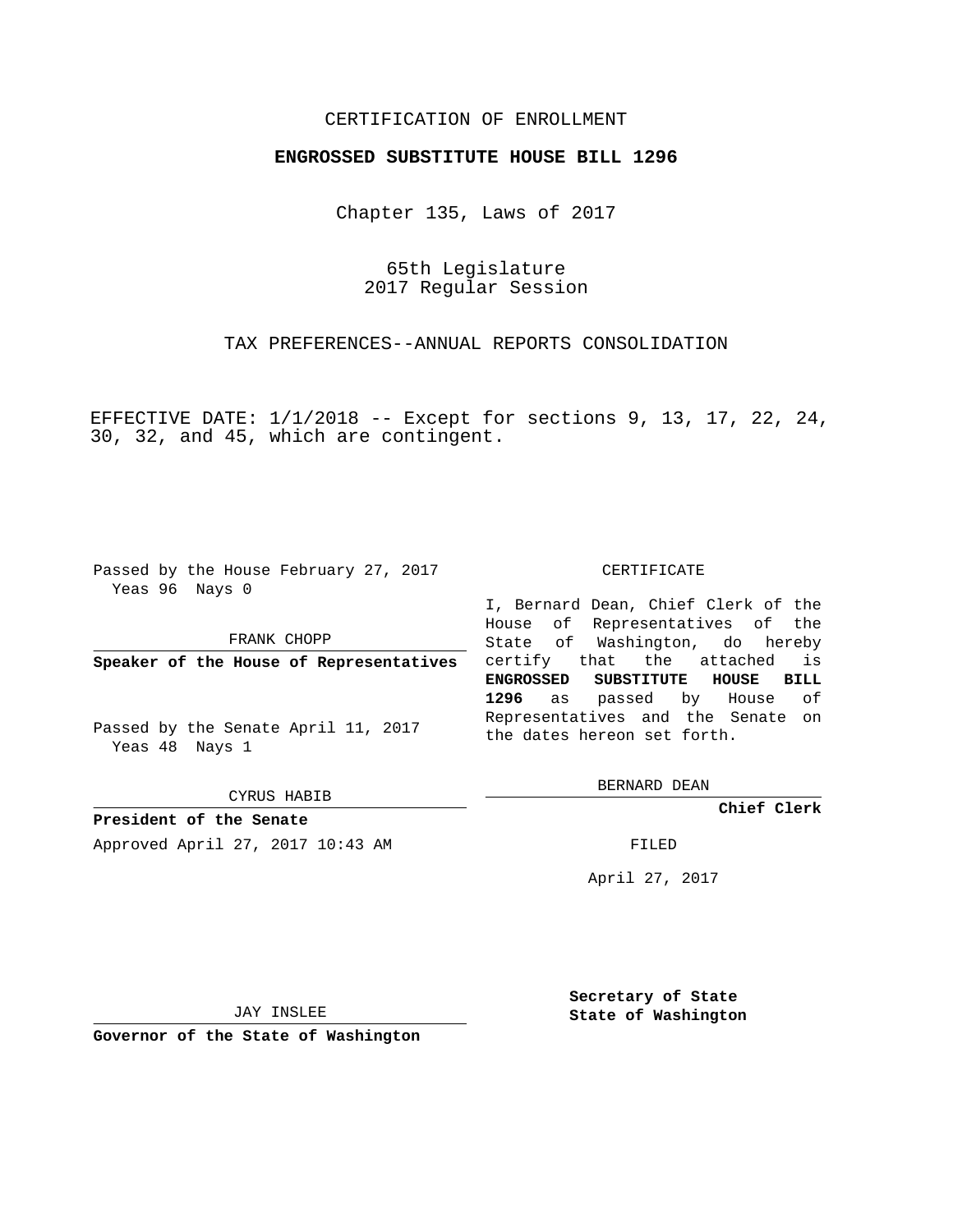## CERTIFICATION OF ENROLLMENT

## **ENGROSSED SUBSTITUTE HOUSE BILL 1296**

Chapter 135, Laws of 2017

65th Legislature 2017 Regular Session

TAX PREFERENCES--ANNUAL REPORTS CONSOLIDATION

EFFECTIVE DATE: 1/1/2018 -- Except for sections 9, 13, 17, 22, 24, 30, 32, and 45, which are contingent.

Passed by the House February 27, 2017 Yeas 96 Nays 0

FRANK CHOPP

**Speaker of the House of Representatives**

Passed by the Senate April 11, 2017 Yeas 48 Nays 1

CYRUS HABIB

**President of the Senate** Approved April 27, 2017 10:43 AM FILED

## CERTIFICATE

I, Bernard Dean, Chief Clerk of the House of Representatives of the State of Washington, do hereby certify that the attached is **ENGROSSED SUBSTITUTE HOUSE BILL 1296** as passed by House of Representatives and the Senate on the dates hereon set forth.

BERNARD DEAN

**Chief Clerk**

April 27, 2017

JAY INSLEE

**Governor of the State of Washington**

**Secretary of State State of Washington**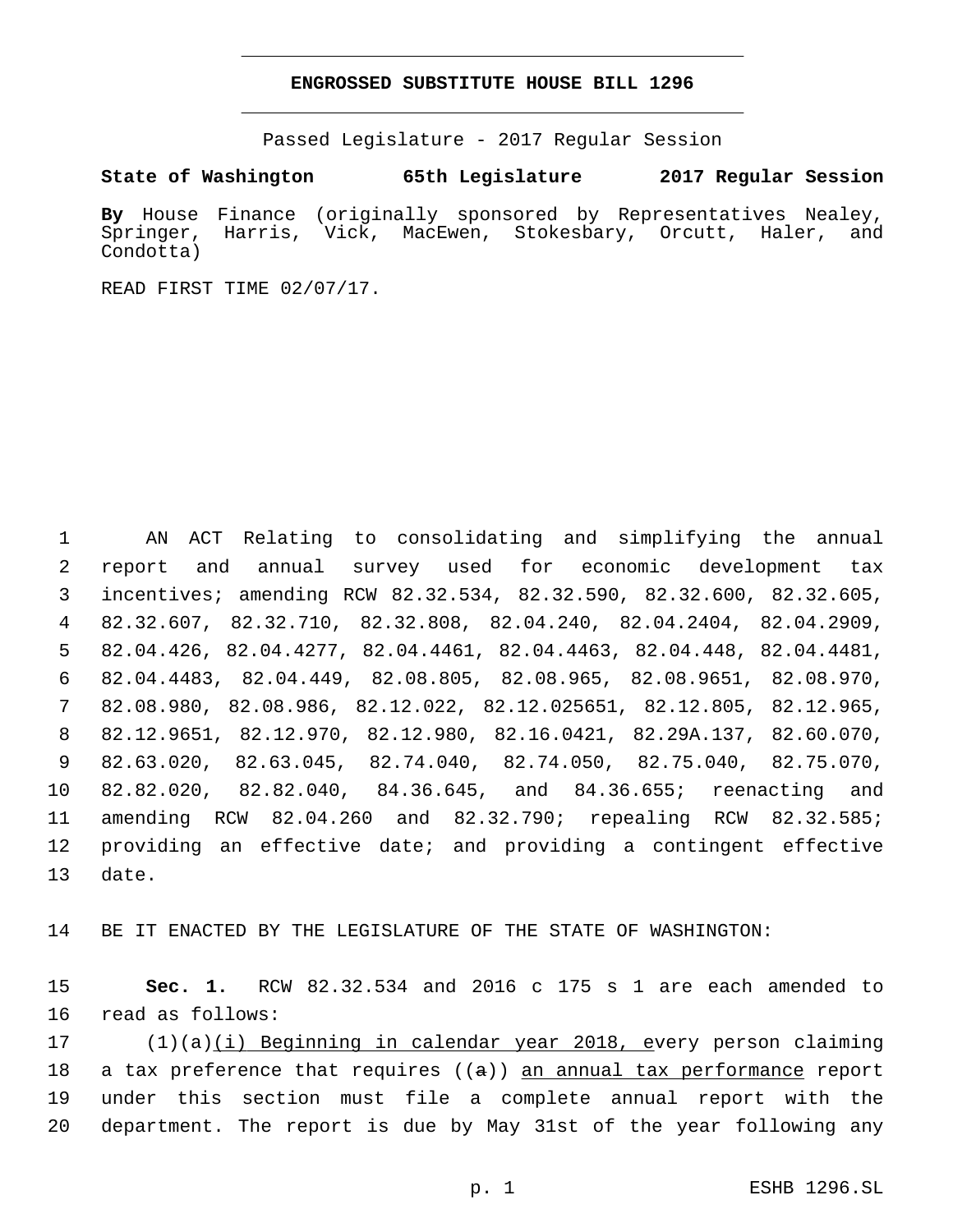## **ENGROSSED SUBSTITUTE HOUSE BILL 1296**

Passed Legislature - 2017 Regular Session

**State of Washington 65th Legislature 2017 Regular Session**

**By** House Finance (originally sponsored by Representatives Nealey, Springer, Harris, Vick, MacEwen, Stokesbary, Orcutt, Haler, and Condotta)

READ FIRST TIME 02/07/17.

 AN ACT Relating to consolidating and simplifying the annual report and annual survey used for economic development tax incentives; amending RCW 82.32.534, 82.32.590, 82.32.600, 82.32.605, 82.32.607, 82.32.710, 82.32.808, 82.04.240, 82.04.2404, 82.04.2909, 82.04.426, 82.04.4277, 82.04.4461, 82.04.4463, 82.04.448, 82.04.4481, 82.04.4483, 82.04.449, 82.08.805, 82.08.965, 82.08.9651, 82.08.970, 82.08.980, 82.08.986, 82.12.022, 82.12.025651, 82.12.805, 82.12.965, 82.12.9651, 82.12.970, 82.12.980, 82.16.0421, 82.29A.137, 82.60.070, 82.63.020, 82.63.045, 82.74.040, 82.74.050, 82.75.040, 82.75.070, 82.82.020, 82.82.040, 84.36.645, and 84.36.655; reenacting and amending RCW 82.04.260 and 82.32.790; repealing RCW 82.32.585; providing an effective date; and providing a contingent effective 13 date.

14 BE IT ENACTED BY THE LEGISLATURE OF THE STATE OF WASHINGTON:

15 **Sec. 1.** RCW 82.32.534 and 2016 c 175 s 1 are each amended to 16 read as follows:

17 (1)(a)(i) Beginning in calendar year 2018, every person claiming 18 a tax preference that requires  $((a))$  an annual tax performance report 19 under this section must file a complete annual report with the 20 department. The report is due by May 31st of the year following any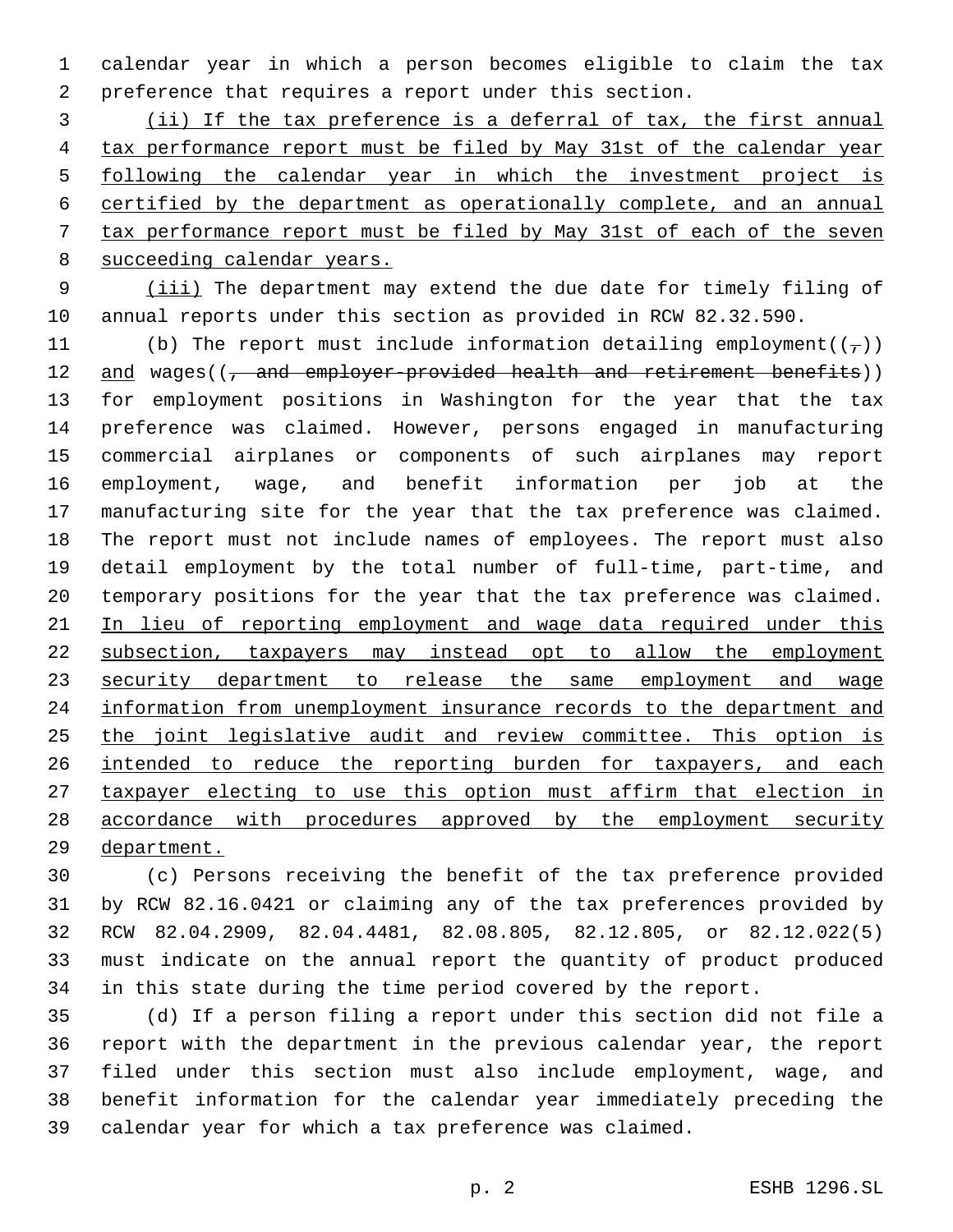calendar year in which a person becomes eligible to claim the tax preference that requires a report under this section.

 (ii) If the tax preference is a deferral of tax, the first annual tax performance report must be filed by May 31st of the calendar year following the calendar year in which the investment project is certified by the department as operationally complete, and an annual tax performance report must be filed by May 31st of each of the seven succeeding calendar years.

9 (iii) The department may extend the due date for timely filing of annual reports under this section as provided in RCW 82.32.590.

11 (b) The report must include information detailing employment( $(\tau)$ ) 12 and wages((, and employer-provided health and retirement benefits)) for employment positions in Washington for the year that the tax preference was claimed. However, persons engaged in manufacturing commercial airplanes or components of such airplanes may report employment, wage, and benefit information per job at the manufacturing site for the year that the tax preference was claimed. The report must not include names of employees. The report must also detail employment by the total number of full-time, part-time, and temporary positions for the year that the tax preference was claimed. 21 In lieu of reporting employment and wage data required under this subsection, taxpayers may instead opt to allow the employment 23 security department to release the same employment and wage information from unemployment insurance records to the department and the joint legislative audit and review committee. This option is 26 intended to reduce the reporting burden for taxpayers, and each taxpayer electing to use this option must affirm that election in accordance with procedures approved by the employment security department.

 (c) Persons receiving the benefit of the tax preference provided by RCW 82.16.0421 or claiming any of the tax preferences provided by RCW 82.04.2909, 82.04.4481, 82.08.805, 82.12.805, or 82.12.022(5) must indicate on the annual report the quantity of product produced in this state during the time period covered by the report.

 (d) If a person filing a report under this section did not file a report with the department in the previous calendar year, the report filed under this section must also include employment, wage, and benefit information for the calendar year immediately preceding the calendar year for which a tax preference was claimed.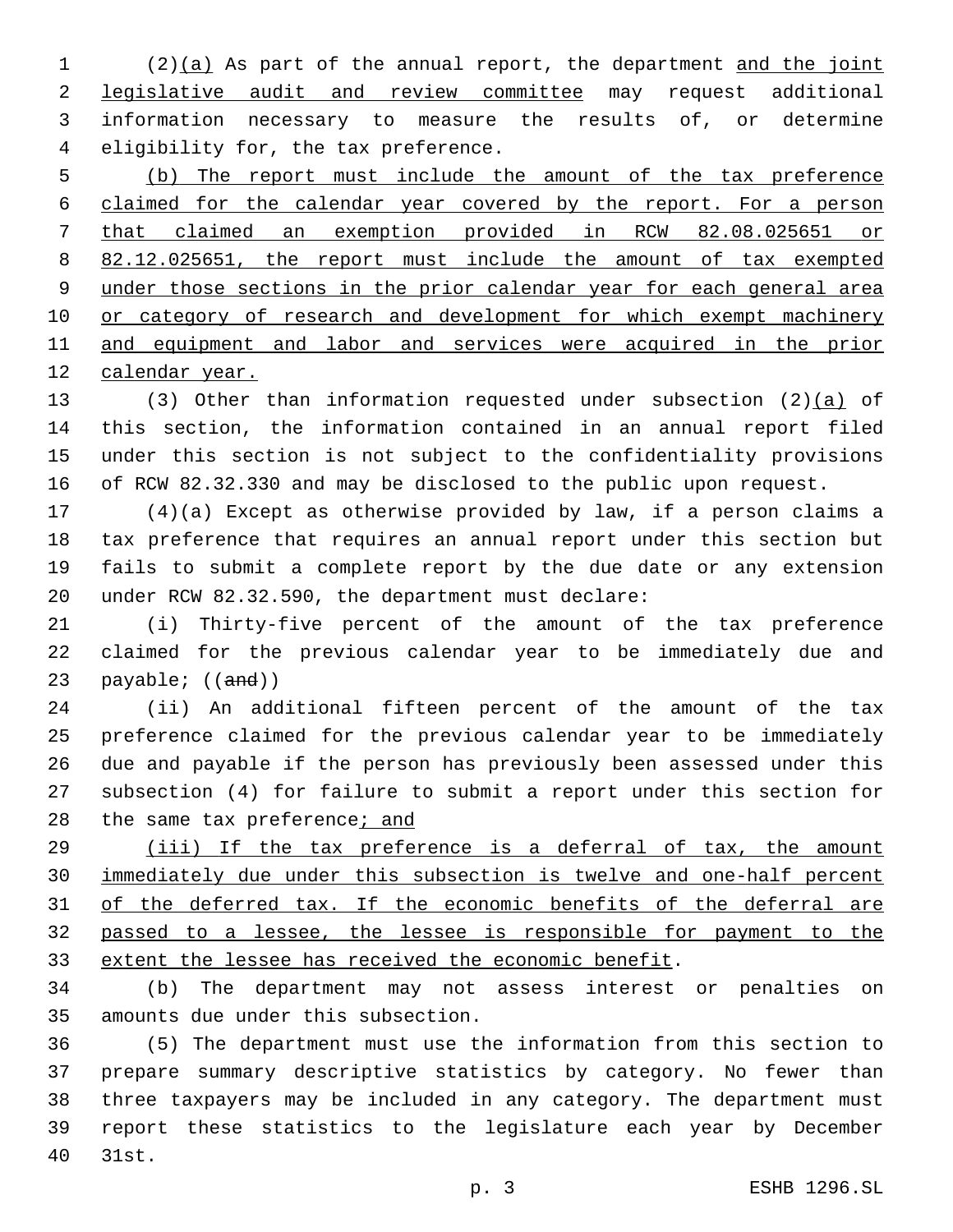(2)(a) As part of the annual report, the department and the joint legislative audit and review committee may request additional information necessary to measure the results of, or determine 4 eligibility for, the tax preference.

 (b) The report must include the amount of the tax preference claimed for the calendar year covered by the report. For a person that claimed an exemption provided in RCW 82.08.025651 or 82.12.025651, the report must include the amount of tax exempted under those sections in the prior calendar year for each general area 10 or category of research and development for which exempt machinery and equipment and labor and services were acquired in the prior calendar year.

13 (3) Other than information requested under subsection  $(2)(a)$  of this section, the information contained in an annual report filed under this section is not subject to the confidentiality provisions of RCW 82.32.330 and may be disclosed to the public upon request.

 (4)(a) Except as otherwise provided by law, if a person claims a tax preference that requires an annual report under this section but fails to submit a complete report by the due date or any extension 20 under RCW 82.32.590, the department must declare:

 (i) Thirty-five percent of the amount of the tax preference claimed for the previous calendar year to be immediately due and 23 payable;  $((and))$ 

 (ii) An additional fifteen percent of the amount of the tax preference claimed for the previous calendar year to be immediately due and payable if the person has previously been assessed under this subsection (4) for failure to submit a report under this section for 28 the same tax preference; and

 (iii) If the tax preference is a deferral of tax, the amount immediately due under this subsection is twelve and one-half percent of the deferred tax. If the economic benefits of the deferral are passed to a lessee, the lessee is responsible for payment to the extent the lessee has received the economic benefit.

 (b) The department may not assess interest or penalties on 35 amounts due under this subsection.

 (5) The department must use the information from this section to prepare summary descriptive statistics by category. No fewer than three taxpayers may be included in any category. The department must report these statistics to the legislature each year by December 31st.40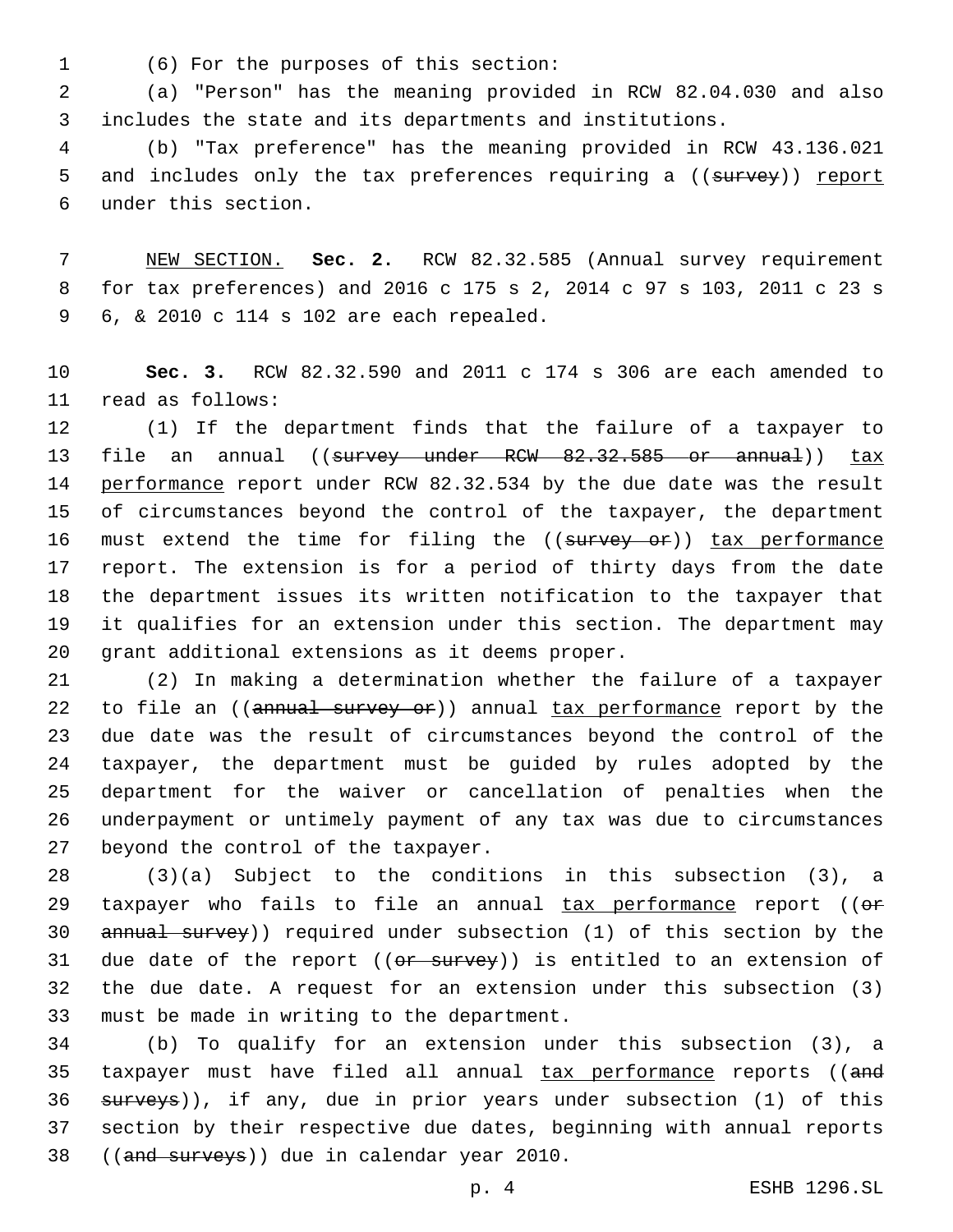(6) For the purposes of this section:1

2 (a) "Person" has the meaning provided in RCW 82.04.030 and also 3 includes the state and its departments and institutions.

4 (b) "Tax preference" has the meaning provided in RCW 43.136.021 5 and includes only the tax preferences requiring a ((survey)) report under this section.6

7 NEW SECTION. **Sec. 2.** RCW 82.32.585 (Annual survey requirement 8 for tax preferences) and 2016 c 175 s 2, 2014 c 97 s 103, 2011 c 23 s 6, & 2010 c 114 s 102 are each repealed.9

10 **Sec. 3.** RCW 82.32.590 and 2011 c 174 s 306 are each amended to 11 read as follows:

 (1) If the department finds that the failure of a taxpayer to 13 file an annual ((survey under RCW 82.32.585 or annual)) tax performance report under RCW 82.32.534 by the due date was the result of circumstances beyond the control of the taxpayer, the department 16 must extend the time for filing the ((survey or)) tax performance report. The extension is for a period of thirty days from the date the department issues its written notification to the taxpayer that it qualifies for an extension under this section. The department may 20 grant additional extensions as it deems proper.

 (2) In making a determination whether the failure of a taxpayer 22 to file an ((annual survey or)) annual tax performance report by the due date was the result of circumstances beyond the control of the taxpayer, the department must be guided by rules adopted by the department for the waiver or cancellation of penalties when the underpayment or untimely payment of any tax was due to circumstances 27 beyond the control of the taxpayer.

28 (3)(a) Subject to the conditions in this subsection (3), a 29 taxpayer who fails to file an annual  $\frac{1}{2}$  tax performance report (( $\theta$ \* 30 annual survey)) required under subsection (1) of this section by the 31 due date of the report ((or survey)) is entitled to an extension of 32 the due date. A request for an extension under this subsection (3) 33 must be made in writing to the department.

34 (b) To qualify for an extension under this subsection (3), a 35 taxpayer must have filed all annual tax performance reports ((and 36 surveys)), if any, due in prior years under subsection (1) of this 37 section by their respective due dates, beginning with annual reports 38 ((and surveys)) due in calendar year 2010.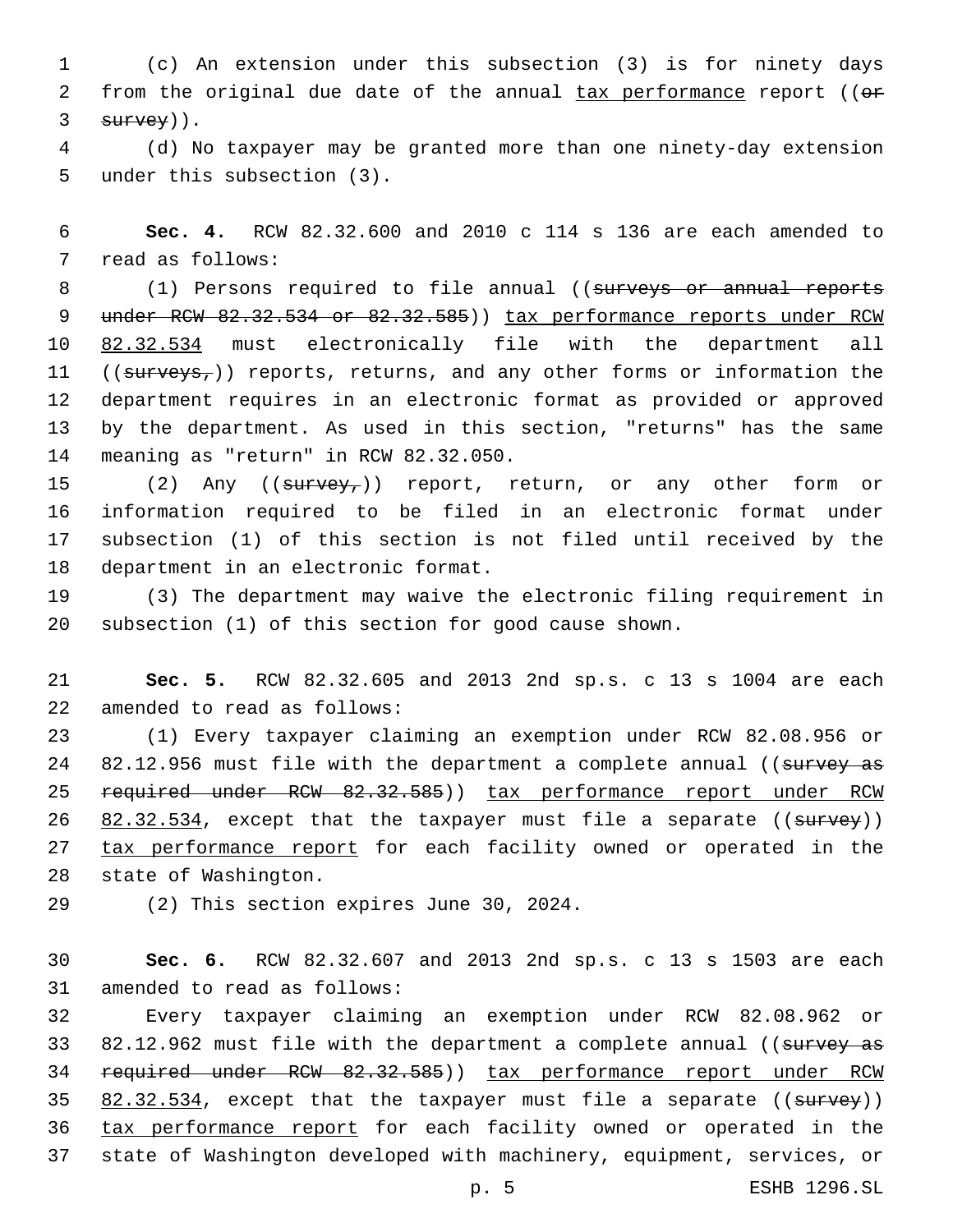1 (c) An extension under this subsection (3) is for ninety days 2 from the original due date of the annual  $\frac{1}{10}$  tax performance report (( $\theta$ \*  $3$  survey)).

4 (d) No taxpayer may be granted more than one ninety-day extension 5 under this subsection (3).

6 **Sec. 4.** RCW 82.32.600 and 2010 c 114 s 136 are each amended to 7 read as follows:

8 (1) Persons required to file annual ((surveys or annual reports 9 under RCW 82.32.534 or 82.32.585)) tax performance reports under RCW 10 82.32.534 must electronically file with the department all 11 ((surveys,)) reports, returns, and any other forms or information the 12 department requires in an electronic format as provided or approved 13 by the department. As used in this section, "returns" has the same 14 meaning as "return" in RCW 82.32.050.

15 (2) Any ((survey,)) report, return, or any other form or 16 information required to be filed in an electronic format under 17 subsection (1) of this section is not filed until received by the 18 department in an electronic format.

19 (3) The department may waive the electronic filing requirement in 20 subsection (1) of this section for good cause shown.

21 **Sec. 5.** RCW 82.32.605 and 2013 2nd sp.s. c 13 s 1004 are each 22 amended to read as follows:

23 (1) Every taxpayer claiming an exemption under RCW 82.08.956 or 24 82.12.956 must file with the department a complete annual ((survey as 25 required under RCW 82.32.585)) tax performance report under RCW 26 82.32.534, except that the taxpayer must file a separate ((survey)) 27 tax performance report for each facility owned or operated in the 28 state of Washington.

29 (2) This section expires June 30, 2024.

30 **Sec. 6.** RCW 82.32.607 and 2013 2nd sp.s. c 13 s 1503 are each 31 amended to read as follows:

 Every taxpayer claiming an exemption under RCW 82.08.962 or 33 82.12.962 must file with the department a complete annual ((survey as required under RCW 82.32.585)) tax performance report under RCW  $82.32.534$ , except that the taxpayer must file a separate ((survey)) 36 tax performance report for each facility owned or operated in the state of Washington developed with machinery, equipment, services, or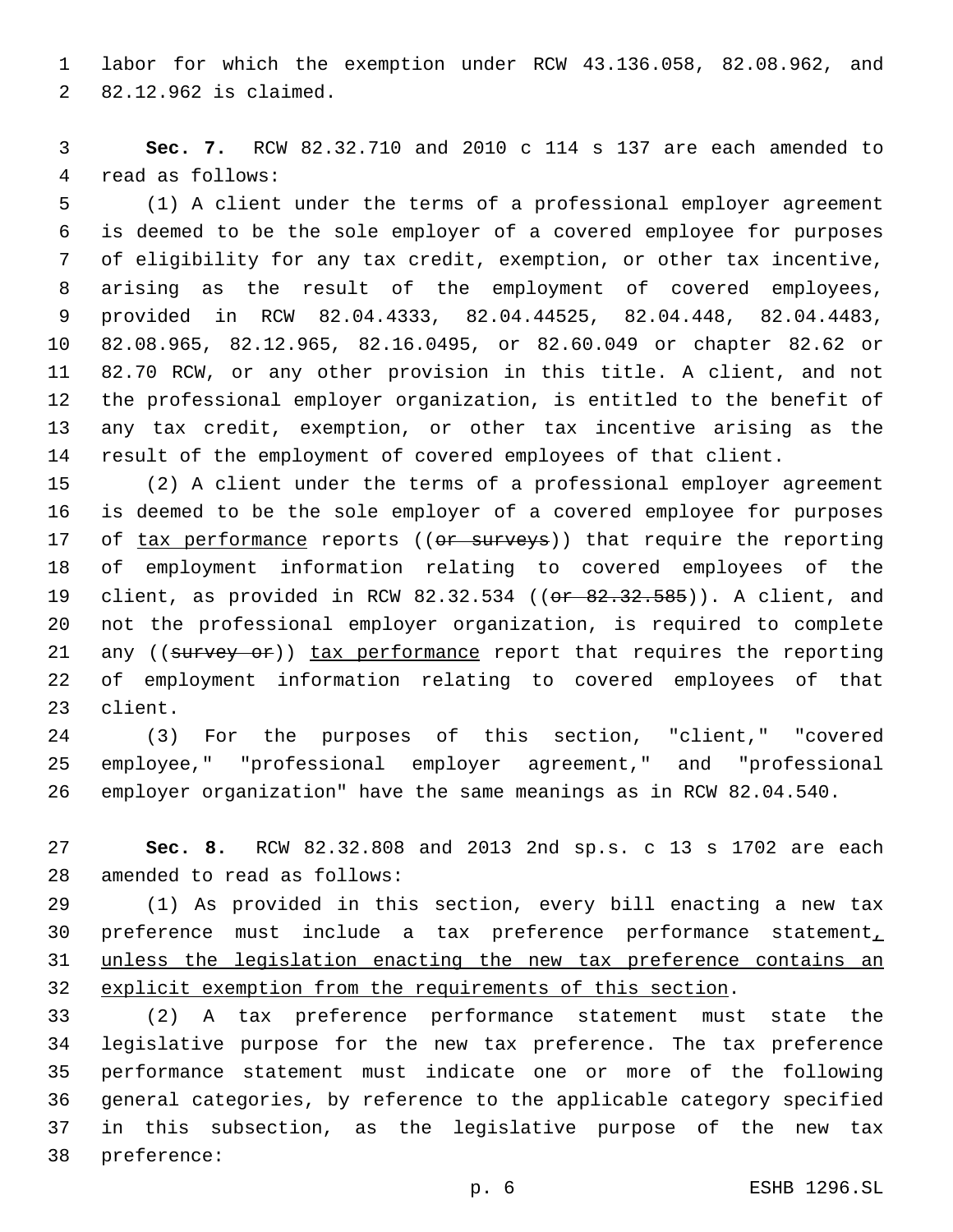labor for which the exemption under RCW 43.136.058, 82.08.962, and 82.12.962 is claimed.2

 **Sec. 7.** RCW 82.32.710 and 2010 c 114 s 137 are each amended to 4 read as follows:

 (1) A client under the terms of a professional employer agreement is deemed to be the sole employer of a covered employee for purposes of eligibility for any tax credit, exemption, or other tax incentive, arising as the result of the employment of covered employees, provided in RCW 82.04.4333, 82.04.44525, 82.04.448, 82.04.4483, 82.08.965, 82.12.965, 82.16.0495, or 82.60.049 or chapter 82.62 or 82.70 RCW, or any other provision in this title. A client, and not the professional employer organization, is entitled to the benefit of any tax credit, exemption, or other tax incentive arising as the result of the employment of covered employees of that client.

 (2) A client under the terms of a professional employer agreement is deemed to be the sole employer of a covered employee for purposes 17 of tax performance reports ((or surveys)) that require the reporting of employment information relating to covered employees of the 19 client, as provided in RCW 82.32.534 (( $\theta$ r 82.32.585)). A client, and not the professional employer organization, is required to complete 21 any ((survey or)) tax performance report that requires the reporting of employment information relating to covered employees of that 23 client.

 (3) For the purposes of this section, "client," "covered employee," "professional employer agreement," and "professional employer organization" have the same meanings as in RCW 82.04.540.

 **Sec. 8.** RCW 82.32.808 and 2013 2nd sp.s. c 13 s 1702 are each 28 amended to read as follows:

 (1) As provided in this section, every bill enacting a new tax preference must include a tax preference performance statement, unless the legislation enacting the new tax preference contains an explicit exemption from the requirements of this section.

 (2) A tax preference performance statement must state the legislative purpose for the new tax preference. The tax preference performance statement must indicate one or more of the following general categories, by reference to the applicable category specified in this subsection, as the legislative purpose of the new tax 38 preference: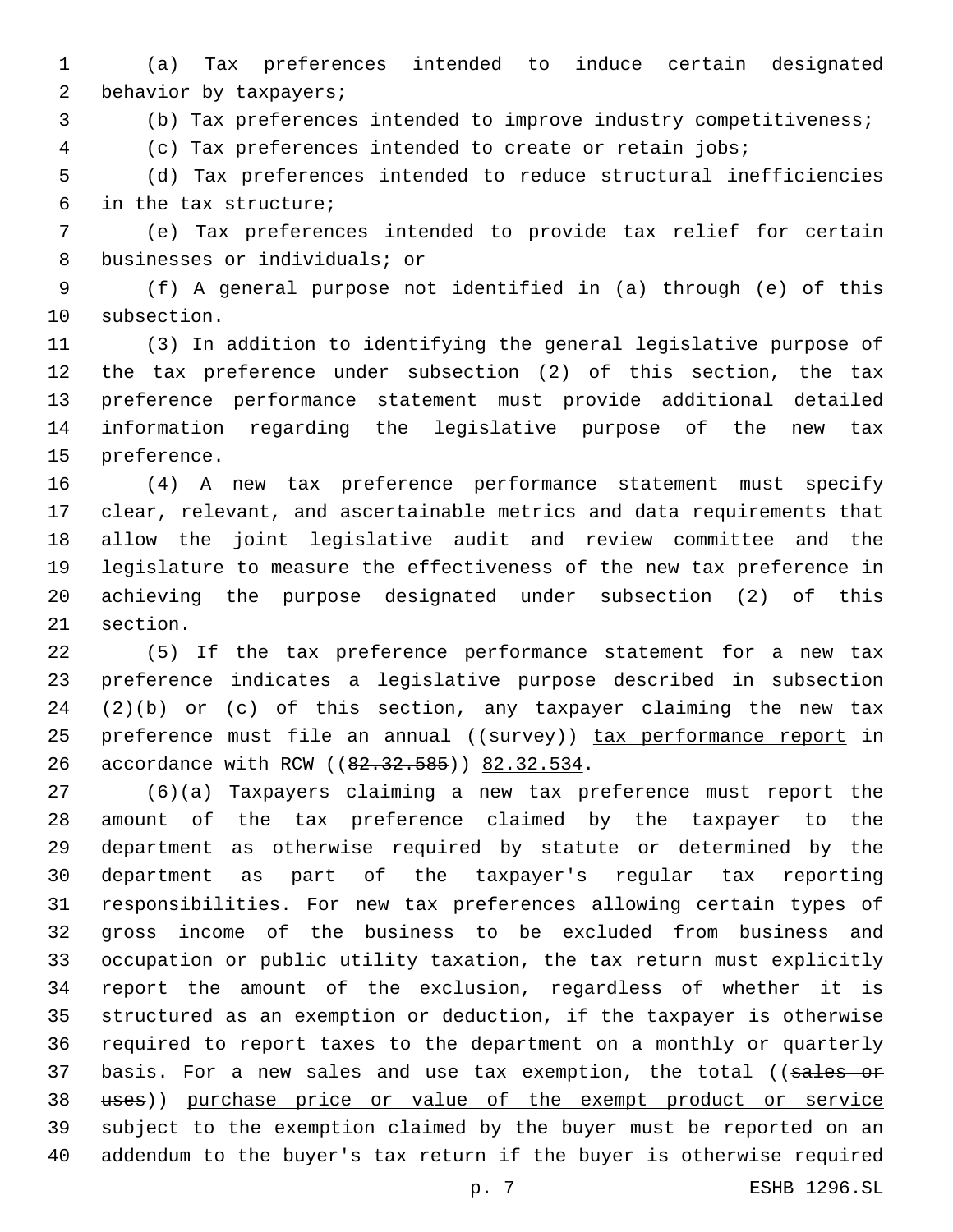(a) Tax preferences intended to induce certain designated 2 behavior by taxpayers;

(b) Tax preferences intended to improve industry competitiveness;

(c) Tax preferences intended to create or retain jobs;

 (d) Tax preferences intended to reduce structural inefficiencies in the tax structure;6

 (e) Tax preferences intended to provide tax relief for certain 8 businesses or individuals; or

 (f) A general purpose not identified in (a) through (e) of this 10 subsection.

 (3) In addition to identifying the general legislative purpose of the tax preference under subsection (2) of this section, the tax preference performance statement must provide additional detailed information regarding the legislative purpose of the new tax 15 preference.

 (4) A new tax preference performance statement must specify clear, relevant, and ascertainable metrics and data requirements that allow the joint legislative audit and review committee and the legislature to measure the effectiveness of the new tax preference in achieving the purpose designated under subsection (2) of this 21 section.

 (5) If the tax preference performance statement for a new tax preference indicates a legislative purpose described in subsection (2)(b) or (c) of this section, any taxpayer claiming the new tax 25 preference must file an annual ((survey)) tax performance report in 26 accordance with RCW ((82.32.585)) 82.32.534.

 (6)(a) Taxpayers claiming a new tax preference must report the amount of the tax preference claimed by the taxpayer to the department as otherwise required by statute or determined by the department as part of the taxpayer's regular tax reporting responsibilities. For new tax preferences allowing certain types of gross income of the business to be excluded from business and occupation or public utility taxation, the tax return must explicitly report the amount of the exclusion, regardless of whether it is structured as an exemption or deduction, if the taxpayer is otherwise required to report taxes to the department on a monthly or quarterly 37 basis. For a new sales and use tax exemption, the total ((sales or uses)) purchase price or value of the exempt product or service subject to the exemption claimed by the buyer must be reported on an addendum to the buyer's tax return if the buyer is otherwise required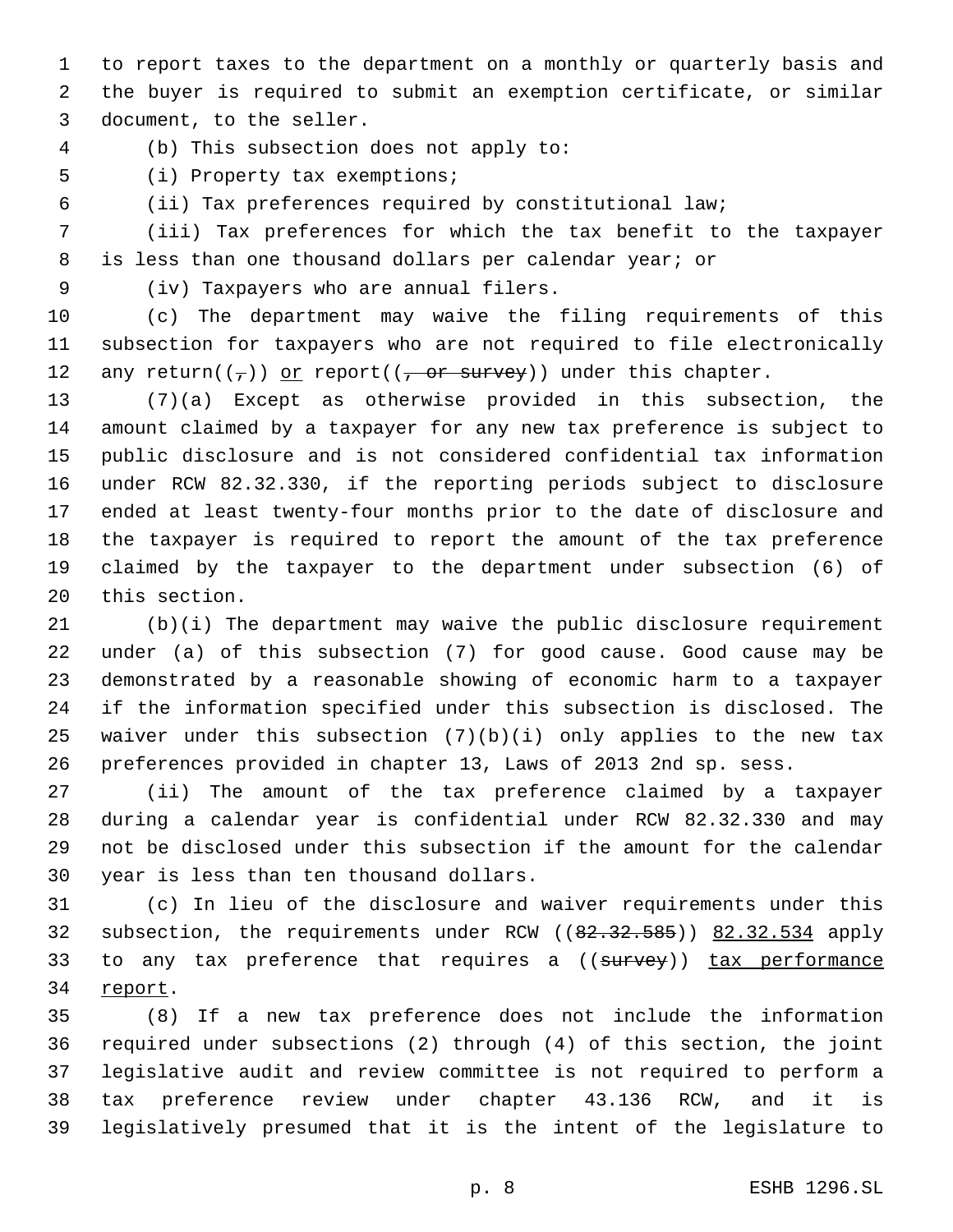to report taxes to the department on a monthly or quarterly basis and the buyer is required to submit an exemption certificate, or similar 3 document, to the seller.

(b) This subsection does not apply to:4

5 (i) Property tax exemptions;

(ii) Tax preferences required by constitutional law;

 (iii) Tax preferences for which the tax benefit to the taxpayer is less than one thousand dollars per calendar year; or

(iv) Taxpayers who are annual filers.9

 (c) The department may waive the filing requirements of this subsection for taxpayers who are not required to file electronically 12 any return( $(\tau)$ ) or report( $(\tau - \sigma r)$  survey)) under this chapter.

 (7)(a) Except as otherwise provided in this subsection, the amount claimed by a taxpayer for any new tax preference is subject to public disclosure and is not considered confidential tax information under RCW 82.32.330, if the reporting periods subject to disclosure ended at least twenty-four months prior to the date of disclosure and the taxpayer is required to report the amount of the tax preference claimed by the taxpayer to the department under subsection (6) of 20 this section.

 (b)(i) The department may waive the public disclosure requirement under (a) of this subsection (7) for good cause. Good cause may be demonstrated by a reasonable showing of economic harm to a taxpayer if the information specified under this subsection is disclosed. The 25 waiver under this subsection  $(7)(b)(i)$  only applies to the new tax preferences provided in chapter 13, Laws of 2013 2nd sp. sess.

 (ii) The amount of the tax preference claimed by a taxpayer during a calendar year is confidential under RCW 82.32.330 and may not be disclosed under this subsection if the amount for the calendar 30 year is less than ten thousand dollars.

 (c) In lieu of the disclosure and waiver requirements under this 32 subsection, the requirements under RCW ((82.32.585)) 82.32.534 apply 33 to any tax preference that requires a ((survey)) tax performance 34 report.

 (8) If a new tax preference does not include the information required under subsections (2) through (4) of this section, the joint legislative audit and review committee is not required to perform a tax preference review under chapter 43.136 RCW, and it is legislatively presumed that it is the intent of the legislature to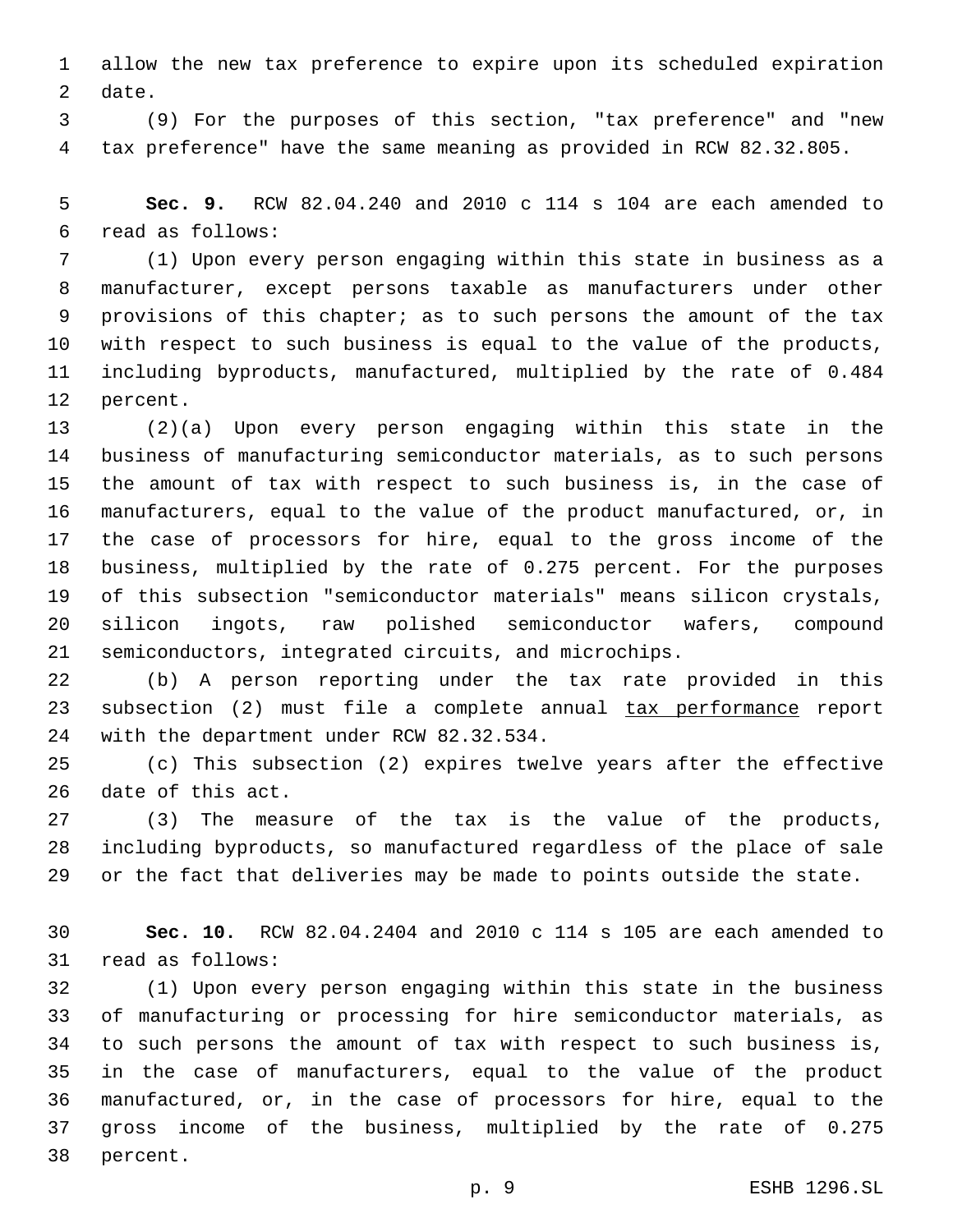allow the new tax preference to expire upon its scheduled expiration 2 date.

 (9) For the purposes of this section, "tax preference" and "new tax preference" have the same meaning as provided in RCW 82.32.805.

 **Sec. 9.** RCW 82.04.240 and 2010 c 114 s 104 are each amended to read as follows:6

 (1) Upon every person engaging within this state in business as a manufacturer, except persons taxable as manufacturers under other provisions of this chapter; as to such persons the amount of the tax with respect to such business is equal to the value of the products, including byproducts, manufactured, multiplied by the rate of 0.484 12 percent.

 (2)(a) Upon every person engaging within this state in the business of manufacturing semiconductor materials, as to such persons the amount of tax with respect to such business is, in the case of manufacturers, equal to the value of the product manufactured, or, in the case of processors for hire, equal to the gross income of the business, multiplied by the rate of 0.275 percent. For the purposes of this subsection "semiconductor materials" means silicon crystals, silicon ingots, raw polished semiconductor wafers, compound semiconductors, integrated circuits, and microchips.

 (b) A person reporting under the tax rate provided in this 23 subsection (2) must file a complete annual tax performance report 24 with the department under RCW 82.32.534.

 (c) This subsection (2) expires twelve years after the effective 26 date of this act.

 (3) The measure of the tax is the value of the products, including byproducts, so manufactured regardless of the place of sale or the fact that deliveries may be made to points outside the state.

 **Sec. 10.** RCW 82.04.2404 and 2010 c 114 s 105 are each amended to 31 read as follows:

 (1) Upon every person engaging within this state in the business of manufacturing or processing for hire semiconductor materials, as to such persons the amount of tax with respect to such business is, in the case of manufacturers, equal to the value of the product manufactured, or, in the case of processors for hire, equal to the gross income of the business, multiplied by the rate of 0.275 38 percent.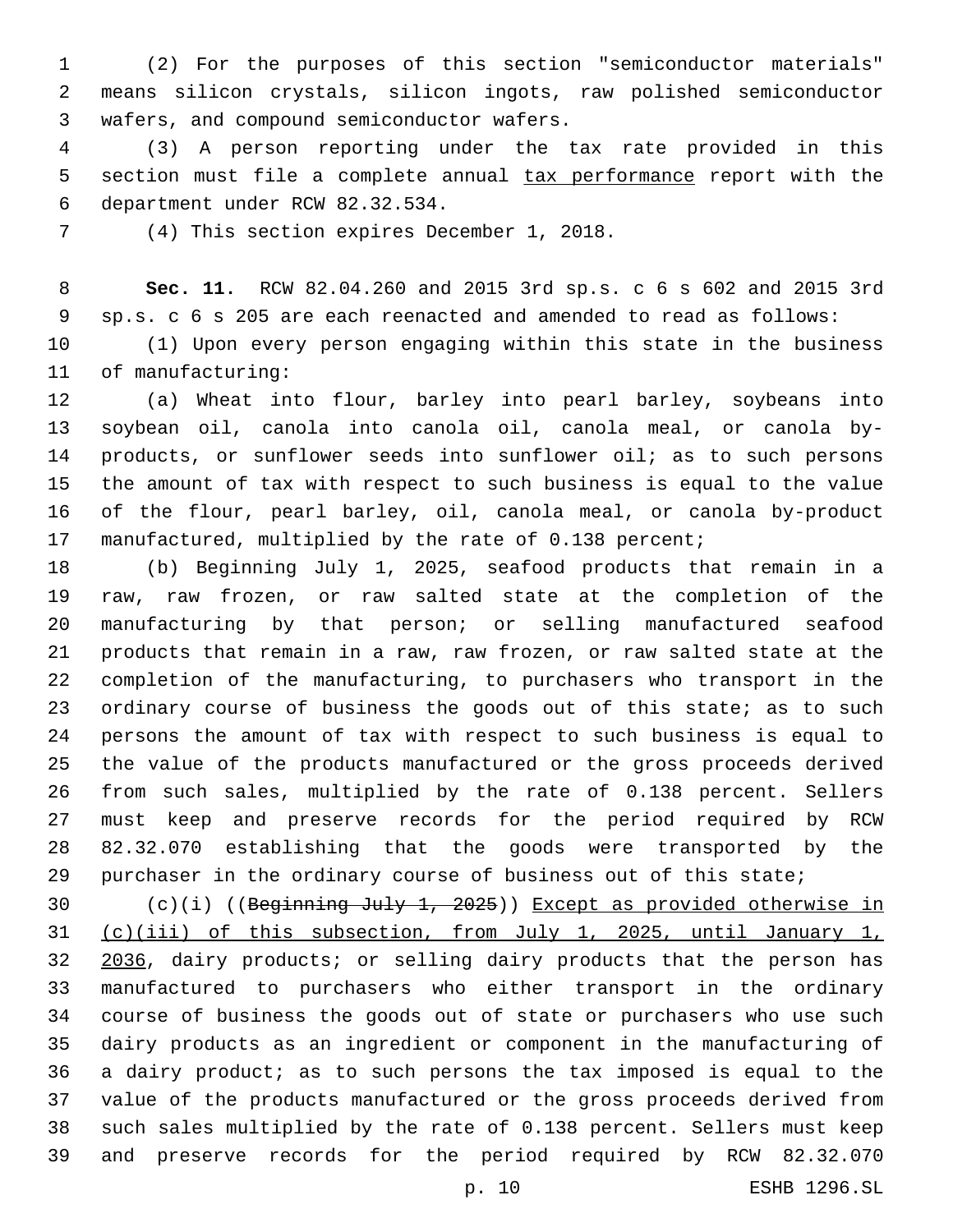(2) For the purposes of this section "semiconductor materials" means silicon crystals, silicon ingots, raw polished semiconductor 3 wafers, and compound semiconductor wafers.

 (3) A person reporting under the tax rate provided in this section must file a complete annual tax performance report with the department under RCW 82.32.534.6

(4) This section expires December 1, 2018.

 **Sec. 11.** RCW 82.04.260 and 2015 3rd sp.s. c 6 s 602 and 2015 3rd sp.s. c 6 s 205 are each reenacted and amended to read as follows:

 (1) Upon every person engaging within this state in the business 11 of manufacturing:

 (a) Wheat into flour, barley into pearl barley, soybeans into soybean oil, canola into canola oil, canola meal, or canola by- products, or sunflower seeds into sunflower oil; as to such persons the amount of tax with respect to such business is equal to the value of the flour, pearl barley, oil, canola meal, or canola by-product manufactured, multiplied by the rate of 0.138 percent;

 (b) Beginning July 1, 2025, seafood products that remain in a raw, raw frozen, or raw salted state at the completion of the manufacturing by that person; or selling manufactured seafood products that remain in a raw, raw frozen, or raw salted state at the completion of the manufacturing, to purchasers who transport in the 23 ordinary course of business the goods out of this state; as to such persons the amount of tax with respect to such business is equal to the value of the products manufactured or the gross proceeds derived from such sales, multiplied by the rate of 0.138 percent. Sellers must keep and preserve records for the period required by RCW 82.32.070 establishing that the goods were transported by the purchaser in the ordinary course of business out of this state;

 $(c)(i)$  ((Beginning July 1, 2025)) Except as provided otherwise in (c)(iii) of this subsection, from July 1, 2025, until January 1, 32 2036, dairy products; or selling dairy products that the person has manufactured to purchasers who either transport in the ordinary course of business the goods out of state or purchasers who use such dairy products as an ingredient or component in the manufacturing of a dairy product; as to such persons the tax imposed is equal to the value of the products manufactured or the gross proceeds derived from such sales multiplied by the rate of 0.138 percent. Sellers must keep and preserve records for the period required by RCW 82.32.070

p. 10 ESHB 1296.SL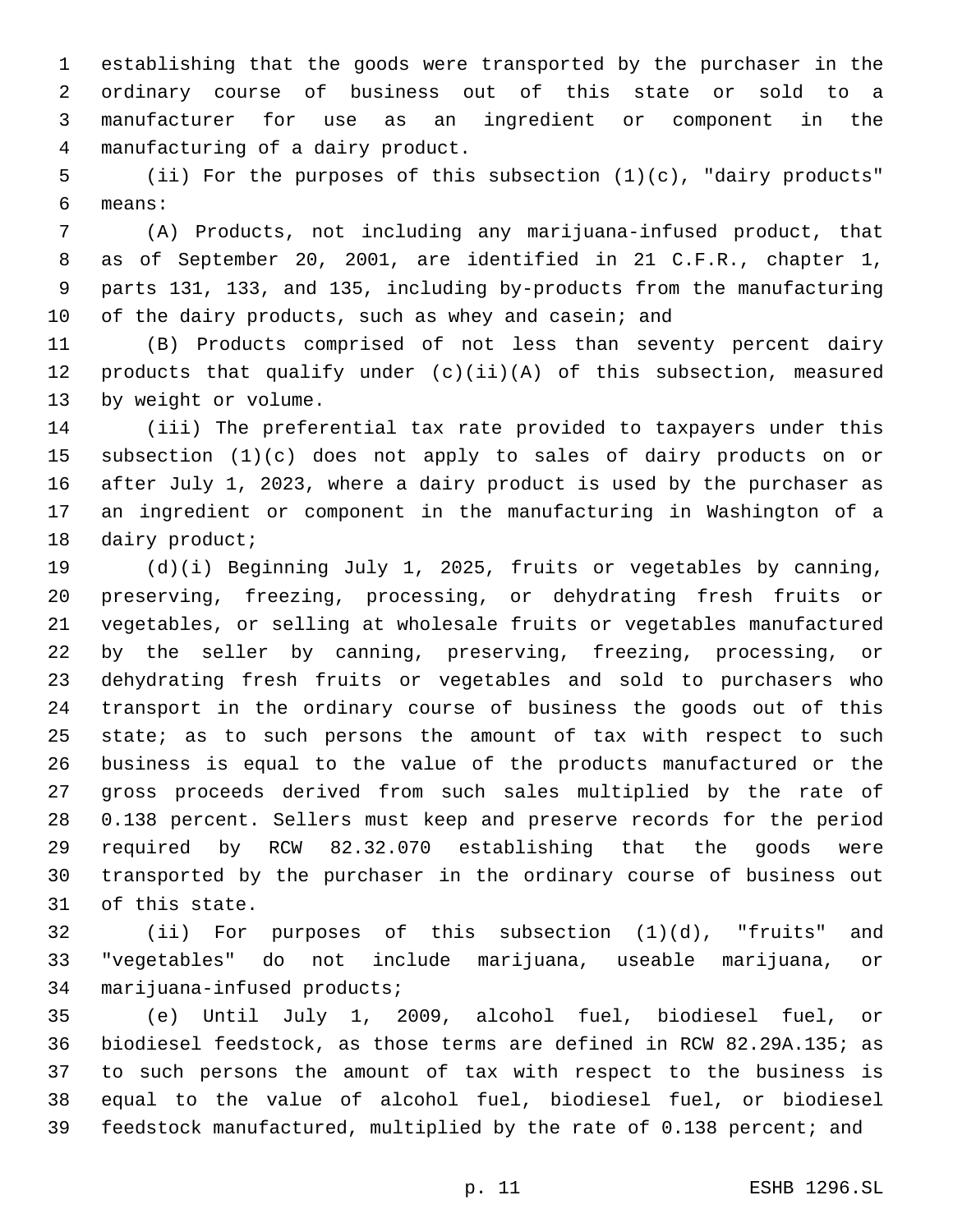establishing that the goods were transported by the purchaser in the ordinary course of business out of this state or sold to a manufacturer for use as an ingredient or component in the manufacturing of a dairy product.4

 (ii) For the purposes of this subsection (1)(c), "dairy products" means:6

 (A) Products, not including any marijuana-infused product, that as of September 20, 2001, are identified in 21 C.F.R., chapter 1, parts 131, 133, and 135, including by-products from the manufacturing 10 of the dairy products, such as whey and casein; and

 (B) Products comprised of not less than seventy percent dairy 12 products that qualify under  $(c)(ii)(A)$  of this subsection, measured 13 by weight or volume.

 (iii) The preferential tax rate provided to taxpayers under this subsection (1)(c) does not apply to sales of dairy products on or after July 1, 2023, where a dairy product is used by the purchaser as an ingredient or component in the manufacturing in Washington of a 18 dairy product;

 (d)(i) Beginning July 1, 2025, fruits or vegetables by canning, preserving, freezing, processing, or dehydrating fresh fruits or vegetables, or selling at wholesale fruits or vegetables manufactured by the seller by canning, preserving, freezing, processing, or dehydrating fresh fruits or vegetables and sold to purchasers who transport in the ordinary course of business the goods out of this 25 state; as to such persons the amount of tax with respect to such business is equal to the value of the products manufactured or the gross proceeds derived from such sales multiplied by the rate of 0.138 percent. Sellers must keep and preserve records for the period required by RCW 82.32.070 establishing that the goods were transported by the purchaser in the ordinary course of business out 31 of this state.

 (ii) For purposes of this subsection (1)(d), "fruits" and "vegetables" do not include marijuana, useable marijuana, or 34 marijuana-infused products;

 (e) Until July 1, 2009, alcohol fuel, biodiesel fuel, or biodiesel feedstock, as those terms are defined in RCW 82.29A.135; as to such persons the amount of tax with respect to the business is equal to the value of alcohol fuel, biodiesel fuel, or biodiesel feedstock manufactured, multiplied by the rate of 0.138 percent; and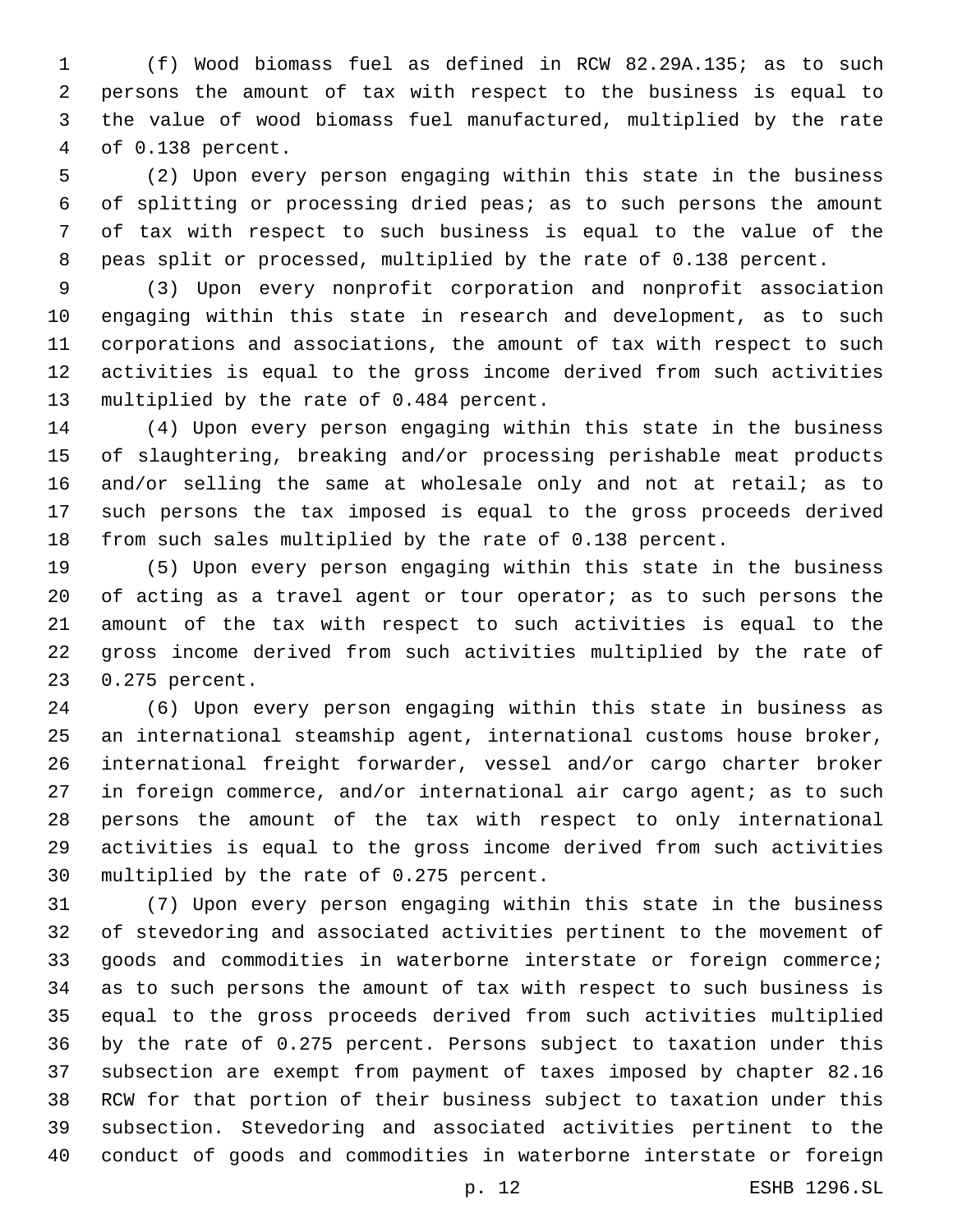(f) Wood biomass fuel as defined in RCW 82.29A.135; as to such persons the amount of tax with respect to the business is equal to the value of wood biomass fuel manufactured, multiplied by the rate 4 of 0.138 percent.

 (2) Upon every person engaging within this state in the business of splitting or processing dried peas; as to such persons the amount of tax with respect to such business is equal to the value of the peas split or processed, multiplied by the rate of 0.138 percent.

 (3) Upon every nonprofit corporation and nonprofit association engaging within this state in research and development, as to such corporations and associations, the amount of tax with respect to such activities is equal to the gross income derived from such activities 13 multiplied by the rate of 0.484 percent.

 (4) Upon every person engaging within this state in the business of slaughtering, breaking and/or processing perishable meat products and/or selling the same at wholesale only and not at retail; as to such persons the tax imposed is equal to the gross proceeds derived from such sales multiplied by the rate of 0.138 percent.

 (5) Upon every person engaging within this state in the business of acting as a travel agent or tour operator; as to such persons the amount of the tax with respect to such activities is equal to the gross income derived from such activities multiplied by the rate of 0.275 percent.23

 (6) Upon every person engaging within this state in business as an international steamship agent, international customs house broker, international freight forwarder, vessel and/or cargo charter broker 27 in foreign commerce, and/or international air cargo agent; as to such persons the amount of the tax with respect to only international activities is equal to the gross income derived from such activities 30 multiplied by the rate of 0.275 percent.

 (7) Upon every person engaging within this state in the business of stevedoring and associated activities pertinent to the movement of goods and commodities in waterborne interstate or foreign commerce; as to such persons the amount of tax with respect to such business is equal to the gross proceeds derived from such activities multiplied by the rate of 0.275 percent. Persons subject to taxation under this subsection are exempt from payment of taxes imposed by chapter 82.16 RCW for that portion of their business subject to taxation under this subsection. Stevedoring and associated activities pertinent to the conduct of goods and commodities in waterborne interstate or foreign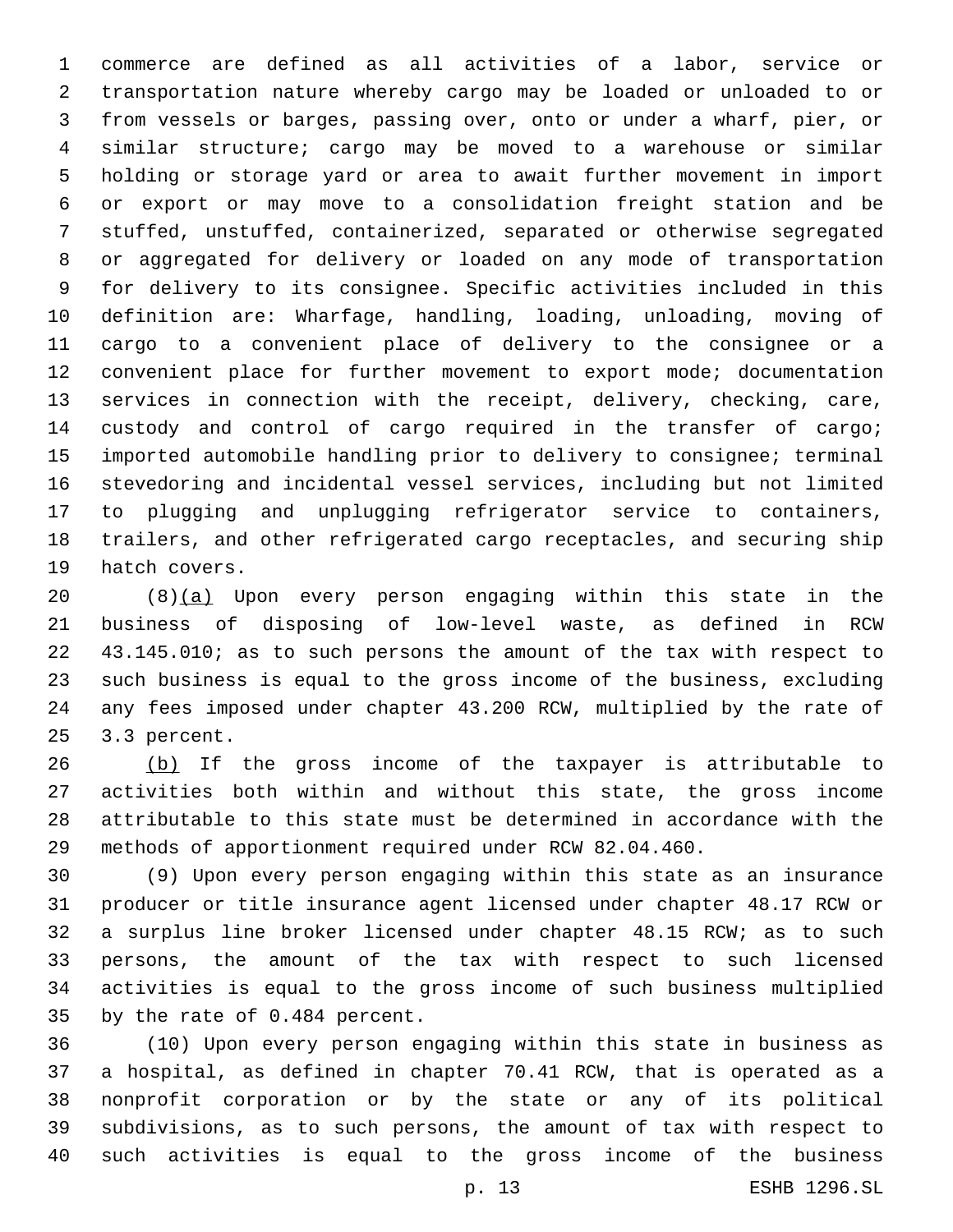commerce are defined as all activities of a labor, service or transportation nature whereby cargo may be loaded or unloaded to or from vessels or barges, passing over, onto or under a wharf, pier, or similar structure; cargo may be moved to a warehouse or similar holding or storage yard or area to await further movement in import or export or may move to a consolidation freight station and be stuffed, unstuffed, containerized, separated or otherwise segregated or aggregated for delivery or loaded on any mode of transportation for delivery to its consignee. Specific activities included in this definition are: Wharfage, handling, loading, unloading, moving of cargo to a convenient place of delivery to the consignee or a convenient place for further movement to export mode; documentation services in connection with the receipt, delivery, checking, care, custody and control of cargo required in the transfer of cargo; imported automobile handling prior to delivery to consignee; terminal stevedoring and incidental vessel services, including but not limited to plugging and unplugging refrigerator service to containers, trailers, and other refrigerated cargo receptacles, and securing ship 19 hatch covers.

 (8)(a) Upon every person engaging within this state in the business of disposing of low-level waste, as defined in RCW 43.145.010; as to such persons the amount of the tax with respect to such business is equal to the gross income of the business, excluding any fees imposed under chapter 43.200 RCW, multiplied by the rate of 25 3.3 percent.

26 (b) If the gross income of the taxpayer is attributable to activities both within and without this state, the gross income attributable to this state must be determined in accordance with the methods of apportionment required under RCW 82.04.460.

 (9) Upon every person engaging within this state as an insurance producer or title insurance agent licensed under chapter 48.17 RCW or a surplus line broker licensed under chapter 48.15 RCW; as to such persons, the amount of the tax with respect to such licensed activities is equal to the gross income of such business multiplied 35 by the rate of 0.484 percent.

 (10) Upon every person engaging within this state in business as a hospital, as defined in chapter 70.41 RCW, that is operated as a nonprofit corporation or by the state or any of its political subdivisions, as to such persons, the amount of tax with respect to such activities is equal to the gross income of the business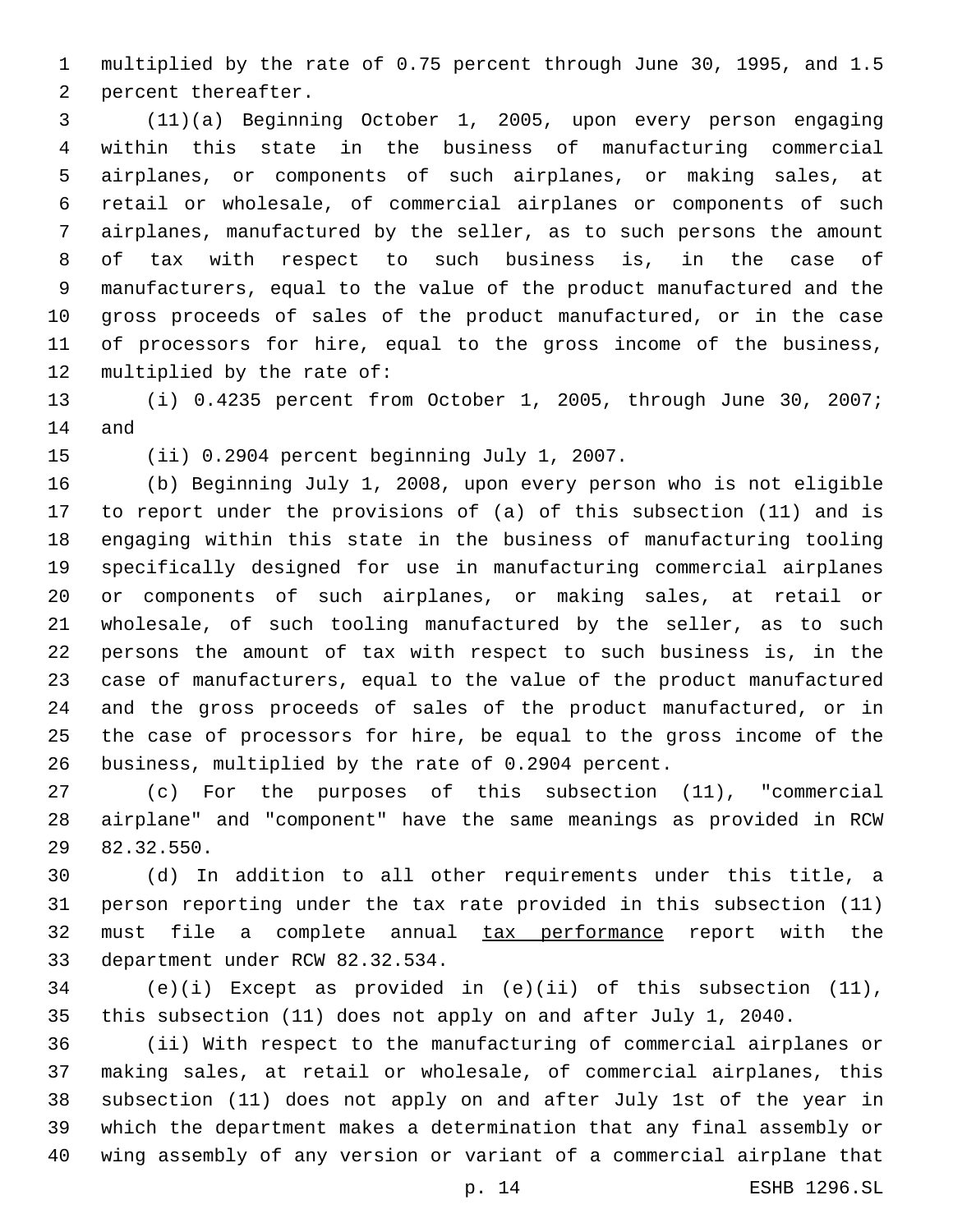multiplied by the rate of 0.75 percent through June 30, 1995, and 1.5 2 percent thereafter.

 (11)(a) Beginning October 1, 2005, upon every person engaging within this state in the business of manufacturing commercial airplanes, or components of such airplanes, or making sales, at retail or wholesale, of commercial airplanes or components of such airplanes, manufactured by the seller, as to such persons the amount of tax with respect to such business is, in the case of manufacturers, equal to the value of the product manufactured and the gross proceeds of sales of the product manufactured, or in the case of processors for hire, equal to the gross income of the business, 12 multiplied by the rate of:

 (i) 0.4235 percent from October 1, 2005, through June 30, 2007; 14 and

15 (ii) 0.2904 percent beginning July 1, 2007.

 (b) Beginning July 1, 2008, upon every person who is not eligible to report under the provisions of (a) of this subsection (11) and is engaging within this state in the business of manufacturing tooling specifically designed for use in manufacturing commercial airplanes or components of such airplanes, or making sales, at retail or wholesale, of such tooling manufactured by the seller, as to such persons the amount of tax with respect to such business is, in the case of manufacturers, equal to the value of the product manufactured and the gross proceeds of sales of the product manufactured, or in the case of processors for hire, be equal to the gross income of the business, multiplied by the rate of 0.2904 percent.

 (c) For the purposes of this subsection (11), "commercial airplane" and "component" have the same meanings as provided in RCW 29 82.32.550.

 (d) In addition to all other requirements under this title, a person reporting under the tax rate provided in this subsection (11) 32 must file a complete annual tax performance report with the 33 department under RCW 82.32.534.

 (e)(i) Except as provided in (e)(ii) of this subsection (11), this subsection (11) does not apply on and after July 1, 2040.

 (ii) With respect to the manufacturing of commercial airplanes or making sales, at retail or wholesale, of commercial airplanes, this subsection (11) does not apply on and after July 1st of the year in which the department makes a determination that any final assembly or wing assembly of any version or variant of a commercial airplane that

p. 14 ESHB 1296.SL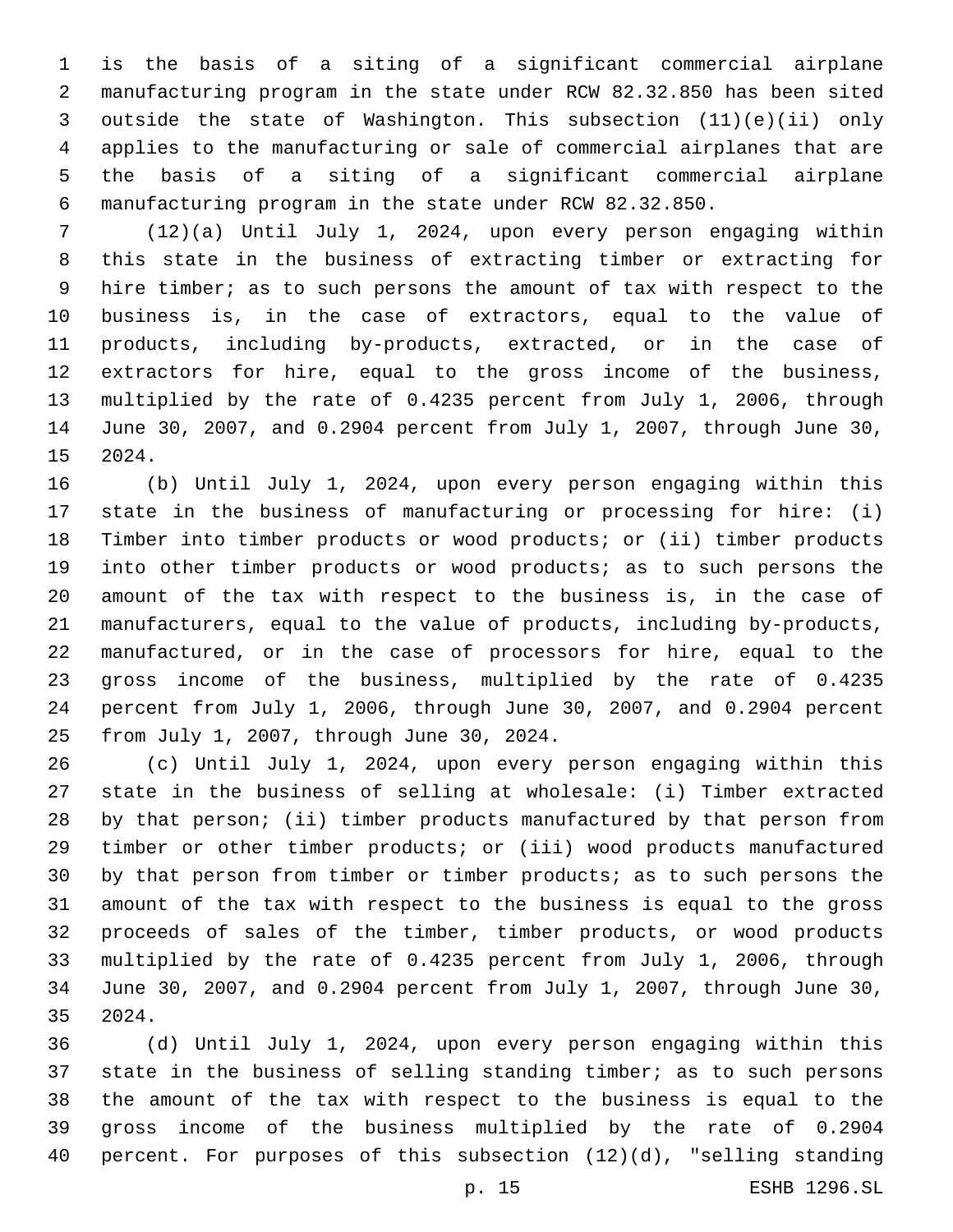is the basis of a siting of a significant commercial airplane manufacturing program in the state under RCW 82.32.850 has been sited outside the state of Washington. This subsection (11)(e)(ii) only applies to the manufacturing or sale of commercial airplanes that are the basis of a siting of a significant commercial airplane manufacturing program in the state under RCW 82.32.850.

 (12)(a) Until July 1, 2024, upon every person engaging within this state in the business of extracting timber or extracting for 9 hire timber; as to such persons the amount of tax with respect to the business is, in the case of extractors, equal to the value of products, including by-products, extracted, or in the case of extractors for hire, equal to the gross income of the business, multiplied by the rate of 0.4235 percent from July 1, 2006, through June 30, 2007, and 0.2904 percent from July 1, 2007, through June 30, 15 2024.

 (b) Until July 1, 2024, upon every person engaging within this state in the business of manufacturing or processing for hire: (i) Timber into timber products or wood products; or (ii) timber products into other timber products or wood products; as to such persons the amount of the tax with respect to the business is, in the case of manufacturers, equal to the value of products, including by-products, manufactured, or in the case of processors for hire, equal to the gross income of the business, multiplied by the rate of 0.4235 percent from July 1, 2006, through June 30, 2007, and 0.2904 percent 25 from July 1, 2007, through June 30, 2024.

 (c) Until July 1, 2024, upon every person engaging within this state in the business of selling at wholesale: (i) Timber extracted by that person; (ii) timber products manufactured by that person from timber or other timber products; or (iii) wood products manufactured by that person from timber or timber products; as to such persons the amount of the tax with respect to the business is equal to the gross proceeds of sales of the timber, timber products, or wood products multiplied by the rate of 0.4235 percent from July 1, 2006, through June 30, 2007, and 0.2904 percent from July 1, 2007, through June 30, 35 2024.

 (d) Until July 1, 2024, upon every person engaging within this state in the business of selling standing timber; as to such persons the amount of the tax with respect to the business is equal to the gross income of the business multiplied by the rate of 0.2904 percent. For purposes of this subsection (12)(d), "selling standing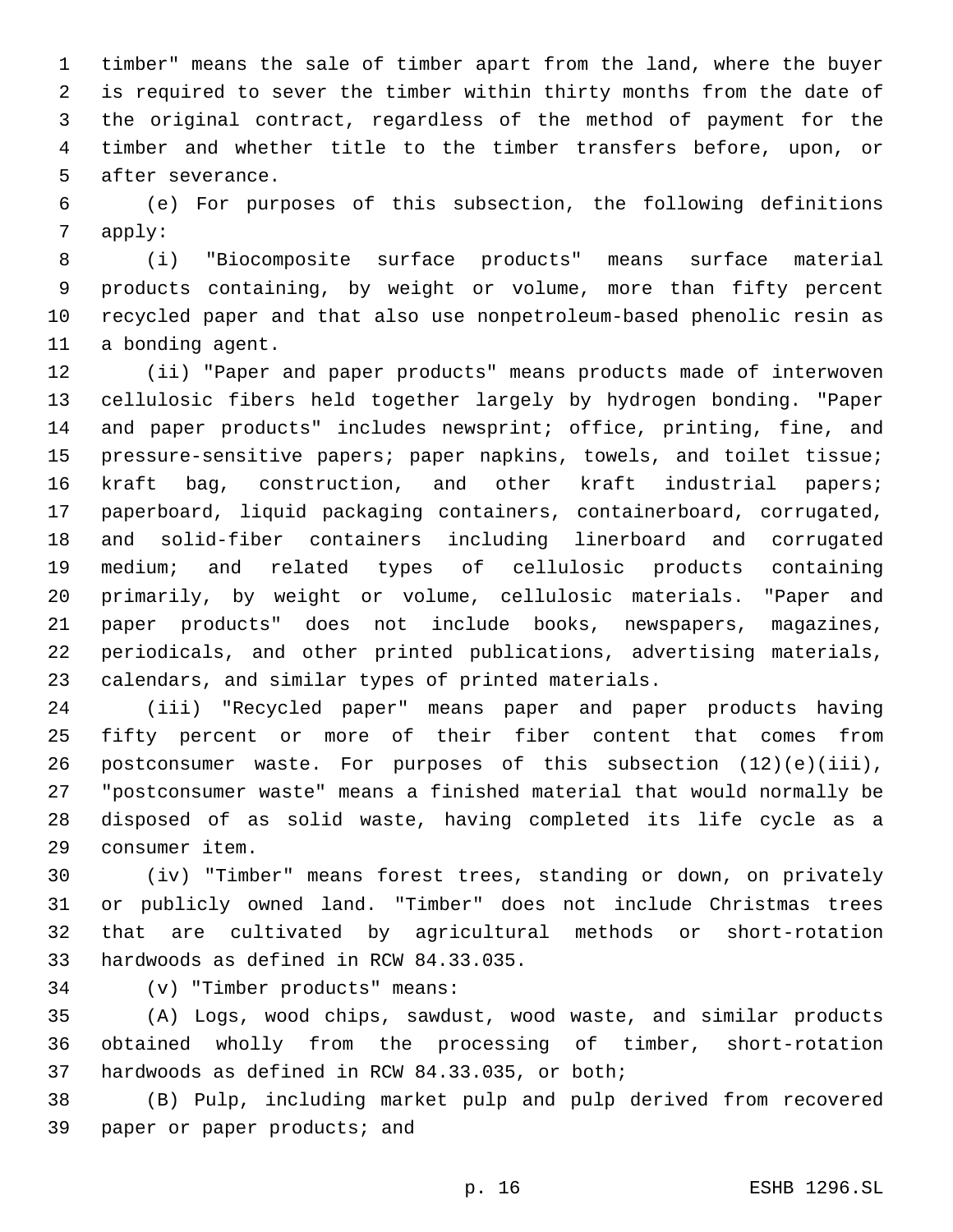timber" means the sale of timber apart from the land, where the buyer is required to sever the timber within thirty months from the date of the original contract, regardless of the method of payment for the timber and whether title to the timber transfers before, upon, or 5 after severance.

 (e) For purposes of this subsection, the following definitions apply:

 (i) "Biocomposite surface products" means surface material products containing, by weight or volume, more than fifty percent recycled paper and that also use nonpetroleum-based phenolic resin as 11 a bonding agent.

 (ii) "Paper and paper products" means products made of interwoven cellulosic fibers held together largely by hydrogen bonding. "Paper and paper products" includes newsprint; office, printing, fine, and pressure-sensitive papers; paper napkins, towels, and toilet tissue; kraft bag, construction, and other kraft industrial papers; paperboard, liquid packaging containers, containerboard, corrugated, and solid-fiber containers including linerboard and corrugated medium; and related types of cellulosic products containing primarily, by weight or volume, cellulosic materials. "Paper and paper products" does not include books, newspapers, magazines, periodicals, and other printed publications, advertising materials, calendars, and similar types of printed materials.

 (iii) "Recycled paper" means paper and paper products having fifty percent or more of their fiber content that comes from postconsumer waste. For purposes of this subsection (12)(e)(iii), "postconsumer waste" means a finished material that would normally be disposed of as solid waste, having completed its life cycle as a consumer item.29

 (iv) "Timber" means forest trees, standing or down, on privately or publicly owned land. "Timber" does not include Christmas trees that are cultivated by agricultural methods or short-rotation 33 hardwoods as defined in RCW 84.33.035.

(v) "Timber products" means:34

 (A) Logs, wood chips, sawdust, wood waste, and similar products obtained wholly from the processing of timber, short-rotation 37 hardwoods as defined in RCW 84.33.035, or both;

 (B) Pulp, including market pulp and pulp derived from recovered 39 paper or paper products; and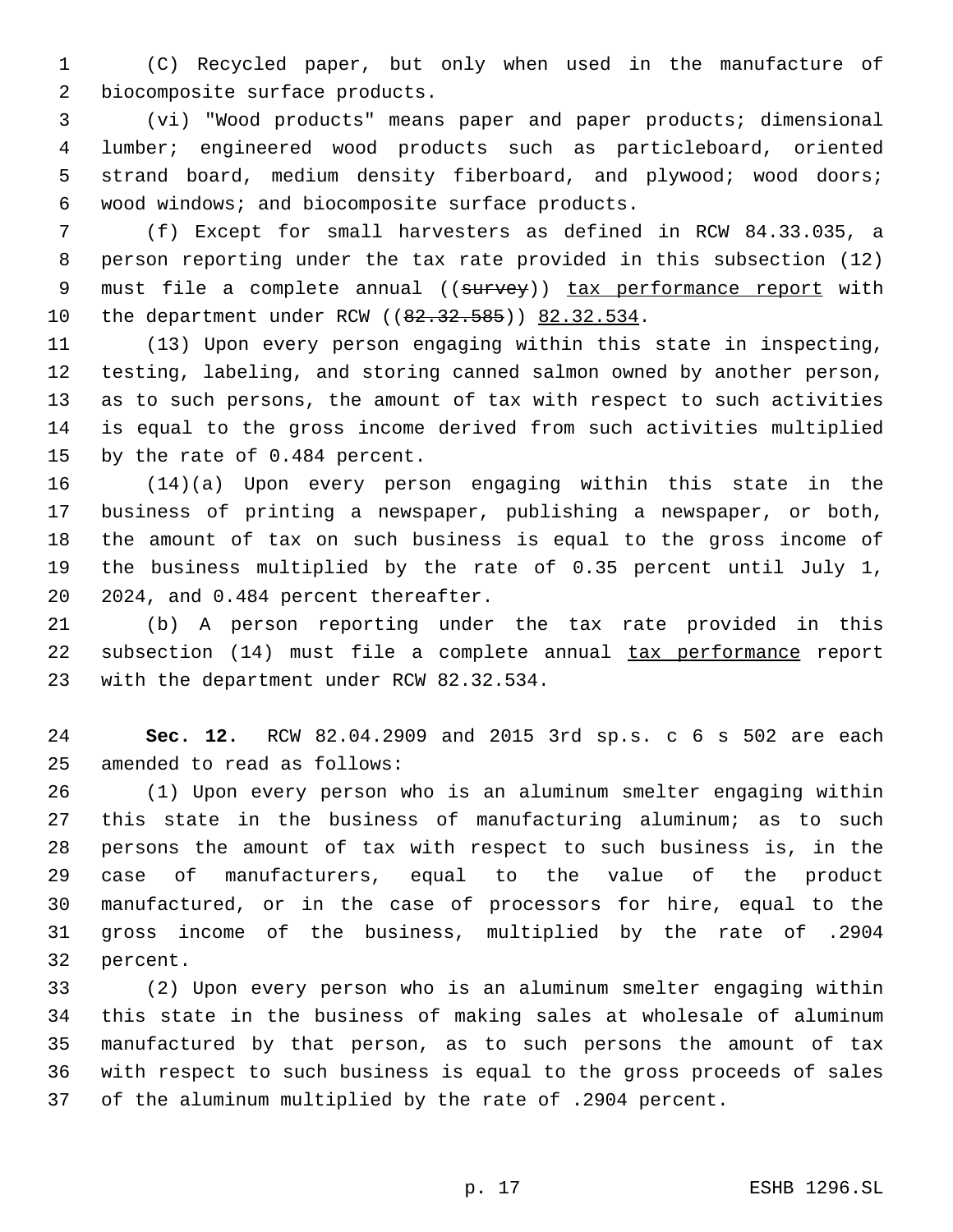(C) Recycled paper, but only when used in the manufacture of 2 biocomposite surface products.

 (vi) "Wood products" means paper and paper products; dimensional lumber; engineered wood products such as particleboard, oriented strand board, medium density fiberboard, and plywood; wood doors; 6 wood windows; and biocomposite surface products.

 (f) Except for small harvesters as defined in RCW 84.33.035, a person reporting under the tax rate provided in this subsection (12) 9 must file a complete annual ((survey)) tax performance report with 10 the department under RCW ((82.32.585)) 82.32.534.

 (13) Upon every person engaging within this state in inspecting, testing, labeling, and storing canned salmon owned by another person, as to such persons, the amount of tax with respect to such activities is equal to the gross income derived from such activities multiplied 15 by the rate of 0.484 percent.

 (14)(a) Upon every person engaging within this state in the business of printing a newspaper, publishing a newspaper, or both, the amount of tax on such business is equal to the gross income of the business multiplied by the rate of 0.35 percent until July 1, 20 2024, and 0.484 percent thereafter.

 (b) A person reporting under the tax rate provided in this subsection (14) must file a complete annual tax performance report 23 with the department under RCW 82.32.534.

 **Sec. 12.** RCW 82.04.2909 and 2015 3rd sp.s. c 6 s 502 are each 25 amended to read as follows:

 (1) Upon every person who is an aluminum smelter engaging within this state in the business of manufacturing aluminum; as to such persons the amount of tax with respect to such business is, in the case of manufacturers, equal to the value of the product manufactured, or in the case of processors for hire, equal to the gross income of the business, multiplied by the rate of .2904 32 percent.

 (2) Upon every person who is an aluminum smelter engaging within this state in the business of making sales at wholesale of aluminum manufactured by that person, as to such persons the amount of tax with respect to such business is equal to the gross proceeds of sales of the aluminum multiplied by the rate of .2904 percent.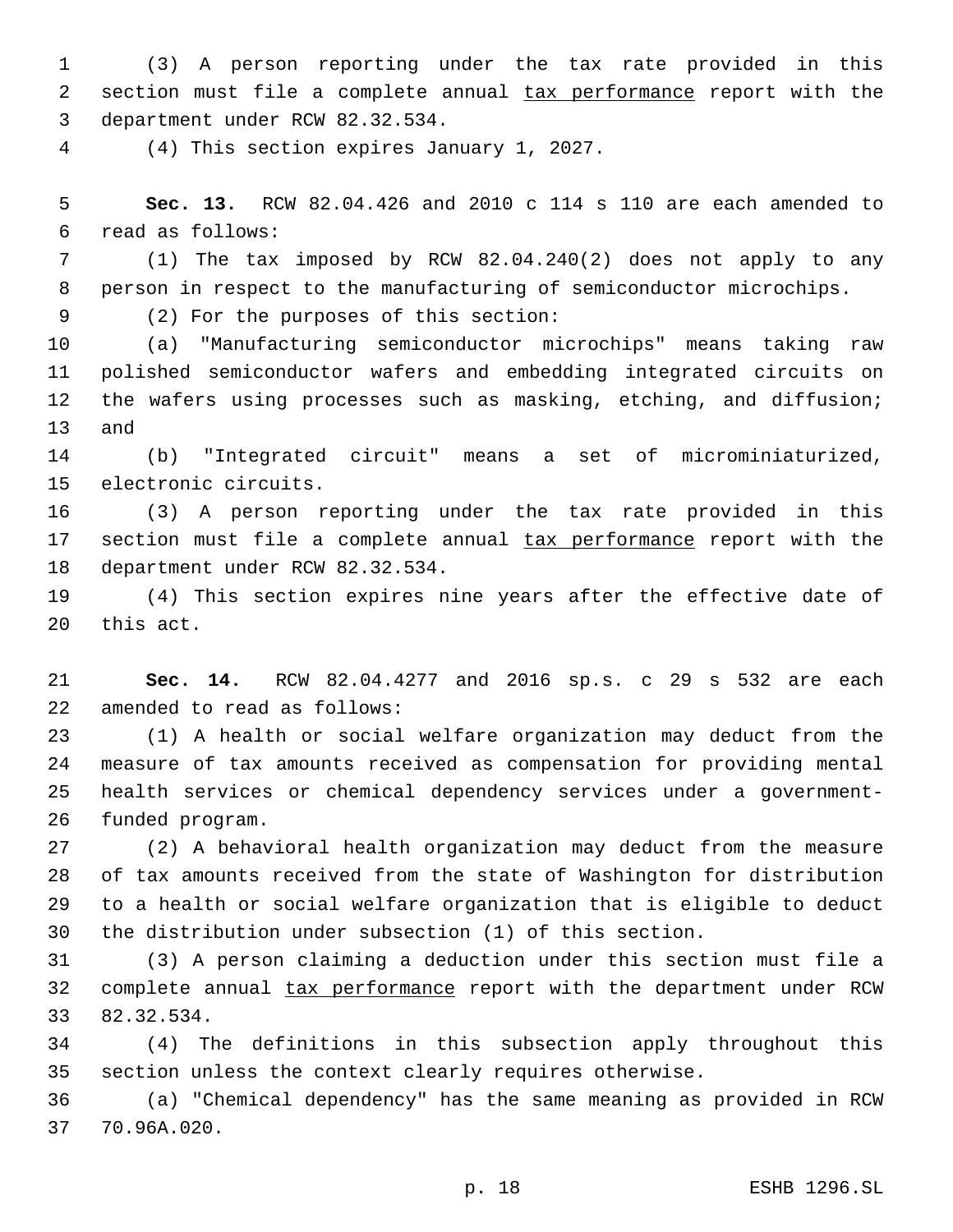(3) A person reporting under the tax rate provided in this section must file a complete annual tax performance report with the 3 department under RCW 82.32.534.

(4) This section expires January 1, 2027.4

 **Sec. 13.** RCW 82.04.426 and 2010 c 114 s 110 are each amended to read as follows:6

 (1) The tax imposed by RCW 82.04.240(2) does not apply to any person in respect to the manufacturing of semiconductor microchips.

(2) For the purposes of this section:9

 (a) "Manufacturing semiconductor microchips" means taking raw polished semiconductor wafers and embedding integrated circuits on the wafers using processes such as masking, etching, and diffusion; 13 and

 (b) "Integrated circuit" means a set of microminiaturized, 15 electronic circuits.

 (3) A person reporting under the tax rate provided in this 17 section must file a complete annual tax performance report with the 18 department under RCW 82.32.534.

 (4) This section expires nine years after the effective date of 20 this act.

 **Sec. 14.** RCW 82.04.4277 and 2016 sp.s. c 29 s 532 are each 22 amended to read as follows:

 (1) A health or social welfare organization may deduct from the measure of tax amounts received as compensation for providing mental health services or chemical dependency services under a government-26 funded program.

 (2) A behavioral health organization may deduct from the measure of tax amounts received from the state of Washington for distribution to a health or social welfare organization that is eligible to deduct the distribution under subsection (1) of this section.

 (3) A person claiming a deduction under this section must file a 32 complete annual tax performance report with the department under RCW 33 82.32.534.

 (4) The definitions in this subsection apply throughout this section unless the context clearly requires otherwise.

 (a) "Chemical dependency" has the same meaning as provided in RCW 37 70.96A.020.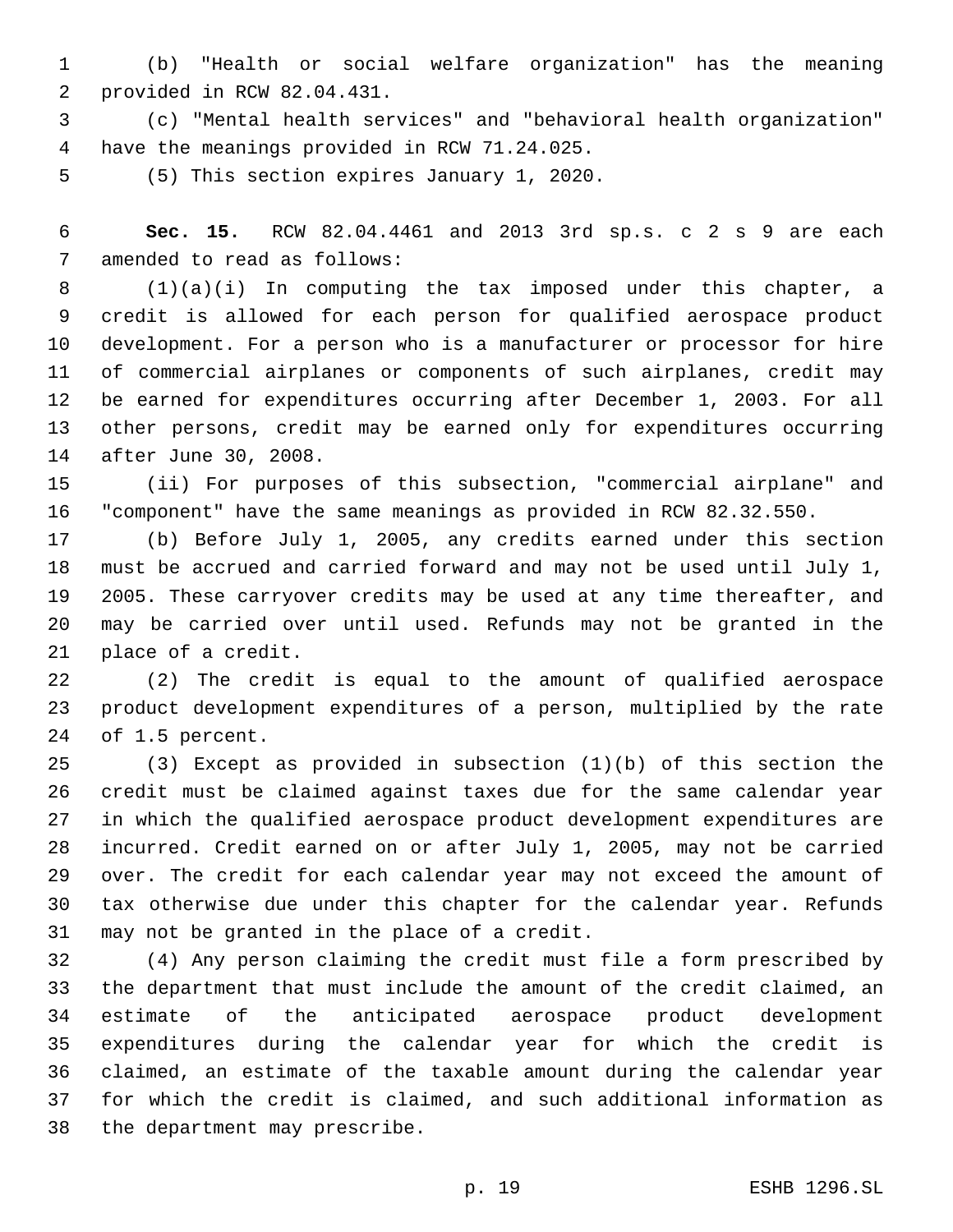(b) "Health or social welfare organization" has the meaning provided in RCW 82.04.431.2

 (c) "Mental health services" and "behavioral health organization" 4 have the meanings provided in RCW 71.24.025.

5 (5) This section expires January 1, 2020.

 **Sec. 15.** RCW 82.04.4461 and 2013 3rd sp.s. c 2 s 9 are each 7 amended to read as follows:

 (1)(a)(i) In computing the tax imposed under this chapter, a credit is allowed for each person for qualified aerospace product development. For a person who is a manufacturer or processor for hire of commercial airplanes or components of such airplanes, credit may be earned for expenditures occurring after December 1, 2003. For all other persons, credit may be earned only for expenditures occurring 14 after June 30, 2008.

 (ii) For purposes of this subsection, "commercial airplane" and "component" have the same meanings as provided in RCW 82.32.550.

 (b) Before July 1, 2005, any credits earned under this section must be accrued and carried forward and may not be used until July 1, 2005. These carryover credits may be used at any time thereafter, and may be carried over until used. Refunds may not be granted in the 21 place of a credit.

 (2) The credit is equal to the amount of qualified aerospace product development expenditures of a person, multiplied by the rate 24 of 1.5 percent.

 (3) Except as provided in subsection (1)(b) of this section the credit must be claimed against taxes due for the same calendar year in which the qualified aerospace product development expenditures are incurred. Credit earned on or after July 1, 2005, may not be carried over. The credit for each calendar year may not exceed the amount of tax otherwise due under this chapter for the calendar year. Refunds 31 may not be granted in the place of a credit.

 (4) Any person claiming the credit must file a form prescribed by the department that must include the amount of the credit claimed, an estimate of the anticipated aerospace product development expenditures during the calendar year for which the credit is claimed, an estimate of the taxable amount during the calendar year for which the credit is claimed, and such additional information as 38 the department may prescribe.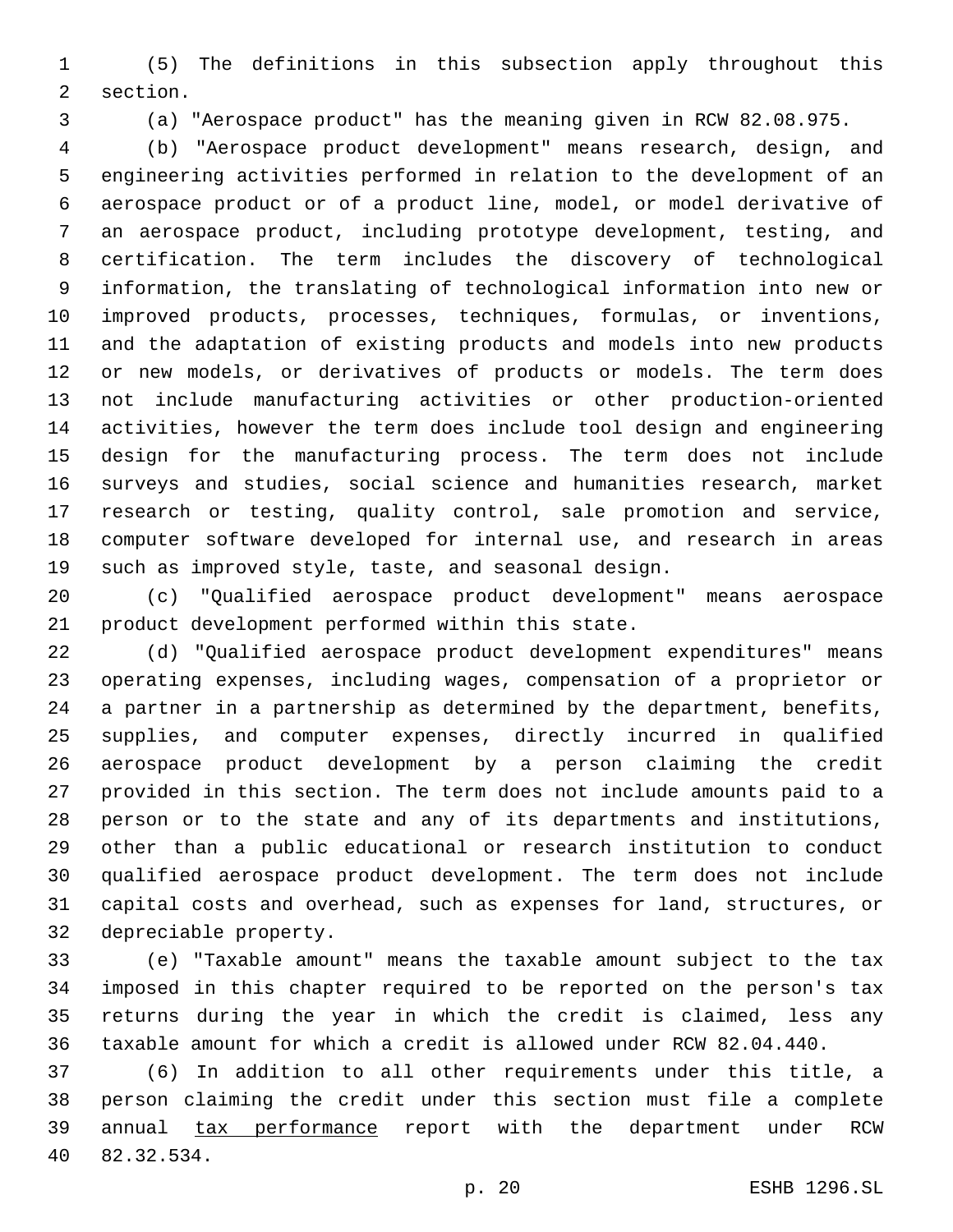(5) The definitions in this subsection apply throughout this 2 section.

(a) "Aerospace product" has the meaning given in RCW 82.08.975.

 (b) "Aerospace product development" means research, design, and engineering activities performed in relation to the development of an aerospace product or of a product line, model, or model derivative of an aerospace product, including prototype development, testing, and certification. The term includes the discovery of technological information, the translating of technological information into new or improved products, processes, techniques, formulas, or inventions, and the adaptation of existing products and models into new products or new models, or derivatives of products or models. The term does not include manufacturing activities or other production-oriented activities, however the term does include tool design and engineering design for the manufacturing process. The term does not include surveys and studies, social science and humanities research, market research or testing, quality control, sale promotion and service, computer software developed for internal use, and research in areas such as improved style, taste, and seasonal design.

 (c) "Qualified aerospace product development" means aerospace 21 product development performed within this state.

 (d) "Qualified aerospace product development expenditures" means operating expenses, including wages, compensation of a proprietor or a partner in a partnership as determined by the department, benefits, supplies, and computer expenses, directly incurred in qualified aerospace product development by a person claiming the credit provided in this section. The term does not include amounts paid to a person or to the state and any of its departments and institutions, other than a public educational or research institution to conduct qualified aerospace product development. The term does not include capital costs and overhead, such as expenses for land, structures, or 32 depreciable property.

 (e) "Taxable amount" means the taxable amount subject to the tax imposed in this chapter required to be reported on the person's tax returns during the year in which the credit is claimed, less any taxable amount for which a credit is allowed under RCW 82.04.440.

 (6) In addition to all other requirements under this title, a person claiming the credit under this section must file a complete 39 annual tax performance report with the department under RCW 82.32.534.40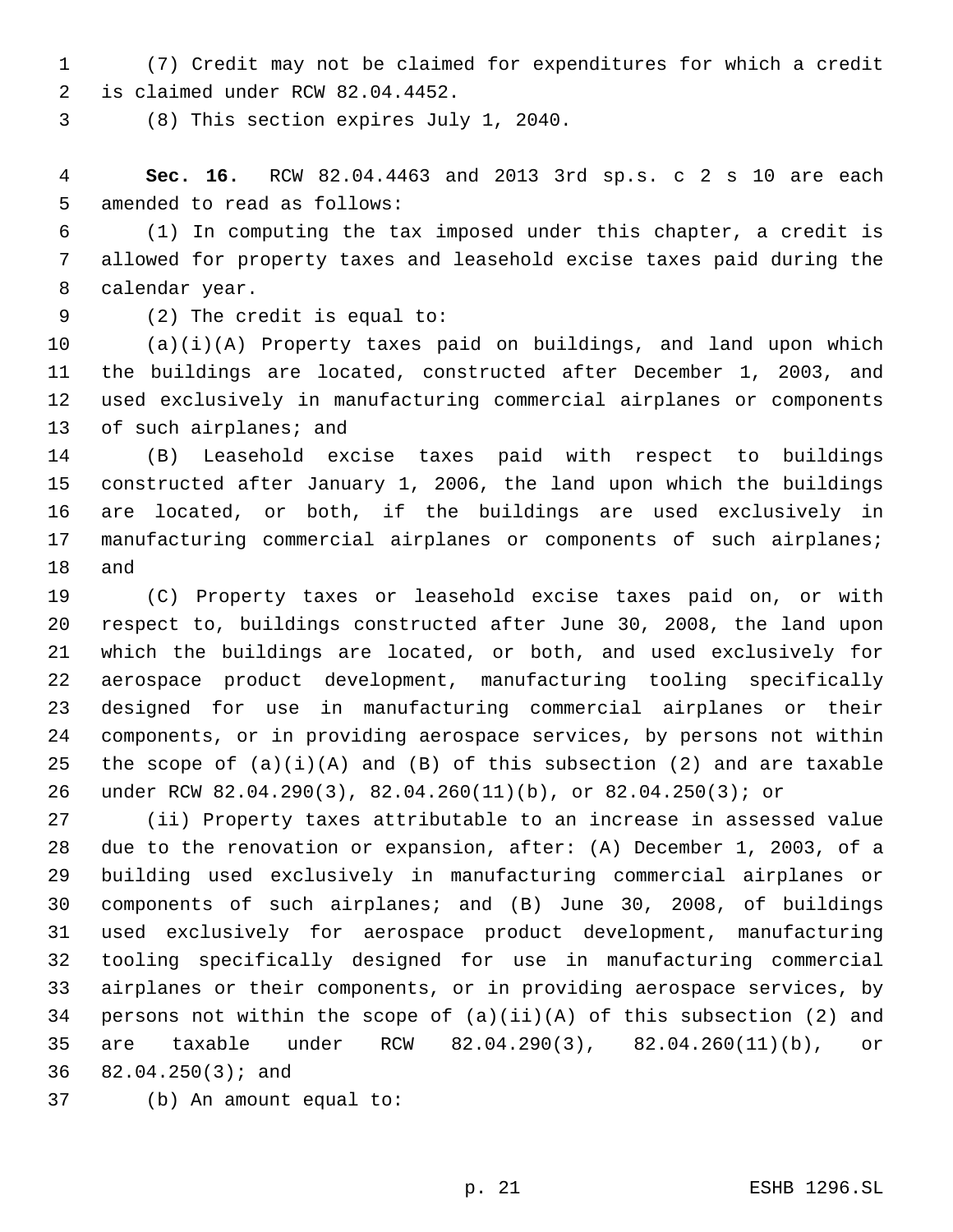(7) Credit may not be claimed for expenditures for which a credit 2 is claimed under RCW 82.04.4452.

(8) This section expires July 1, 2040.3

 **Sec. 16.** RCW 82.04.4463 and 2013 3rd sp.s. c 2 s 10 are each 5 amended to read as follows:

 (1) In computing the tax imposed under this chapter, a credit is allowed for property taxes and leasehold excise taxes paid during the 8 calendar year.

(2) The credit is equal to:9

 (a)(i)(A) Property taxes paid on buildings, and land upon which the buildings are located, constructed after December 1, 2003, and used exclusively in manufacturing commercial airplanes or components 13 of such airplanes; and

 (B) Leasehold excise taxes paid with respect to buildings constructed after January 1, 2006, the land upon which the buildings are located, or both, if the buildings are used exclusively in manufacturing commercial airplanes or components of such airplanes; 18 and

 (C) Property taxes or leasehold excise taxes paid on, or with respect to, buildings constructed after June 30, 2008, the land upon which the buildings are located, or both, and used exclusively for aerospace product development, manufacturing tooling specifically designed for use in manufacturing commercial airplanes or their components, or in providing aerospace services, by persons not within 25 the scope of  $(a)(i)(A)$  and  $(B)$  of this subsection (2) and are taxable under RCW 82.04.290(3), 82.04.260(11)(b), or 82.04.250(3); or

 (ii) Property taxes attributable to an increase in assessed value due to the renovation or expansion, after: (A) December 1, 2003, of a building used exclusively in manufacturing commercial airplanes or components of such airplanes; and (B) June 30, 2008, of buildings used exclusively for aerospace product development, manufacturing tooling specifically designed for use in manufacturing commercial airplanes or their components, or in providing aerospace services, by 34 persons not within the scope of  $(a)(ii)(A)$  of this subsection (2) and are taxable under RCW 82.04.290(3), 82.04.260(11)(b), or 36 82.04.250(3); and

37 (b) An amount equal to: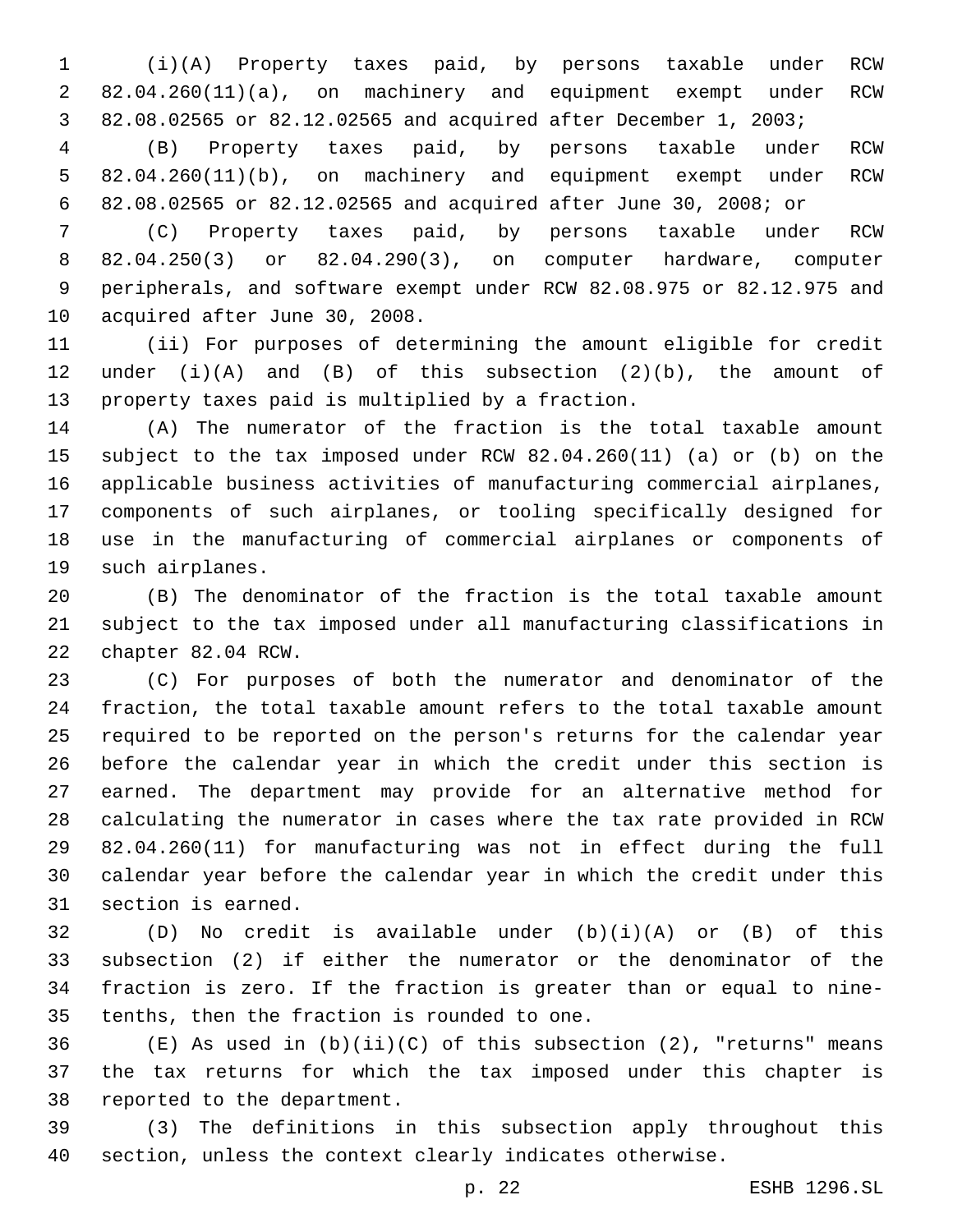(i)(A) Property taxes paid, by persons taxable under RCW 82.04.260(11)(a), on machinery and equipment exempt under RCW 82.08.02565 or 82.12.02565 and acquired after December 1, 2003;

 (B) Property taxes paid, by persons taxable under RCW 82.04.260(11)(b), on machinery and equipment exempt under RCW 82.08.02565 or 82.12.02565 and acquired after June 30, 2008; or

 (C) Property taxes paid, by persons taxable under RCW 82.04.250(3) or 82.04.290(3), on computer hardware, computer peripherals, and software exempt under RCW 82.08.975 or 82.12.975 and 10 acquired after June 30, 2008.

 (ii) For purposes of determining the amount eligible for credit under (i)(A) and (B) of this subsection (2)(b), the amount of 13 property taxes paid is multiplied by a fraction.

 (A) The numerator of the fraction is the total taxable amount subject to the tax imposed under RCW 82.04.260(11) (a) or (b) on the applicable business activities of manufacturing commercial airplanes, components of such airplanes, or tooling specifically designed for use in the manufacturing of commercial airplanes or components of 19 such airplanes.

 (B) The denominator of the fraction is the total taxable amount subject to the tax imposed under all manufacturing classifications in 22 chapter 82.04 RCW.

 (C) For purposes of both the numerator and denominator of the fraction, the total taxable amount refers to the total taxable amount required to be reported on the person's returns for the calendar year before the calendar year in which the credit under this section is earned. The department may provide for an alternative method for calculating the numerator in cases where the tax rate provided in RCW 82.04.260(11) for manufacturing was not in effect during the full calendar year before the calendar year in which the credit under this 31 section is earned.

 (D) No credit is available under (b)(i)(A) or (B) of this subsection (2) if either the numerator or the denominator of the fraction is zero. If the fraction is greater than or equal to nine-35 tenths, then the fraction is rounded to one.

 (E) As used in (b)(ii)(C) of this subsection (2), "returns" means the tax returns for which the tax imposed under this chapter is 38 reported to the department.

 (3) The definitions in this subsection apply throughout this section, unless the context clearly indicates otherwise.

p. 22 ESHB 1296.SL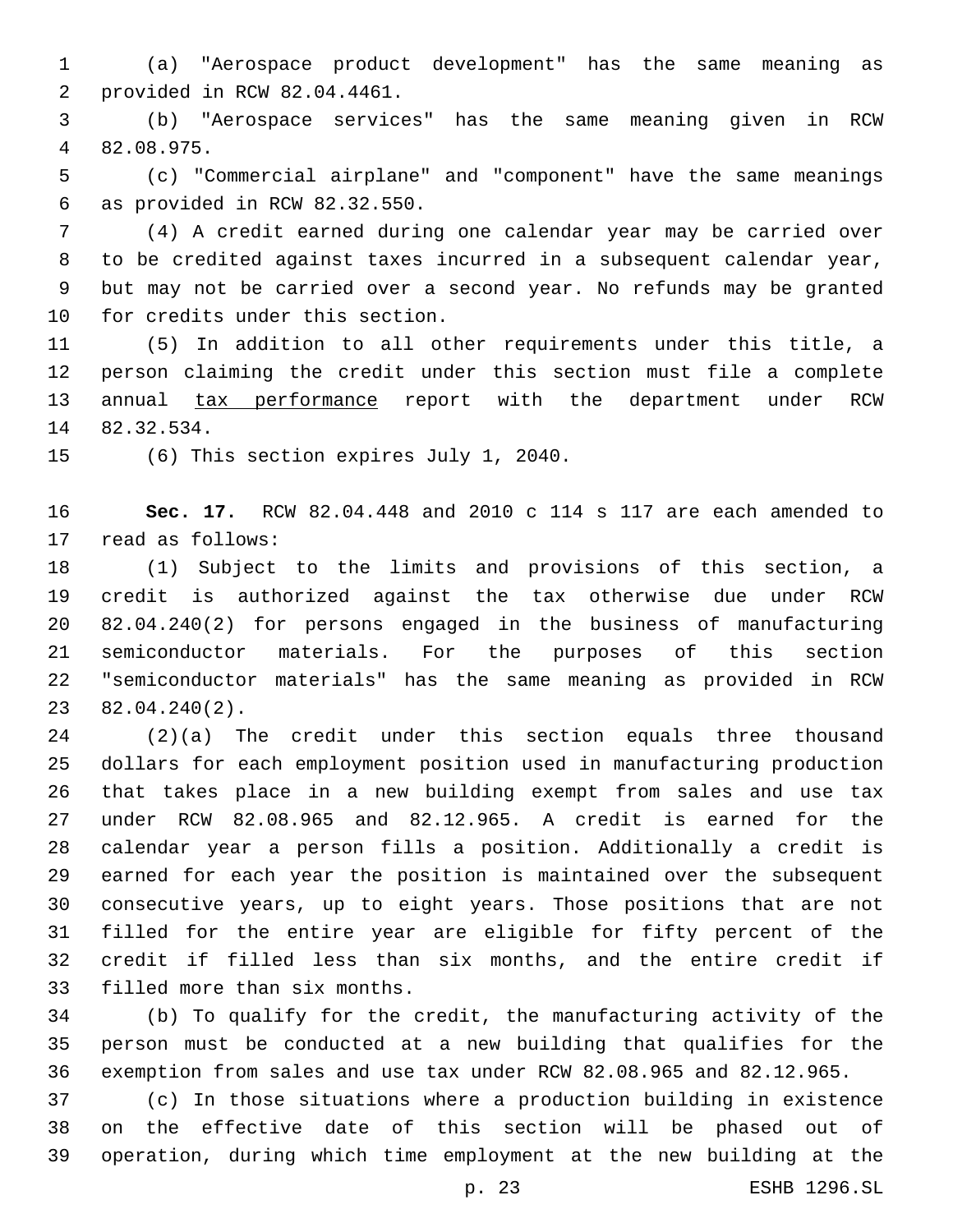(a) "Aerospace product development" has the same meaning as 2 provided in RCW 82.04.4461.

 (b) "Aerospace services" has the same meaning given in RCW 82.08.975.4

 (c) "Commercial airplane" and "component" have the same meanings as provided in RCW 82.32.550.6

 (4) A credit earned during one calendar year may be carried over to be credited against taxes incurred in a subsequent calendar year, but may not be carried over a second year. No refunds may be granted 10 for credits under this section.

 (5) In addition to all other requirements under this title, a person claiming the credit under this section must file a complete 13 annual tax performance report with the department under RCW 14 82.32.534.

15 (6) This section expires July 1, 2040.

 **Sec. 17.** RCW 82.04.448 and 2010 c 114 s 117 are each amended to 17 read as follows:

 (1) Subject to the limits and provisions of this section, a credit is authorized against the tax otherwise due under RCW 82.04.240(2) for persons engaged in the business of manufacturing semiconductor materials. For the purposes of this section "semiconductor materials" has the same meaning as provided in RCW  $82.04.240(2)$ .

 (2)(a) The credit under this section equals three thousand dollars for each employment position used in manufacturing production that takes place in a new building exempt from sales and use tax under RCW 82.08.965 and 82.12.965. A credit is earned for the calendar year a person fills a position. Additionally a credit is earned for each year the position is maintained over the subsequent consecutive years, up to eight years. Those positions that are not filled for the entire year are eligible for fifty percent of the credit if filled less than six months, and the entire credit if 33 filled more than six months.

 (b) To qualify for the credit, the manufacturing activity of the person must be conducted at a new building that qualifies for the exemption from sales and use tax under RCW 82.08.965 and 82.12.965.

 (c) In those situations where a production building in existence on the effective date of this section will be phased out of operation, during which time employment at the new building at the

p. 23 ESHB 1296.SL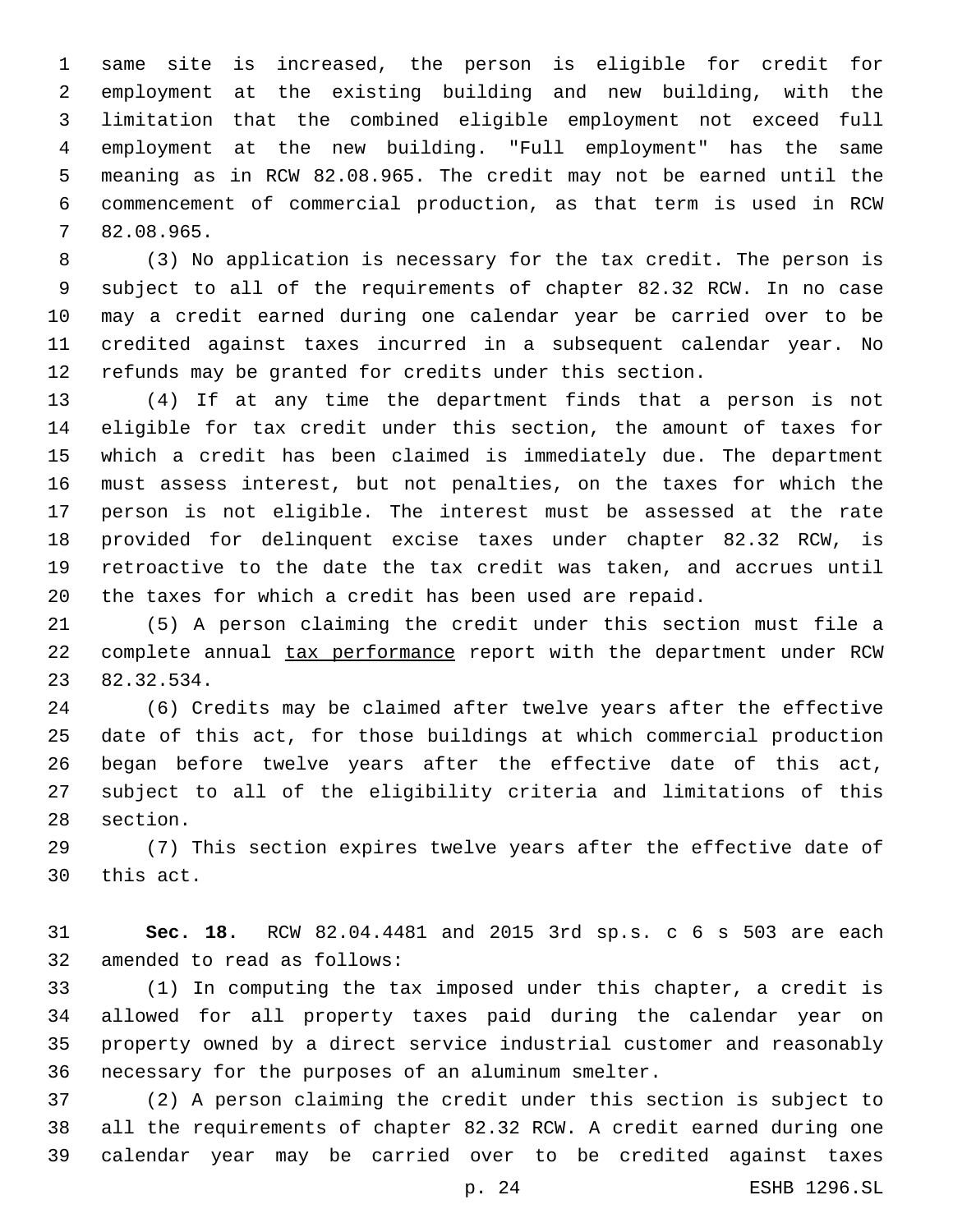same site is increased, the person is eligible for credit for employment at the existing building and new building, with the limitation that the combined eligible employment not exceed full employment at the new building. "Full employment" has the same meaning as in RCW 82.08.965. The credit may not be earned until the commencement of commercial production, as that term is used in RCW 82.08.965.7

 (3) No application is necessary for the tax credit. The person is subject to all of the requirements of chapter 82.32 RCW. In no case may a credit earned during one calendar year be carried over to be credited against taxes incurred in a subsequent calendar year. No refunds may be granted for credits under this section.

 (4) If at any time the department finds that a person is not eligible for tax credit under this section, the amount of taxes for which a credit has been claimed is immediately due. The department must assess interest, but not penalties, on the taxes for which the person is not eligible. The interest must be assessed at the rate provided for delinquent excise taxes under chapter 82.32 RCW, is retroactive to the date the tax credit was taken, and accrues until the taxes for which a credit has been used are repaid.

 (5) A person claiming the credit under this section must file a complete annual tax performance report with the department under RCW 82.32.534.23

 (6) Credits may be claimed after twelve years after the effective date of this act, for those buildings at which commercial production began before twelve years after the effective date of this act, subject to all of the eligibility criteria and limitations of this 28 section.

 (7) This section expires twelve years after the effective date of 30 this act.

 **Sec. 18.** RCW 82.04.4481 and 2015 3rd sp.s. c 6 s 503 are each 32 amended to read as follows:

 (1) In computing the tax imposed under this chapter, a credit is allowed for all property taxes paid during the calendar year on property owned by a direct service industrial customer and reasonably necessary for the purposes of an aluminum smelter.

 (2) A person claiming the credit under this section is subject to all the requirements of chapter 82.32 RCW. A credit earned during one calendar year may be carried over to be credited against taxes

p. 24 ESHB 1296.SL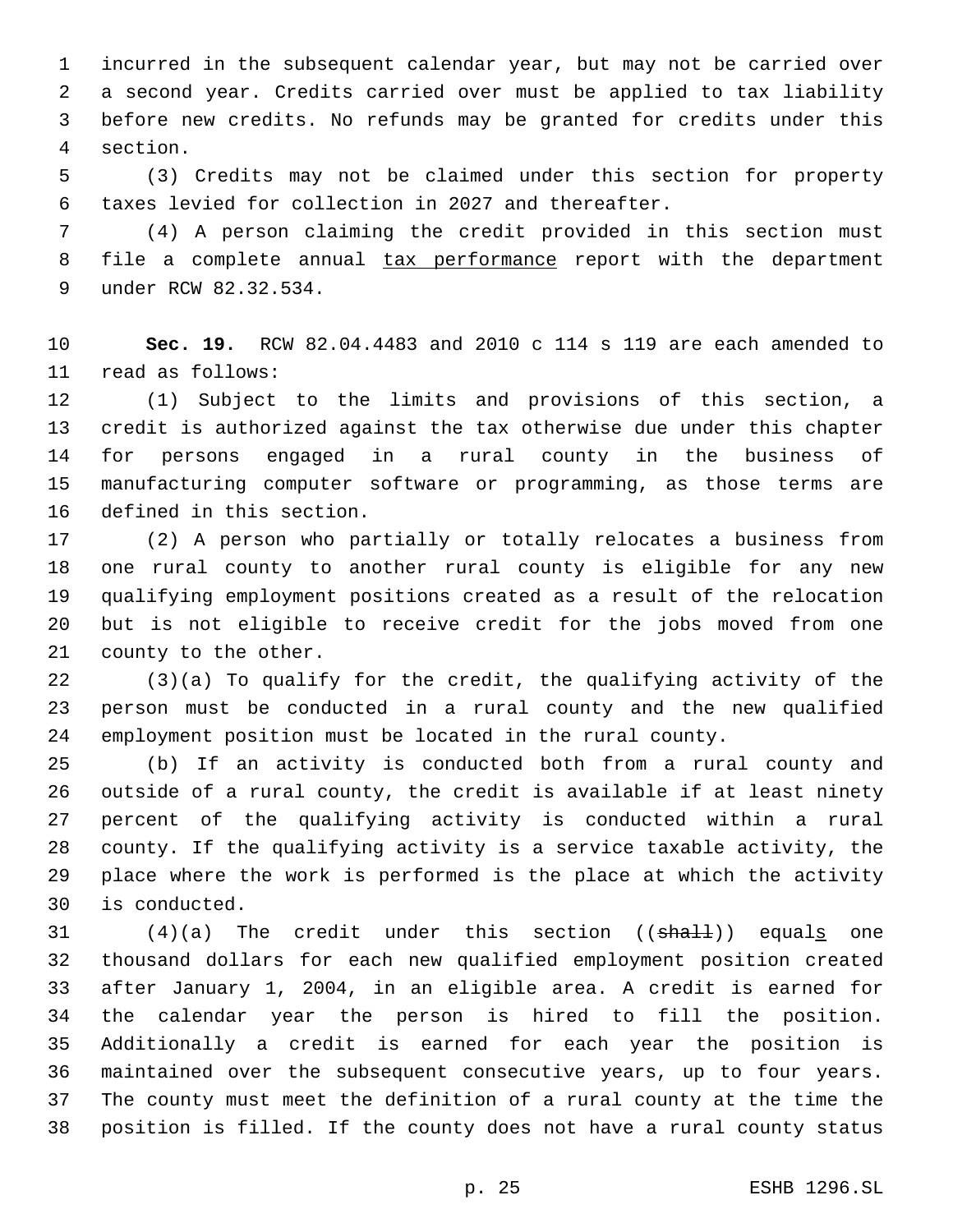incurred in the subsequent calendar year, but may not be carried over a second year. Credits carried over must be applied to tax liability before new credits. No refunds may be granted for credits under this section.4

 (3) Credits may not be claimed under this section for property taxes levied for collection in 2027 and thereafter.

 (4) A person claiming the credit provided in this section must 8 file a complete annual tax performance report with the department under RCW 82.32.534.9

 **Sec. 19.** RCW 82.04.4483 and 2010 c 114 s 119 are each amended to 11 read as follows:

 (1) Subject to the limits and provisions of this section, a credit is authorized against the tax otherwise due under this chapter for persons engaged in a rural county in the business of manufacturing computer software or programming, as those terms are 16 defined in this section.

 (2) A person who partially or totally relocates a business from one rural county to another rural county is eligible for any new qualifying employment positions created as a result of the relocation but is not eligible to receive credit for the jobs moved from one 21 county to the other.

 (3)(a) To qualify for the credit, the qualifying activity of the person must be conducted in a rural county and the new qualified employment position must be located in the rural county.

 (b) If an activity is conducted both from a rural county and outside of a rural county, the credit is available if at least ninety percent of the qualifying activity is conducted within a rural county. If the qualifying activity is a service taxable activity, the place where the work is performed is the place at which the activity 30 is conducted.

 $(4)(a)$  The credit under this section  $((shall))$  equals one thousand dollars for each new qualified employment position created after January 1, 2004, in an eligible area. A credit is earned for the calendar year the person is hired to fill the position. Additionally a credit is earned for each year the position is maintained over the subsequent consecutive years, up to four years. The county must meet the definition of a rural county at the time the position is filled. If the county does not have a rural county status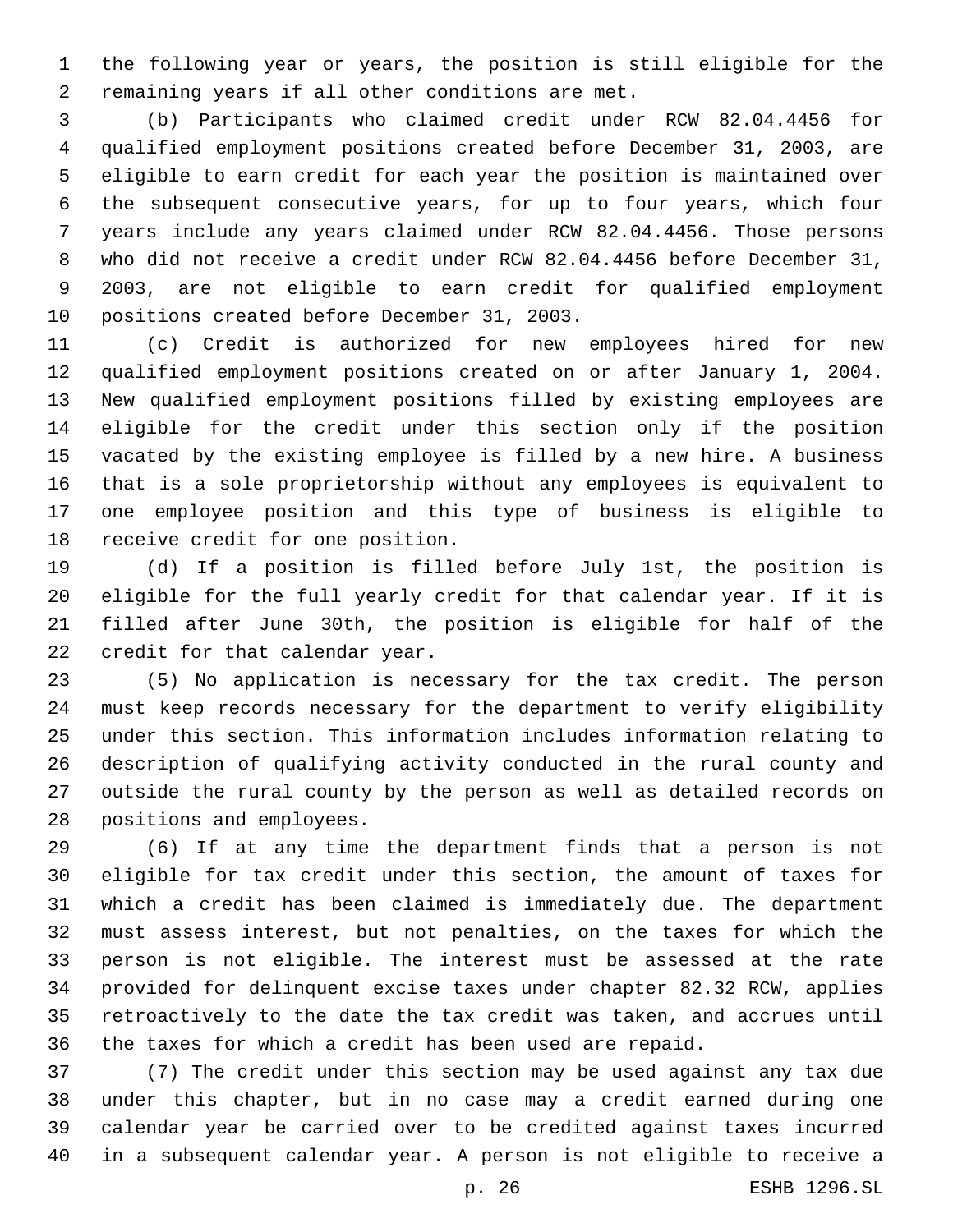the following year or years, the position is still eligible for the 2 remaining years if all other conditions are met.

 (b) Participants who claimed credit under RCW 82.04.4456 for qualified employment positions created before December 31, 2003, are eligible to earn credit for each year the position is maintained over the subsequent consecutive years, for up to four years, which four years include any years claimed under RCW 82.04.4456. Those persons who did not receive a credit under RCW 82.04.4456 before December 31, 2003, are not eligible to earn credit for qualified employment 10 positions created before December 31, 2003.

 (c) Credit is authorized for new employees hired for new qualified employment positions created on or after January 1, 2004. New qualified employment positions filled by existing employees are eligible for the credit under this section only if the position vacated by the existing employee is filled by a new hire. A business that is a sole proprietorship without any employees is equivalent to one employee position and this type of business is eligible to 18 receive credit for one position.

 (d) If a position is filled before July 1st, the position is eligible for the full yearly credit for that calendar year. If it is filled after June 30th, the position is eligible for half of the 22 credit for that calendar year.

 (5) No application is necessary for the tax credit. The person must keep records necessary for the department to verify eligibility under this section. This information includes information relating to description of qualifying activity conducted in the rural county and outside the rural county by the person as well as detailed records on 28 positions and employees.

 (6) If at any time the department finds that a person is not eligible for tax credit under this section, the amount of taxes for which a credit has been claimed is immediately due. The department must assess interest, but not penalties, on the taxes for which the person is not eligible. The interest must be assessed at the rate provided for delinquent excise taxes under chapter 82.32 RCW, applies retroactively to the date the tax credit was taken, and accrues until the taxes for which a credit has been used are repaid.

 (7) The credit under this section may be used against any tax due under this chapter, but in no case may a credit earned during one calendar year be carried over to be credited against taxes incurred in a subsequent calendar year. A person is not eligible to receive a

p. 26 ESHB 1296.SL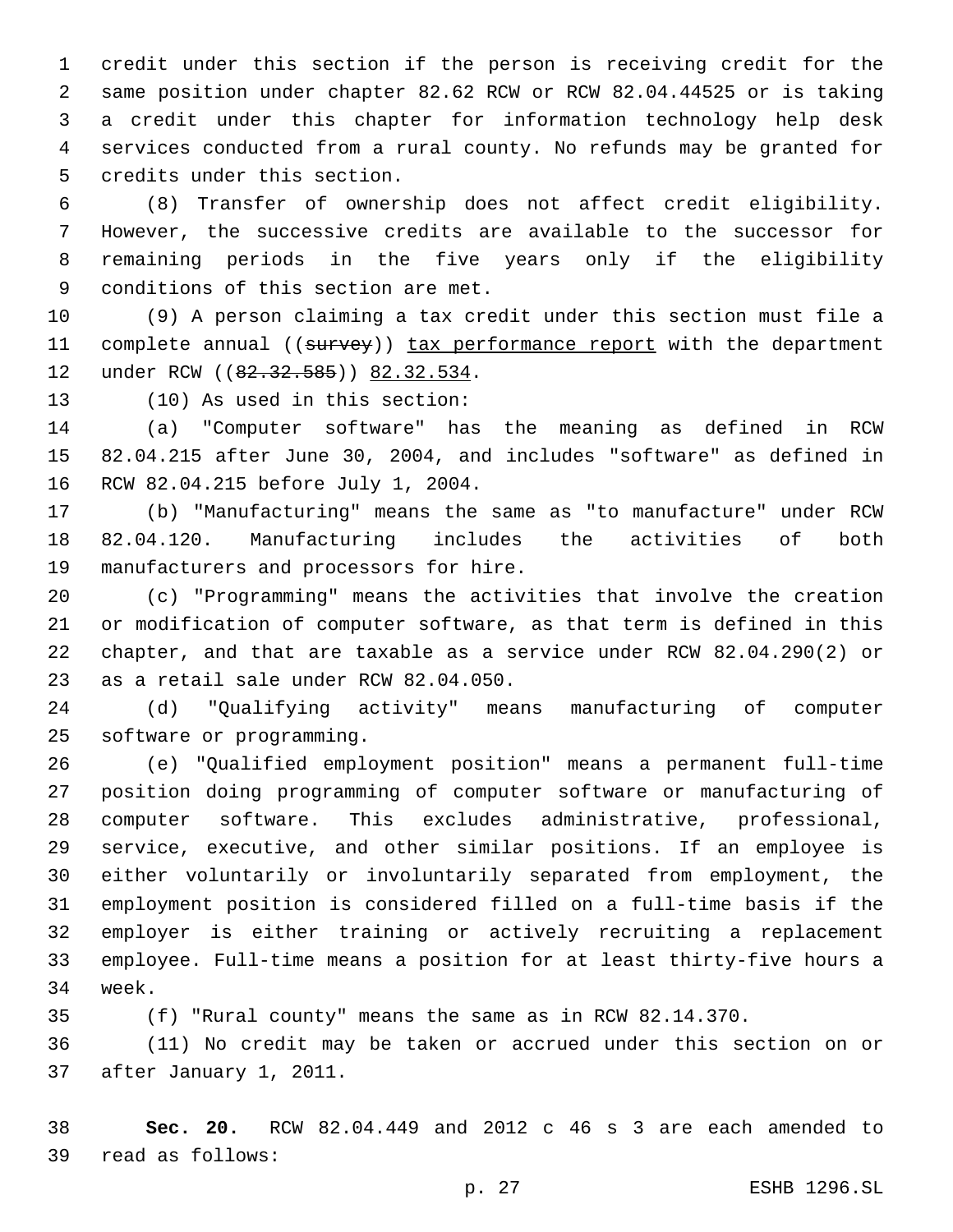credit under this section if the person is receiving credit for the same position under chapter 82.62 RCW or RCW 82.04.44525 or is taking a credit under this chapter for information technology help desk services conducted from a rural county. No refunds may be granted for 5 credits under this section.

 (8) Transfer of ownership does not affect credit eligibility. However, the successive credits are available to the successor for remaining periods in the five years only if the eligibility 9 conditions of this section are met.

 (9) A person claiming a tax credit under this section must file a 11 complete annual ((survey)) tax performance report with the department 12 under RCW ((82.32.585)) 82.32.534.

13 (10) As used in this section:

 (a) "Computer software" has the meaning as defined in RCW 82.04.215 after June 30, 2004, and includes "software" as defined in 16 RCW 82.04.215 before July 1, 2004.

 (b) "Manufacturing" means the same as "to manufacture" under RCW 82.04.120. Manufacturing includes the activities of both 19 manufacturers and processors for hire.

 (c) "Programming" means the activities that involve the creation or modification of computer software, as that term is defined in this chapter, and that are taxable as a service under RCW 82.04.290(2) or 23 as a retail sale under RCW 82.04.050.

 (d) "Qualifying activity" means manufacturing of computer 25 software or programming.

 (e) "Qualified employment position" means a permanent full-time position doing programming of computer software or manufacturing of computer software. This excludes administrative, professional, service, executive, and other similar positions. If an employee is either voluntarily or involuntarily separated from employment, the employment position is considered filled on a full-time basis if the employer is either training or actively recruiting a replacement employee. Full-time means a position for at least thirty-five hours a 34 week.

(f) "Rural county" means the same as in RCW 82.14.370.

 (11) No credit may be taken or accrued under this section on or 37 after January 1, 2011.

 **Sec. 20.** RCW 82.04.449 and 2012 c 46 s 3 are each amended to read as follows:39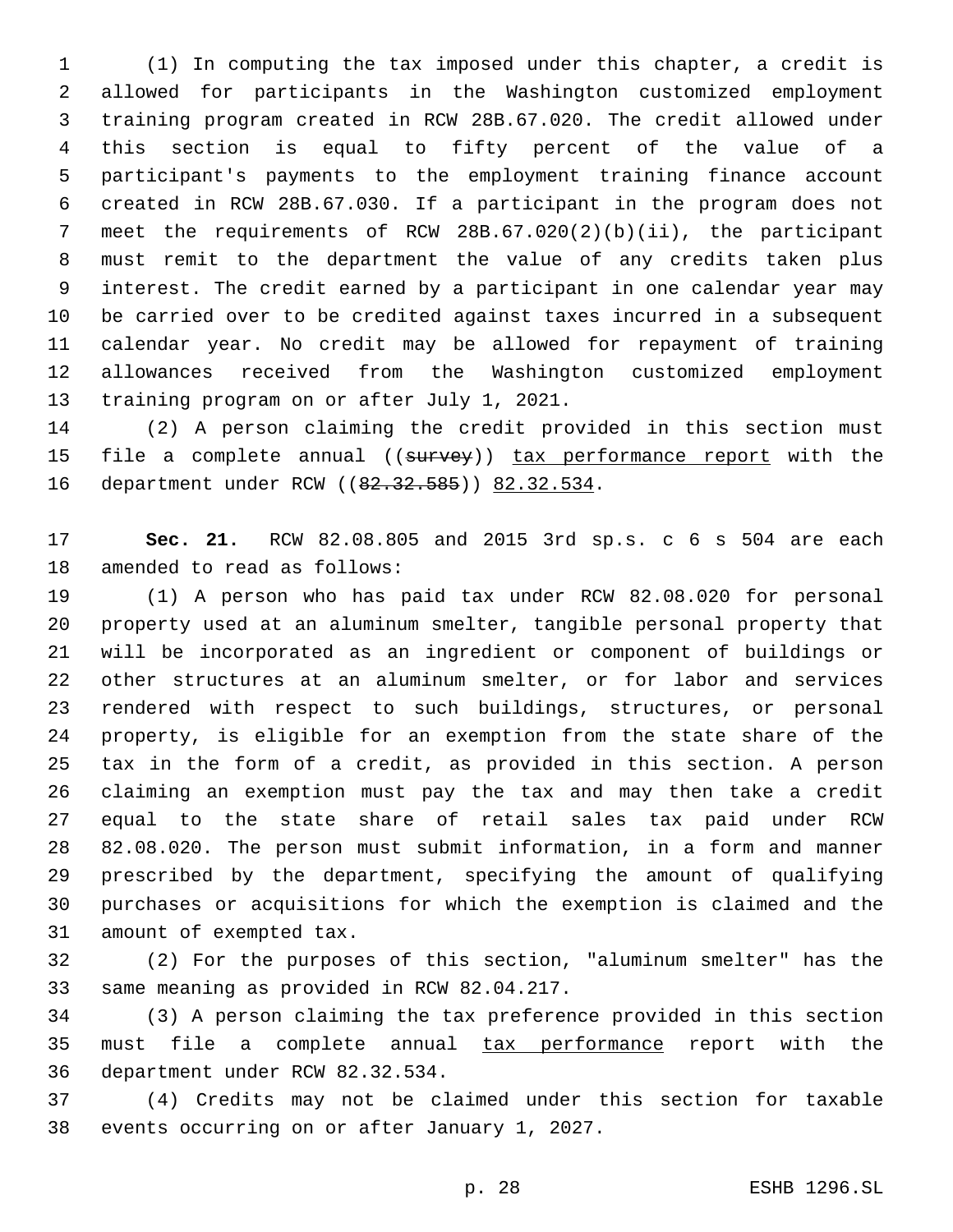(1) In computing the tax imposed under this chapter, a credit is allowed for participants in the Washington customized employment training program created in RCW 28B.67.020. The credit allowed under this section is equal to fifty percent of the value of a participant's payments to the employment training finance account created in RCW 28B.67.030. If a participant in the program does not meet the requirements of RCW 28B.67.020(2)(b)(ii), the participant must remit to the department the value of any credits taken plus interest. The credit earned by a participant in one calendar year may be carried over to be credited against taxes incurred in a subsequent calendar year. No credit may be allowed for repayment of training allowances received from the Washington customized employment 13 training program on or after July 1, 2021.

 (2) A person claiming the credit provided in this section must 15 file a complete annual ((survey)) tax performance report with the 16 department under RCW ((82.32.585)) 82.32.534.

 **Sec. 21.** RCW 82.08.805 and 2015 3rd sp.s. c 6 s 504 are each 18 amended to read as follows:

 (1) A person who has paid tax under RCW 82.08.020 for personal property used at an aluminum smelter, tangible personal property that will be incorporated as an ingredient or component of buildings or other structures at an aluminum smelter, or for labor and services rendered with respect to such buildings, structures, or personal property, is eligible for an exemption from the state share of the tax in the form of a credit, as provided in this section. A person claiming an exemption must pay the tax and may then take a credit equal to the state share of retail sales tax paid under RCW 82.08.020. The person must submit information, in a form and manner prescribed by the department, specifying the amount of qualifying purchases or acquisitions for which the exemption is claimed and the 31 amount of exempted tax.

 (2) For the purposes of this section, "aluminum smelter" has the 33 same meaning as provided in RCW 82.04.217.

 (3) A person claiming the tax preference provided in this section 35 must file a complete annual tax performance report with the 36 department under RCW 82.32.534.

 (4) Credits may not be claimed under this section for taxable 38 events occurring on or after January 1, 2027.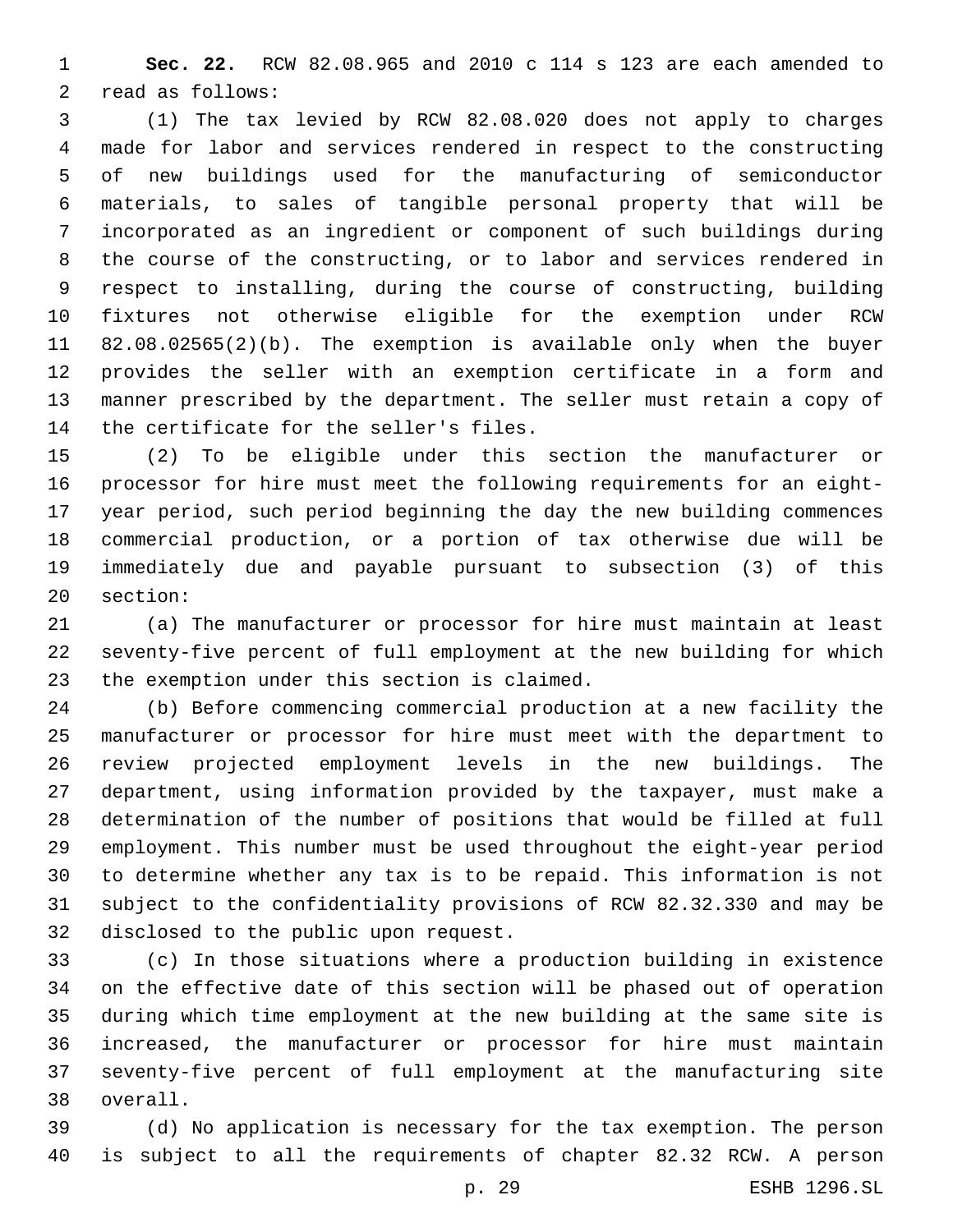**Sec. 22.** RCW 82.08.965 and 2010 c 114 s 123 are each amended to 2 read as follows:

 (1) The tax levied by RCW 82.08.020 does not apply to charges made for labor and services rendered in respect to the constructing of new buildings used for the manufacturing of semiconductor materials, to sales of tangible personal property that will be incorporated as an ingredient or component of such buildings during the course of the constructing, or to labor and services rendered in respect to installing, during the course of constructing, building fixtures not otherwise eligible for the exemption under RCW 82.08.02565(2)(b). The exemption is available only when the buyer provides the seller with an exemption certificate in a form and manner prescribed by the department. The seller must retain a copy of 14 the certificate for the seller's files.

 (2) To be eligible under this section the manufacturer or processor for hire must meet the following requirements for an eight- year period, such period beginning the day the new building commences commercial production, or a portion of tax otherwise due will be immediately due and payable pursuant to subsection (3) of this 20 section:

 (a) The manufacturer or processor for hire must maintain at least seventy-five percent of full employment at the new building for which 23 the exemption under this section is claimed.

 (b) Before commencing commercial production at a new facility the manufacturer or processor for hire must meet with the department to review projected employment levels in the new buildings. The department, using information provided by the taxpayer, must make a determination of the number of positions that would be filled at full employment. This number must be used throughout the eight-year period to determine whether any tax is to be repaid. This information is not subject to the confidentiality provisions of RCW 82.32.330 and may be 32 disclosed to the public upon request.

 (c) In those situations where a production building in existence on the effective date of this section will be phased out of operation during which time employment at the new building at the same site is increased, the manufacturer or processor for hire must maintain seventy-five percent of full employment at the manufacturing site 38 overall.

 (d) No application is necessary for the tax exemption. The person is subject to all the requirements of chapter 82.32 RCW. A person

p. 29 ESHB 1296.SL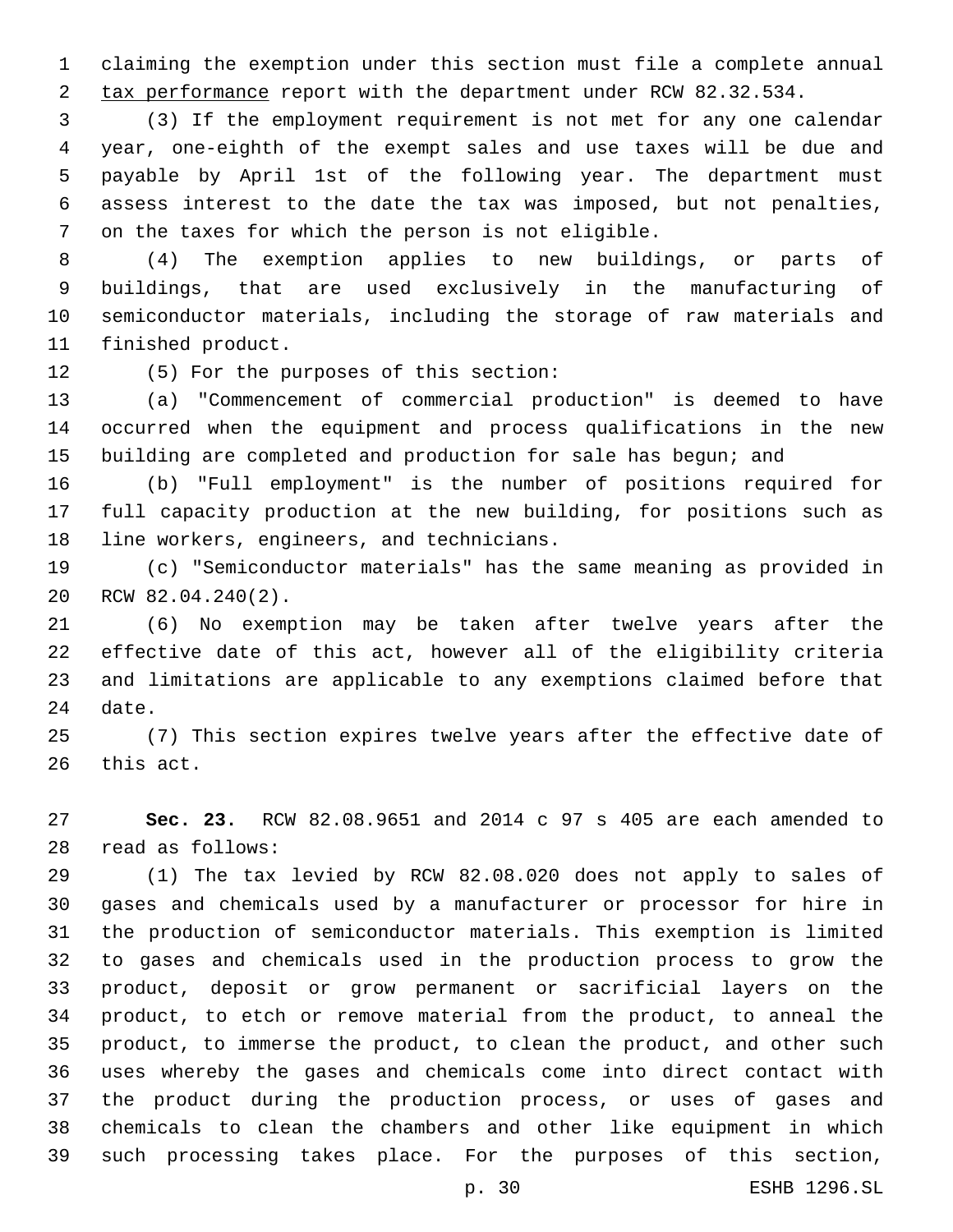claiming the exemption under this section must file a complete annual 2 tax performance report with the department under RCW 82.32.534.

 (3) If the employment requirement is not met for any one calendar year, one-eighth of the exempt sales and use taxes will be due and payable by April 1st of the following year. The department must assess interest to the date the tax was imposed, but not penalties, 7 on the taxes for which the person is not eligible.

 (4) The exemption applies to new buildings, or parts of buildings, that are used exclusively in the manufacturing of semiconductor materials, including the storage of raw materials and 11 finished product.

12 (5) For the purposes of this section:

 (a) "Commencement of commercial production" is deemed to have occurred when the equipment and process qualifications in the new 15 building are completed and production for sale has begun; and

 (b) "Full employment" is the number of positions required for full capacity production at the new building, for positions such as 18 line workers, engineers, and technicians.

 (c) "Semiconductor materials" has the same meaning as provided in 20 RCW 82.04.240(2).

 (6) No exemption may be taken after twelve years after the effective date of this act, however all of the eligibility criteria and limitations are applicable to any exemptions claimed before that 24 date.

 (7) This section expires twelve years after the effective date of 26 this act.

 **Sec. 23.** RCW 82.08.9651 and 2014 c 97 s 405 are each amended to read as follows:28

 (1) The tax levied by RCW 82.08.020 does not apply to sales of gases and chemicals used by a manufacturer or processor for hire in the production of semiconductor materials. This exemption is limited to gases and chemicals used in the production process to grow the product, deposit or grow permanent or sacrificial layers on the product, to etch or remove material from the product, to anneal the product, to immerse the product, to clean the product, and other such uses whereby the gases and chemicals come into direct contact with the product during the production process, or uses of gases and chemicals to clean the chambers and other like equipment in which such processing takes place. For the purposes of this section,

p. 30 ESHB 1296.SL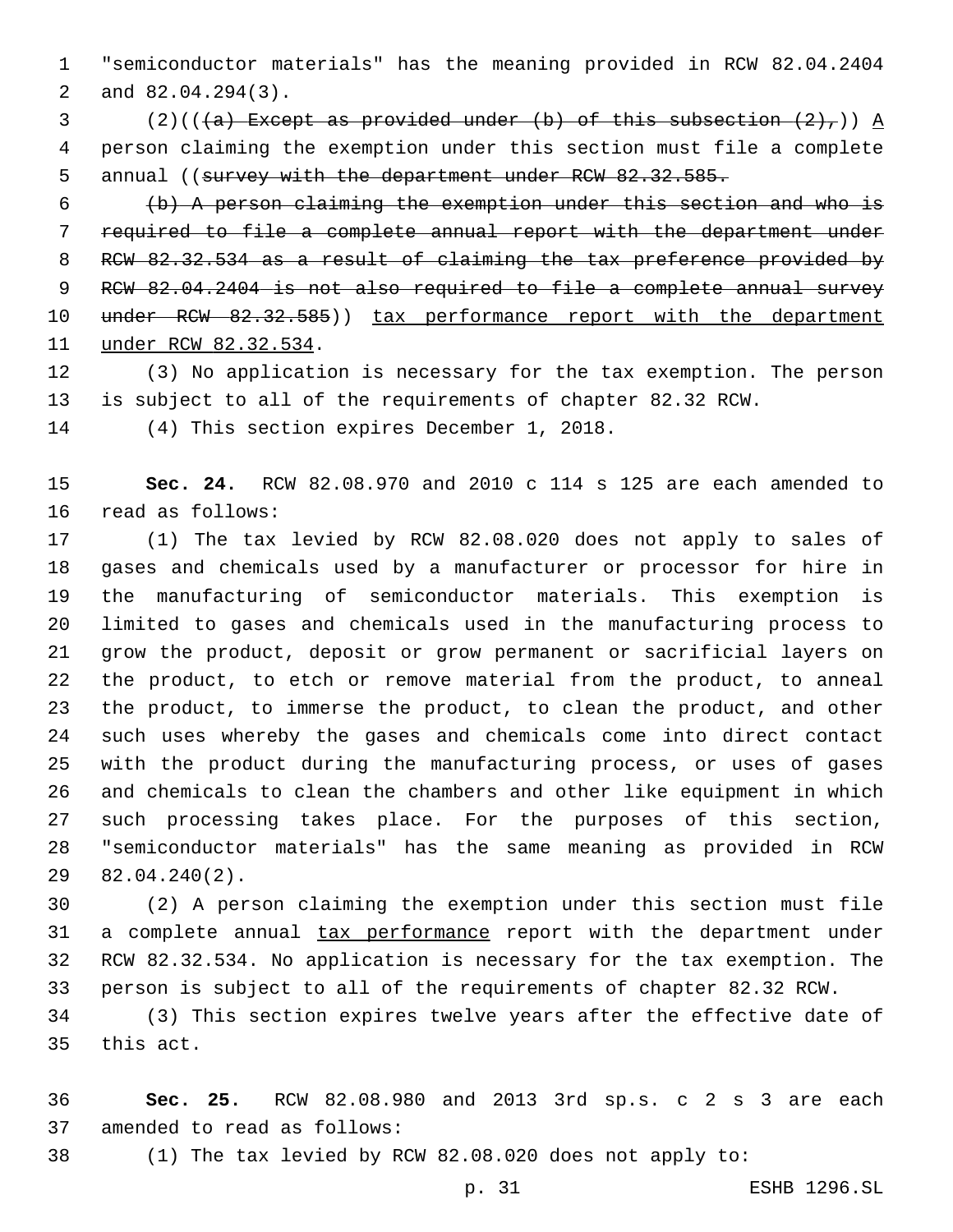"semiconductor materials" has the meaning provided in RCW 82.04.2404 2 and 82.04.294(3).

3 (2)(( $(a)$  Except as provided under (b) of this subsection  $(2)$ ,)) A person claiming the exemption under this section must file a complete 5 annual ((survey with the department under RCW 82.32.585.

 (b) A person claiming the exemption under this section and who is required to file a complete annual report with the department under RCW 82.32.534 as a result of claiming the tax preference provided by RCW 82.04.2404 is not also required to file a complete annual survey 10 under RCW 82.32.585)) tax performance report with the department 11 under RCW 82.32.534.

 (3) No application is necessary for the tax exemption. The person is subject to all of the requirements of chapter 82.32 RCW.

14 (4) This section expires December 1, 2018.

 **Sec. 24.** RCW 82.08.970 and 2010 c 114 s 125 are each amended to 16 read as follows:

 (1) The tax levied by RCW 82.08.020 does not apply to sales of gases and chemicals used by a manufacturer or processor for hire in the manufacturing of semiconductor materials. This exemption is limited to gases and chemicals used in the manufacturing process to grow the product, deposit or grow permanent or sacrificial layers on the product, to etch or remove material from the product, to anneal the product, to immerse the product, to clean the product, and other such uses whereby the gases and chemicals come into direct contact with the product during the manufacturing process, or uses of gases and chemicals to clean the chambers and other like equipment in which such processing takes place. For the purposes of this section, "semiconductor materials" has the same meaning as provided in RCW 82.04.240(2).29

 (2) A person claiming the exemption under this section must file 31 a complete annual tax performance report with the department under RCW 82.32.534. No application is necessary for the tax exemption. The person is subject to all of the requirements of chapter 82.32 RCW.

 (3) This section expires twelve years after the effective date of 35 this act.

 **Sec. 25.** RCW 82.08.980 and 2013 3rd sp.s. c 2 s 3 are each 37 amended to read as follows:

(1) The tax levied by RCW 82.08.020 does not apply to: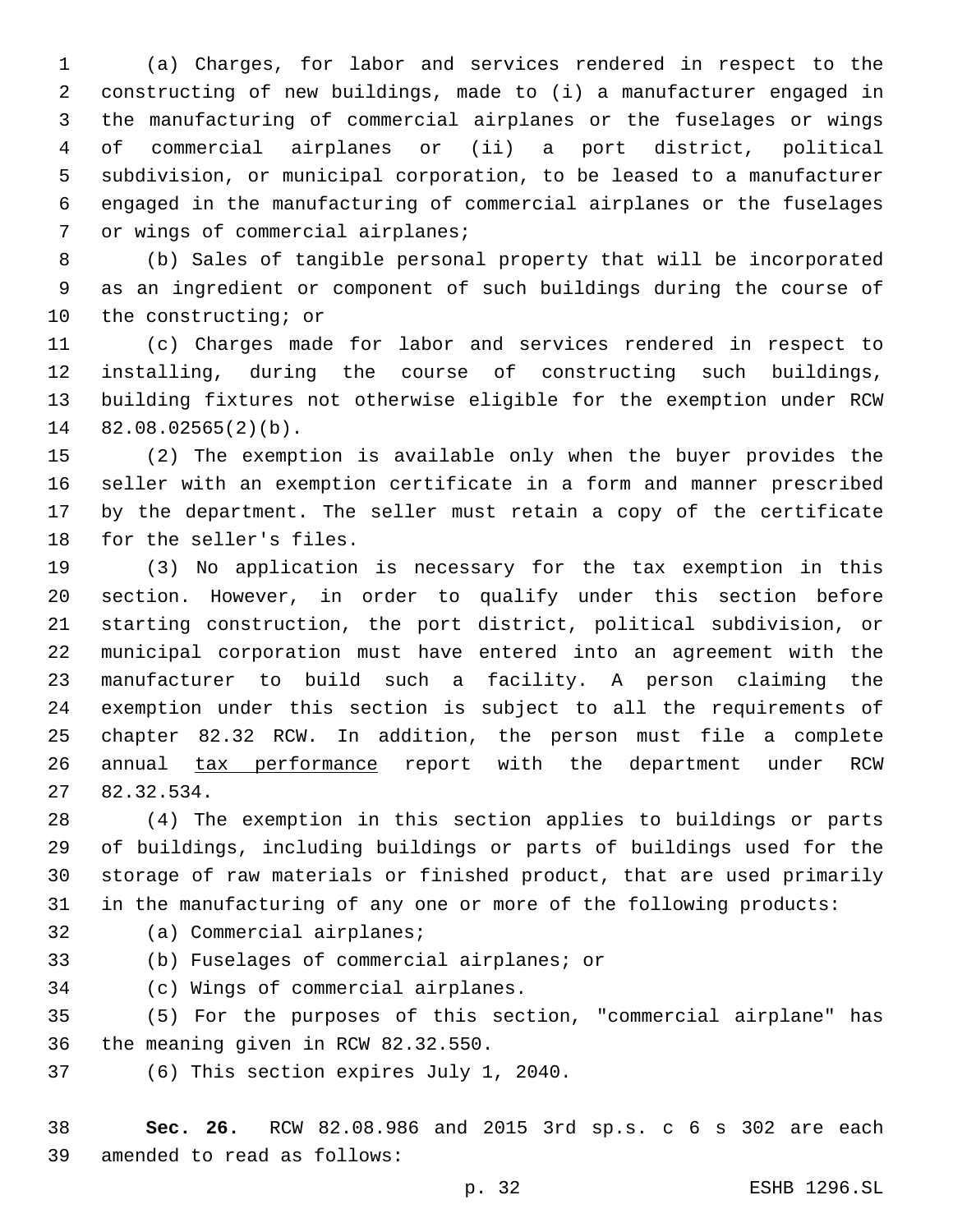(a) Charges, for labor and services rendered in respect to the constructing of new buildings, made to (i) a manufacturer engaged in the manufacturing of commercial airplanes or the fuselages or wings of commercial airplanes or (ii) a port district, political subdivision, or municipal corporation, to be leased to a manufacturer engaged in the manufacturing of commercial airplanes or the fuselages 7 or wings of commercial airplanes;

 (b) Sales of tangible personal property that will be incorporated as an ingredient or component of such buildings during the course of 10 the constructing; or

 (c) Charges made for labor and services rendered in respect to installing, during the course of constructing such buildings, building fixtures not otherwise eligible for the exemption under RCW  $82.08.02565(2)(b)$ .

 (2) The exemption is available only when the buyer provides the seller with an exemption certificate in a form and manner prescribed by the department. The seller must retain a copy of the certificate 18 for the seller's files.

 (3) No application is necessary for the tax exemption in this section. However, in order to qualify under this section before starting construction, the port district, political subdivision, or municipal corporation must have entered into an agreement with the manufacturer to build such a facility. A person claiming the exemption under this section is subject to all the requirements of chapter 82.32 RCW. In addition, the person must file a complete 26 annual tax performance report with the department under RCW 82.32.534.27

 (4) The exemption in this section applies to buildings or parts of buildings, including buildings or parts of buildings used for the storage of raw materials or finished product, that are used primarily in the manufacturing of any one or more of the following products:

- 32 (a) Commercial airplanes;
- 33 (b) Fuselages of commercial airplanes; or

34 (c) Wings of commercial airplanes.

 (5) For the purposes of this section, "commercial airplane" has 36 the meaning given in RCW 82.32.550.

37 (6) This section expires July 1, 2040.

 **Sec. 26.** RCW 82.08.986 and 2015 3rd sp.s. c 6 s 302 are each 39 amended to read as follows: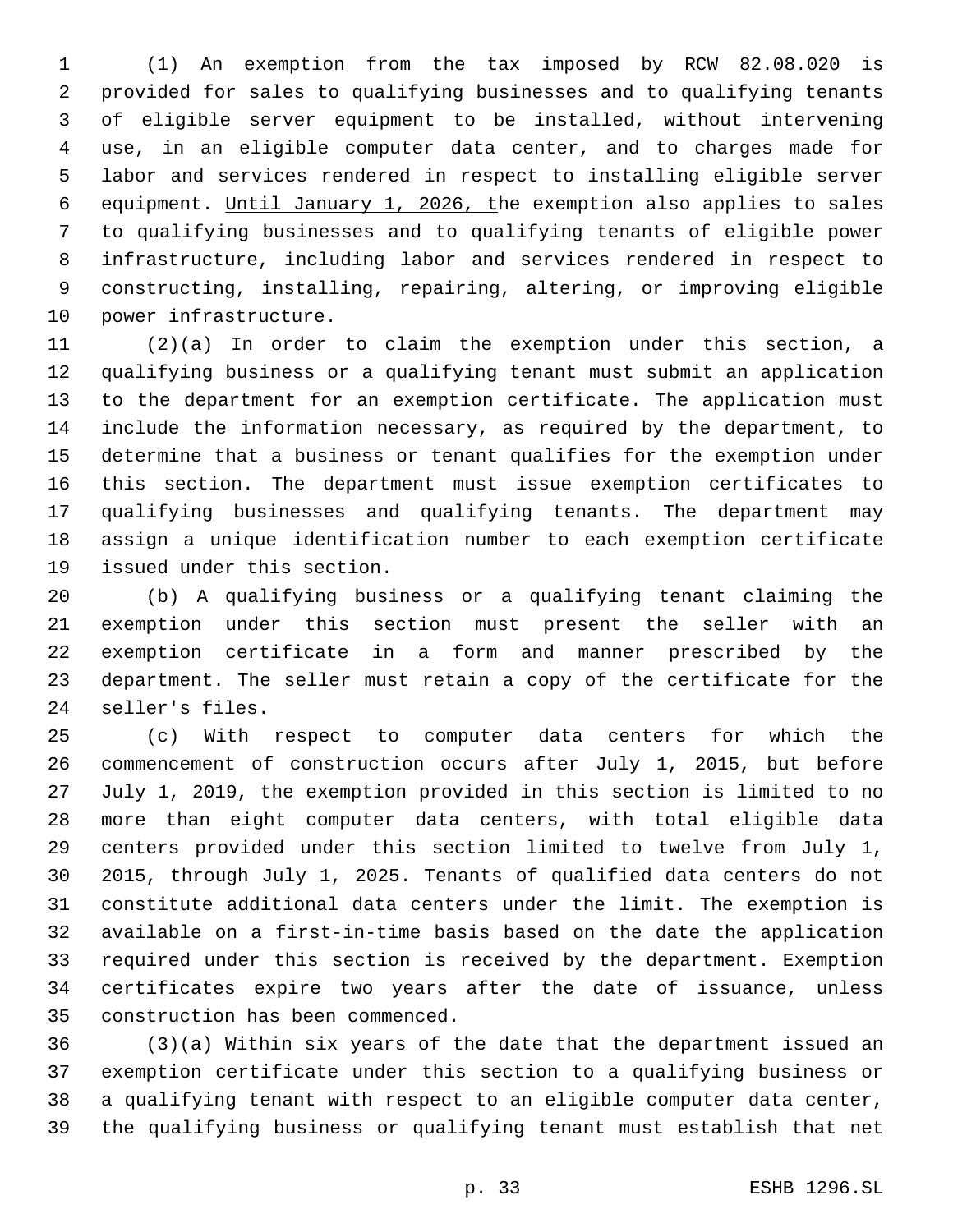(1) An exemption from the tax imposed by RCW 82.08.020 is provided for sales to qualifying businesses and to qualifying tenants of eligible server equipment to be installed, without intervening use, in an eligible computer data center, and to charges made for labor and services rendered in respect to installing eligible server equipment. Until January 1, 2026, the exemption also applies to sales to qualifying businesses and to qualifying tenants of eligible power infrastructure, including labor and services rendered in respect to constructing, installing, repairing, altering, or improving eligible 10 power infrastructure.

 (2)(a) In order to claim the exemption under this section, a qualifying business or a qualifying tenant must submit an application to the department for an exemption certificate. The application must include the information necessary, as required by the department, to determine that a business or tenant qualifies for the exemption under this section. The department must issue exemption certificates to qualifying businesses and qualifying tenants. The department may assign a unique identification number to each exemption certificate 19 issued under this section.

 (b) A qualifying business or a qualifying tenant claiming the exemption under this section must present the seller with an exemption certificate in a form and manner prescribed by the department. The seller must retain a copy of the certificate for the 24 seller's files.

 (c) With respect to computer data centers for which the commencement of construction occurs after July 1, 2015, but before July 1, 2019, the exemption provided in this section is limited to no more than eight computer data centers, with total eligible data centers provided under this section limited to twelve from July 1, 2015, through July 1, 2025. Tenants of qualified data centers do not constitute additional data centers under the limit. The exemption is available on a first-in-time basis based on the date the application required under this section is received by the department. Exemption certificates expire two years after the date of issuance, unless 35 construction has been commenced.

 (3)(a) Within six years of the date that the department issued an exemption certificate under this section to a qualifying business or a qualifying tenant with respect to an eligible computer data center, the qualifying business or qualifying tenant must establish that net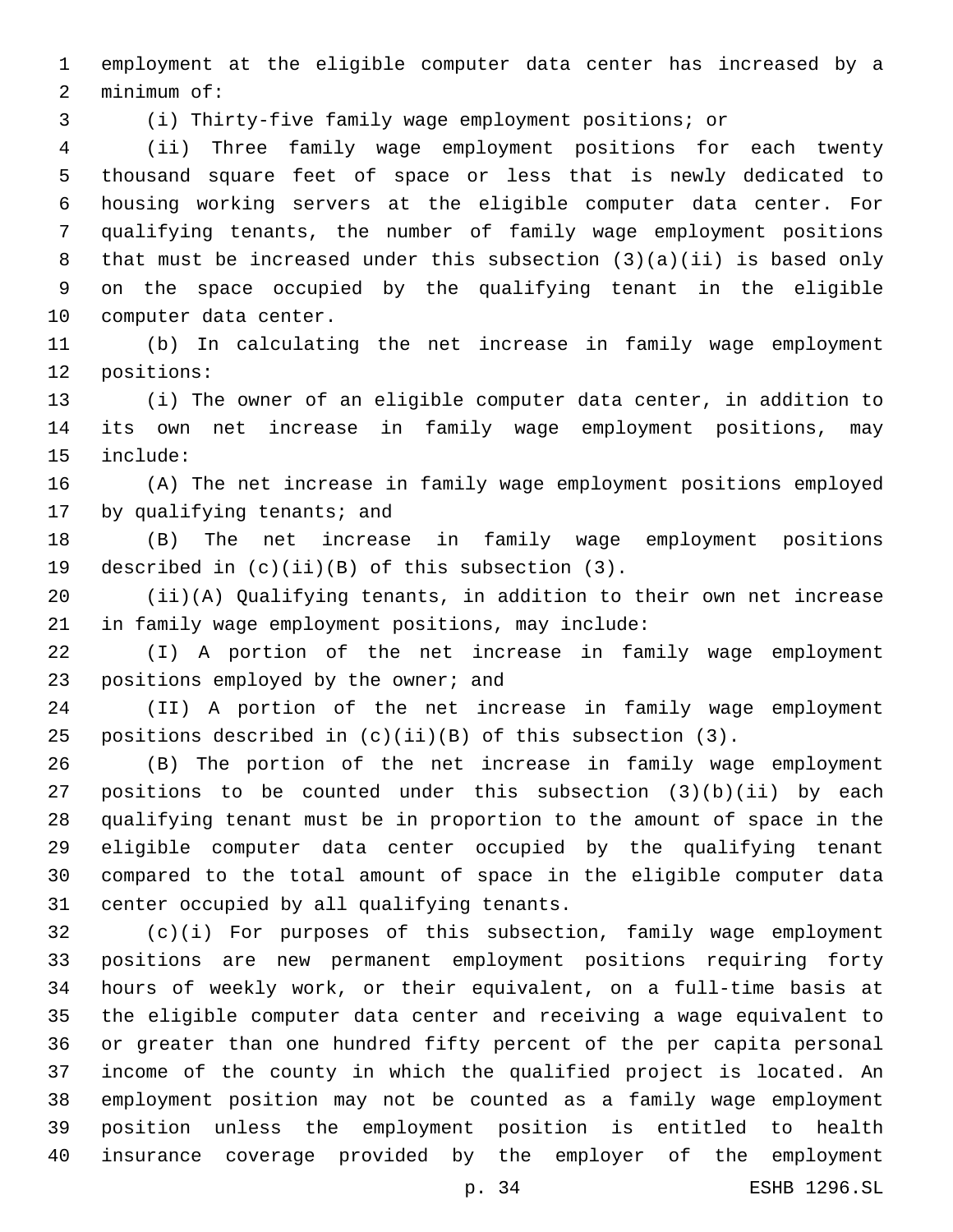employment at the eligible computer data center has increased by a 2 minimum of:

(i) Thirty-five family wage employment positions; or

 (ii) Three family wage employment positions for each twenty thousand square feet of space or less that is newly dedicated to housing working servers at the eligible computer data center. For qualifying tenants, the number of family wage employment positions that must be increased under this subsection (3)(a)(ii) is based only on the space occupied by the qualifying tenant in the eligible 10 computer data center.

 (b) In calculating the net increase in family wage employment 12 positions:

 (i) The owner of an eligible computer data center, in addition to its own net increase in family wage employment positions, may 15 include:

 (A) The net increase in family wage employment positions employed 17 by qualifying tenants; and

 (B) The net increase in family wage employment positions 19 described in  $(c)(ii)(B)$  of this subsection  $(3)$ .

 (ii)(A) Qualifying tenants, in addition to their own net increase 21 in family wage employment positions, may include:

 (I) A portion of the net increase in family wage employment 23 positions employed by the owner; and

 (II) A portion of the net increase in family wage employment positions described in (c)(ii)(B) of this subsection (3).

 (B) The portion of the net increase in family wage employment positions to be counted under this subsection (3)(b)(ii) by each qualifying tenant must be in proportion to the amount of space in the eligible computer data center occupied by the qualifying tenant compared to the total amount of space in the eligible computer data 31 center occupied by all qualifying tenants.

 (c)(i) For purposes of this subsection, family wage employment positions are new permanent employment positions requiring forty hours of weekly work, or their equivalent, on a full-time basis at the eligible computer data center and receiving a wage equivalent to or greater than one hundred fifty percent of the per capita personal income of the county in which the qualified project is located. An employment position may not be counted as a family wage employment position unless the employment position is entitled to health insurance coverage provided by the employer of the employment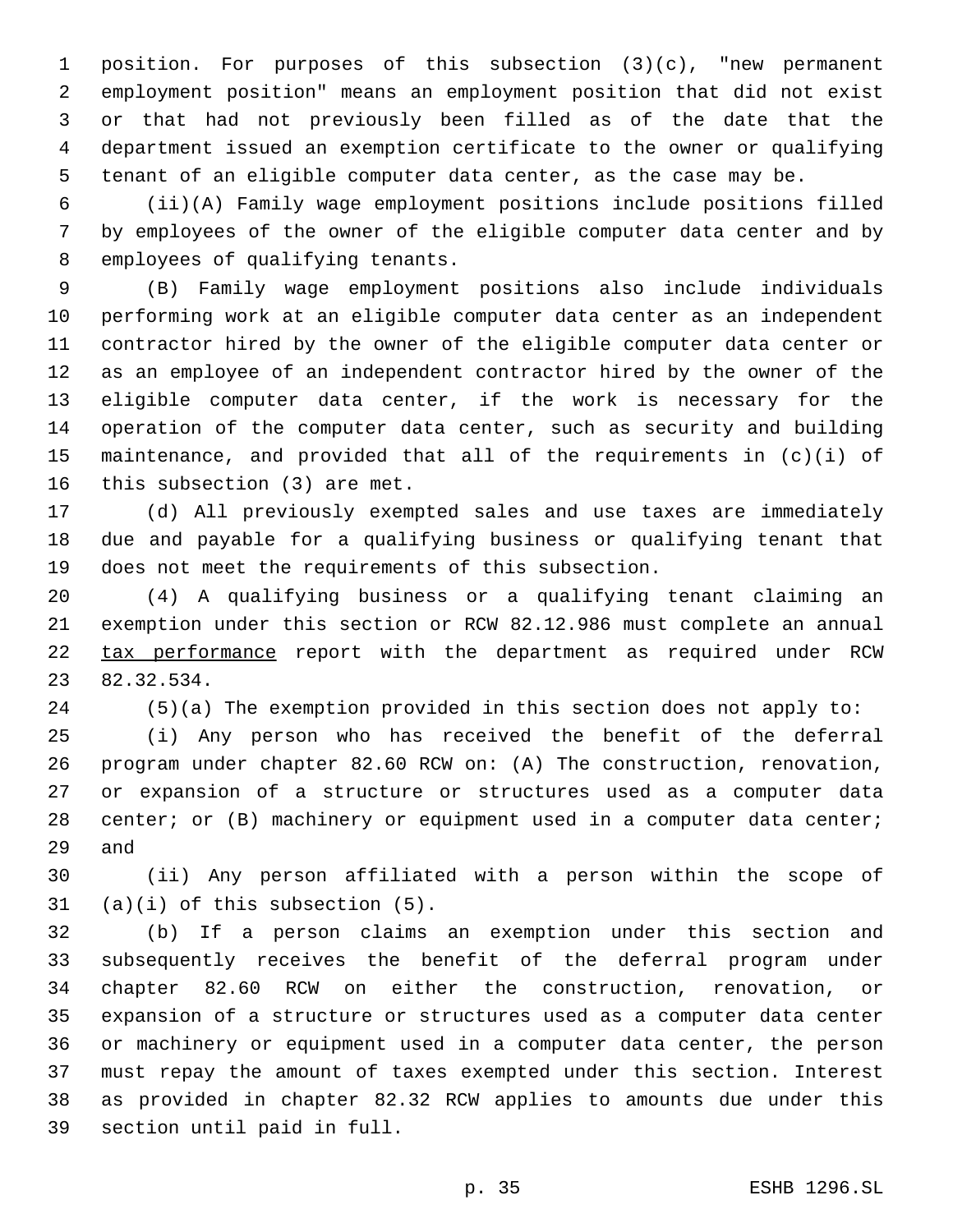position. For purposes of this subsection (3)(c), "new permanent employment position" means an employment position that did not exist or that had not previously been filled as of the date that the department issued an exemption certificate to the owner or qualifying tenant of an eligible computer data center, as the case may be.

 (ii)(A) Family wage employment positions include positions filled by employees of the owner of the eligible computer data center and by 8 employees of qualifying tenants.

 (B) Family wage employment positions also include individuals performing work at an eligible computer data center as an independent contractor hired by the owner of the eligible computer data center or as an employee of an independent contractor hired by the owner of the eligible computer data center, if the work is necessary for the operation of the computer data center, such as security and building maintenance, and provided that all of the requirements in (c)(i) of 16 this subsection (3) are met.

 (d) All previously exempted sales and use taxes are immediately due and payable for a qualifying business or qualifying tenant that does not meet the requirements of this subsection.

 (4) A qualifying business or a qualifying tenant claiming an exemption under this section or RCW 82.12.986 must complete an annual 22 tax performance report with the department as required under RCW 82.32.534.23

(5)(a) The exemption provided in this section does not apply to:

 (i) Any person who has received the benefit of the deferral program under chapter 82.60 RCW on: (A) The construction, renovation, or expansion of a structure or structures used as a computer data 28 center; or (B) machinery or equipment used in a computer data center; 29 and

 (ii) Any person affiliated with a person within the scope of (a)(i) of this subsection  $(5)$ .

 (b) If a person claims an exemption under this section and subsequently receives the benefit of the deferral program under chapter 82.60 RCW on either the construction, renovation, or expansion of a structure or structures used as a computer data center or machinery or equipment used in a computer data center, the person must repay the amount of taxes exempted under this section. Interest as provided in chapter 82.32 RCW applies to amounts due under this 39 section until paid in full.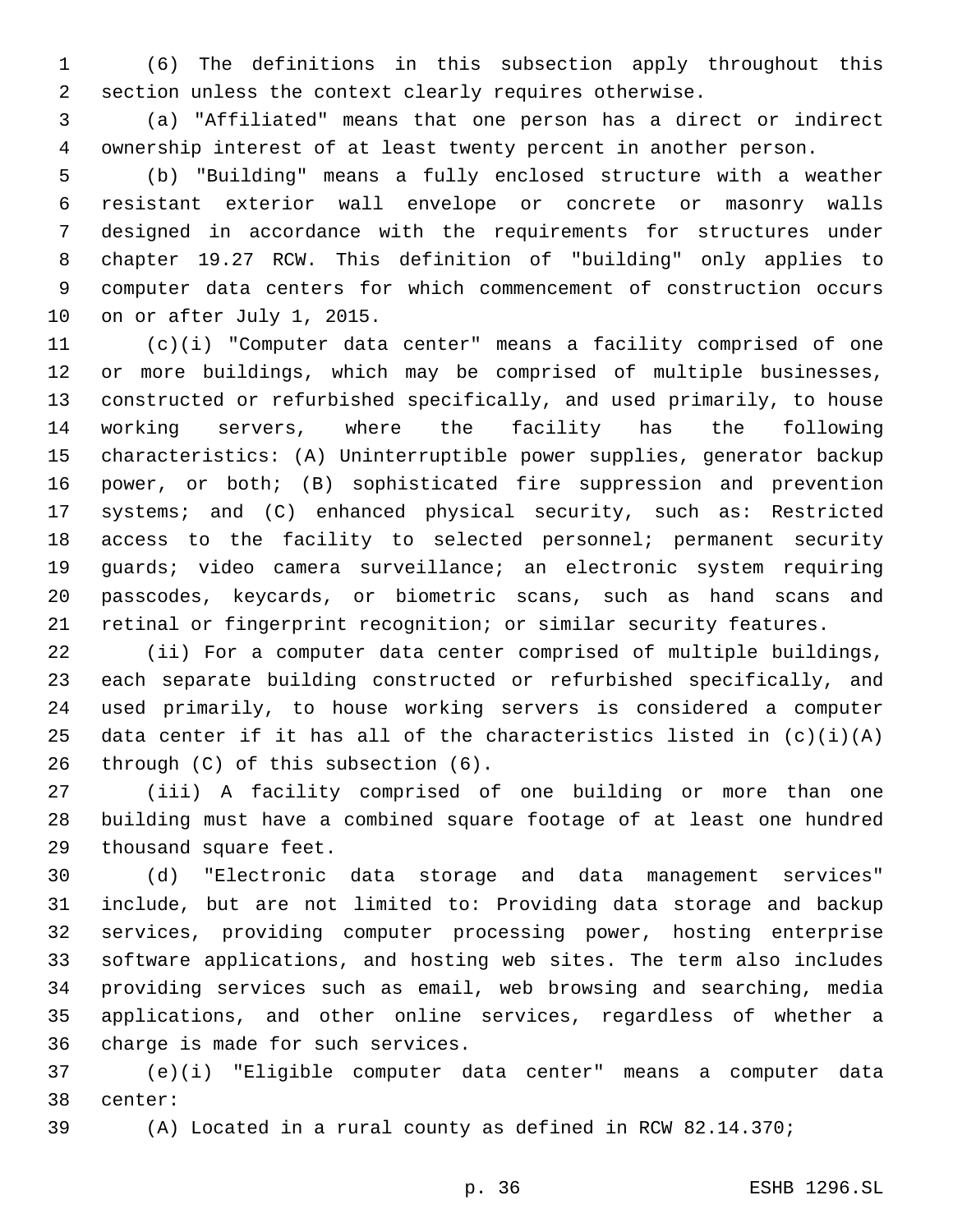(6) The definitions in this subsection apply throughout this section unless the context clearly requires otherwise.

 (a) "Affiliated" means that one person has a direct or indirect ownership interest of at least twenty percent in another person.

 (b) "Building" means a fully enclosed structure with a weather resistant exterior wall envelope or concrete or masonry walls designed in accordance with the requirements for structures under chapter 19.27 RCW. This definition of "building" only applies to computer data centers for which commencement of construction occurs 10 on or after July 1, 2015.

 (c)(i) "Computer data center" means a facility comprised of one or more buildings, which may be comprised of multiple businesses, constructed or refurbished specifically, and used primarily, to house working servers, where the facility has the following characteristics: (A) Uninterruptible power supplies, generator backup power, or both; (B) sophisticated fire suppression and prevention systems; and (C) enhanced physical security, such as: Restricted access to the facility to selected personnel; permanent security guards; video camera surveillance; an electronic system requiring passcodes, keycards, or biometric scans, such as hand scans and retinal or fingerprint recognition; or similar security features.

 (ii) For a computer data center comprised of multiple buildings, each separate building constructed or refurbished specifically, and used primarily, to house working servers is considered a computer 25 data center if it has all of the characteristics listed in  $(c)(i)(A)$ 26 through  $(C)$  of this subsection  $(6)$ .

 (iii) A facility comprised of one building or more than one building must have a combined square footage of at least one hundred 29 thousand square feet.

 (d) "Electronic data storage and data management services" include, but are not limited to: Providing data storage and backup services, providing computer processing power, hosting enterprise software applications, and hosting web sites. The term also includes providing services such as email, web browsing and searching, media applications, and other online services, regardless of whether a 36 charge is made for such services.

 (e)(i) "Eligible computer data center" means a computer data 38 center:

(A) Located in a rural county as defined in RCW 82.14.370;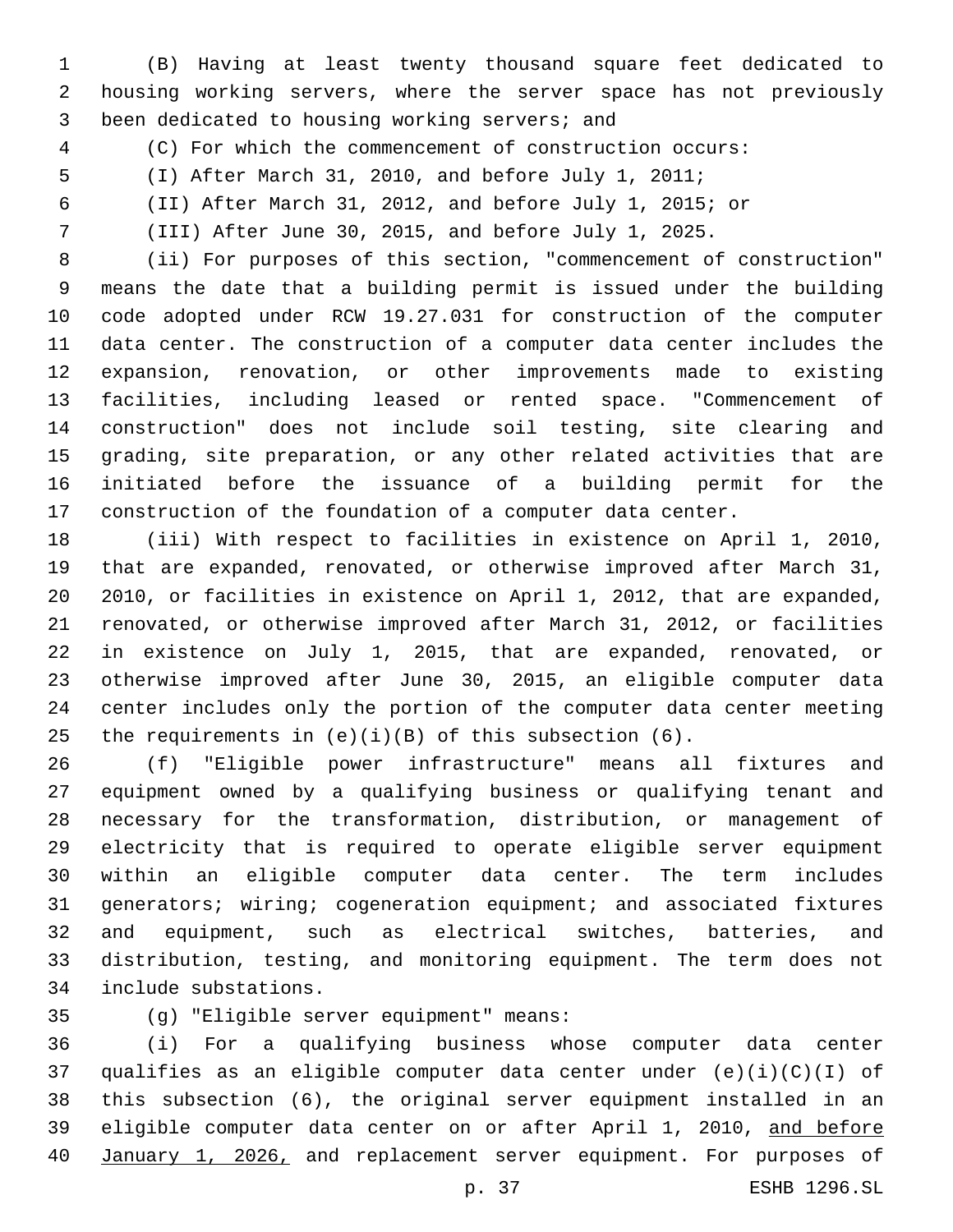(B) Having at least twenty thousand square feet dedicated to housing working servers, where the server space has not previously 3 been dedicated to housing working servers; and

- 
- (C) For which the commencement of construction occurs:
- (I) After March 31, 2010, and before July 1, 2011;
- (II) After March 31, 2012, and before July 1, 2015; or

(III) After June 30, 2015, and before July 1, 2025.

 (ii) For purposes of this section, "commencement of construction" means the date that a building permit is issued under the building code adopted under RCW 19.27.031 for construction of the computer data center. The construction of a computer data center includes the expansion, renovation, or other improvements made to existing facilities, including leased or rented space. "Commencement of construction" does not include soil testing, site clearing and grading, site preparation, or any other related activities that are initiated before the issuance of a building permit for the construction of the foundation of a computer data center.

 (iii) With respect to facilities in existence on April 1, 2010, that are expanded, renovated, or otherwise improved after March 31, 2010, or facilities in existence on April 1, 2012, that are expanded, renovated, or otherwise improved after March 31, 2012, or facilities in existence on July 1, 2015, that are expanded, renovated, or otherwise improved after June 30, 2015, an eligible computer data center includes only the portion of the computer data center meeting 25 the requirements in  $(e)(i)(B)$  of this subsection  $(6)$ .

 (f) "Eligible power infrastructure" means all fixtures and equipment owned by a qualifying business or qualifying tenant and necessary for the transformation, distribution, or management of electricity that is required to operate eligible server equipment within an eligible computer data center. The term includes generators; wiring; cogeneration equipment; and associated fixtures and equipment, such as electrical switches, batteries, and distribution, testing, and monitoring equipment. The term does not include substations.34

(g) "Eligible server equipment" means:35

 (i) For a qualifying business whose computer data center qualifies as an eligible computer data center under (e)(i)(C)(I) of this subsection (6), the original server equipment installed in an 39 eligible computer data center on or after April 1, 2010, and before January 1, 2026, and replacement server equipment. For purposes of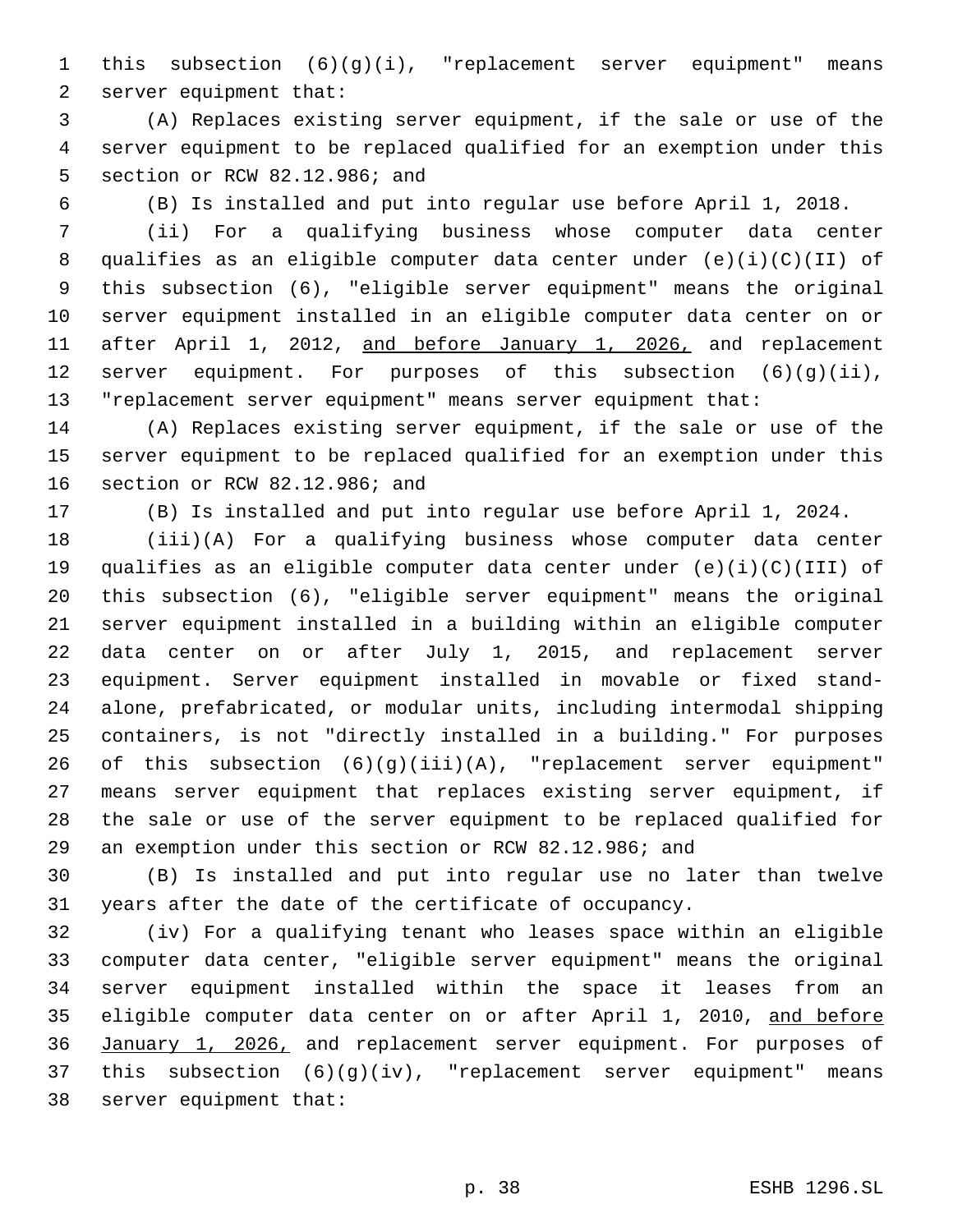this subsection (6)(g)(i), "replacement server equipment" means 2 server equipment that:

 (A) Replaces existing server equipment, if the sale or use of the server equipment to be replaced qualified for an exemption under this 5 section or RCW 82.12.986; and

(B) Is installed and put into regular use before April 1, 2018.

 (ii) For a qualifying business whose computer data center qualifies as an eligible computer data center under (e)(i)(C)(II) of this subsection (6), "eligible server equipment" means the original server equipment installed in an eligible computer data center on or 11 after April 1, 2012, and before January 1, 2026, and replacement server equipment. For purposes of this subsection (6)(g)(ii), "replacement server equipment" means server equipment that:

 (A) Replaces existing server equipment, if the sale or use of the server equipment to be replaced qualified for an exemption under this 16 section or RCW 82.12.986; and

(B) Is installed and put into regular use before April 1, 2024.

 (iii)(A) For a qualifying business whose computer data center qualifies as an eligible computer data center under (e)(i)(C)(III) of this subsection (6), "eligible server equipment" means the original server equipment installed in a building within an eligible computer data center on or after July 1, 2015, and replacement server equipment. Server equipment installed in movable or fixed stand- alone, prefabricated, or modular units, including intermodal shipping containers, is not "directly installed in a building." For purposes of this subsection (6)(g)(iii)(A), "replacement server equipment" means server equipment that replaces existing server equipment, if the sale or use of the server equipment to be replaced qualified for an exemption under this section or RCW 82.12.986; and

 (B) Is installed and put into regular use no later than twelve years after the date of the certificate of occupancy.

 (iv) For a qualifying tenant who leases space within an eligible computer data center, "eligible server equipment" means the original server equipment installed within the space it leases from an 35 eligible computer data center on or after April 1, 2010, and before January 1, 2026, and replacement server equipment. For purposes of this subsection (6)(g)(iv), "replacement server equipment" means 38 server equipment that: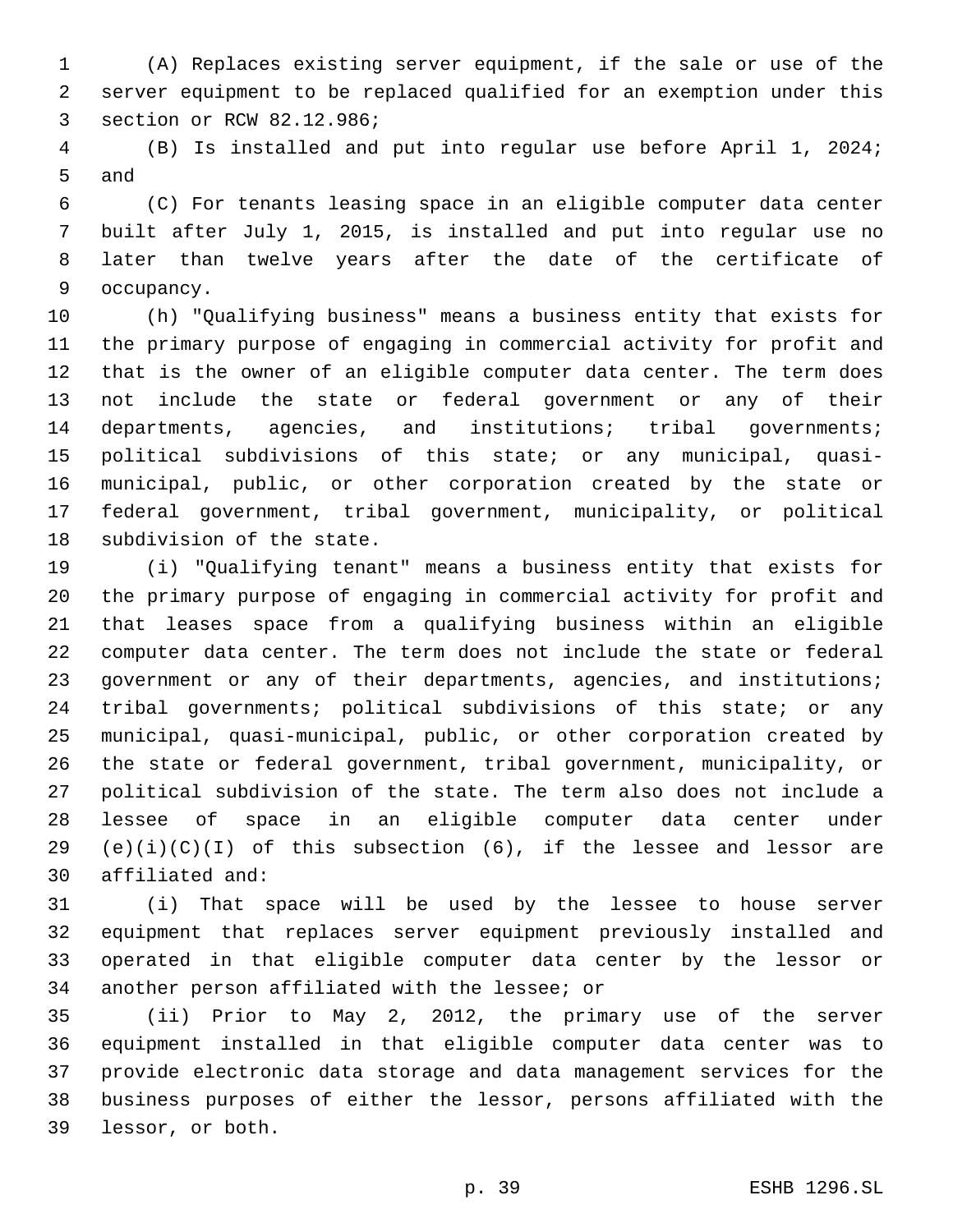(A) Replaces existing server equipment, if the sale or use of the server equipment to be replaced qualified for an exemption under this 3 section or RCW 82.12.986;

 (B) Is installed and put into regular use before April 1, 2024; 5 and

 (C) For tenants leasing space in an eligible computer data center built after July 1, 2015, is installed and put into regular use no later than twelve years after the date of the certificate of 9 occupancy.

 (h) "Qualifying business" means a business entity that exists for the primary purpose of engaging in commercial activity for profit and that is the owner of an eligible computer data center. The term does not include the state or federal government or any of their 14 departments, agencies, and institutions; tribal governments; political subdivisions of this state; or any municipal, quasi- municipal, public, or other corporation created by the state or federal government, tribal government, municipality, or political 18 subdivision of the state.

 (i) "Qualifying tenant" means a business entity that exists for the primary purpose of engaging in commercial activity for profit and that leases space from a qualifying business within an eligible computer data center. The term does not include the state or federal 23 government or any of their departments, agencies, and institutions; tribal governments; political subdivisions of this state; or any municipal, quasi-municipal, public, or other corporation created by the state or federal government, tribal government, municipality, or political subdivision of the state. The term also does not include a lessee of space in an eligible computer data center under 29 (e)(i)(C)(I) of this subsection (6), if the lessee and lessor are 30 affiliated and:

 (i) That space will be used by the lessee to house server equipment that replaces server equipment previously installed and operated in that eligible computer data center by the lessor or 34 another person affiliated with the lessee; or

 (ii) Prior to May 2, 2012, the primary use of the server equipment installed in that eligible computer data center was to provide electronic data storage and data management services for the business purposes of either the lessor, persons affiliated with the 39 lessor, or both.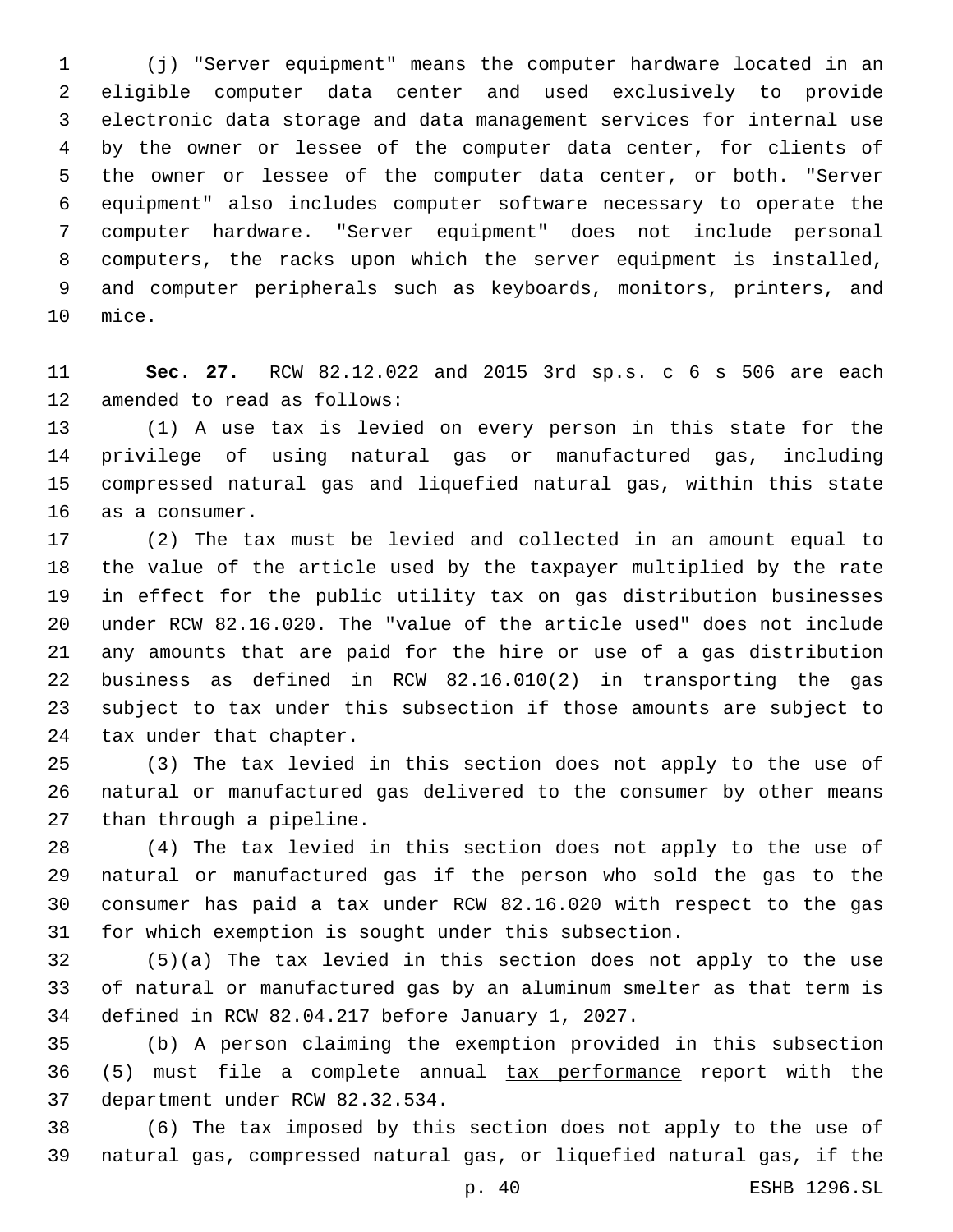(j) "Server equipment" means the computer hardware located in an eligible computer data center and used exclusively to provide electronic data storage and data management services for internal use by the owner or lessee of the computer data center, for clients of the owner or lessee of the computer data center, or both. "Server equipment" also includes computer software necessary to operate the computer hardware. "Server equipment" does not include personal computers, the racks upon which the server equipment is installed, and computer peripherals such as keyboards, monitors, printers, and 10 mice.

 **Sec. 27.** RCW 82.12.022 and 2015 3rd sp.s. c 6 s 506 are each 12 amended to read as follows:

 (1) A use tax is levied on every person in this state for the privilege of using natural gas or manufactured gas, including compressed natural gas and liquefied natural gas, within this state 16 as a consumer.

 (2) The tax must be levied and collected in an amount equal to the value of the article used by the taxpayer multiplied by the rate in effect for the public utility tax on gas distribution businesses under RCW 82.16.020. The "value of the article used" does not include any amounts that are paid for the hire or use of a gas distribution business as defined in RCW 82.16.010(2) in transporting the gas subject to tax under this subsection if those amounts are subject to 24 tax under that chapter.

 (3) The tax levied in this section does not apply to the use of natural or manufactured gas delivered to the consumer by other means 27 than through a pipeline.

 (4) The tax levied in this section does not apply to the use of natural or manufactured gas if the person who sold the gas to the consumer has paid a tax under RCW 82.16.020 with respect to the gas for which exemption is sought under this subsection.

 (5)(a) The tax levied in this section does not apply to the use of natural or manufactured gas by an aluminum smelter as that term is 34 defined in RCW 82.04.217 before January 1, 2027.

 (b) A person claiming the exemption provided in this subsection (5) must file a complete annual tax performance report with the 37 department under RCW 82.32.534.

 (6) The tax imposed by this section does not apply to the use of natural gas, compressed natural gas, or liquefied natural gas, if the

p. 40 ESHB 1296.SL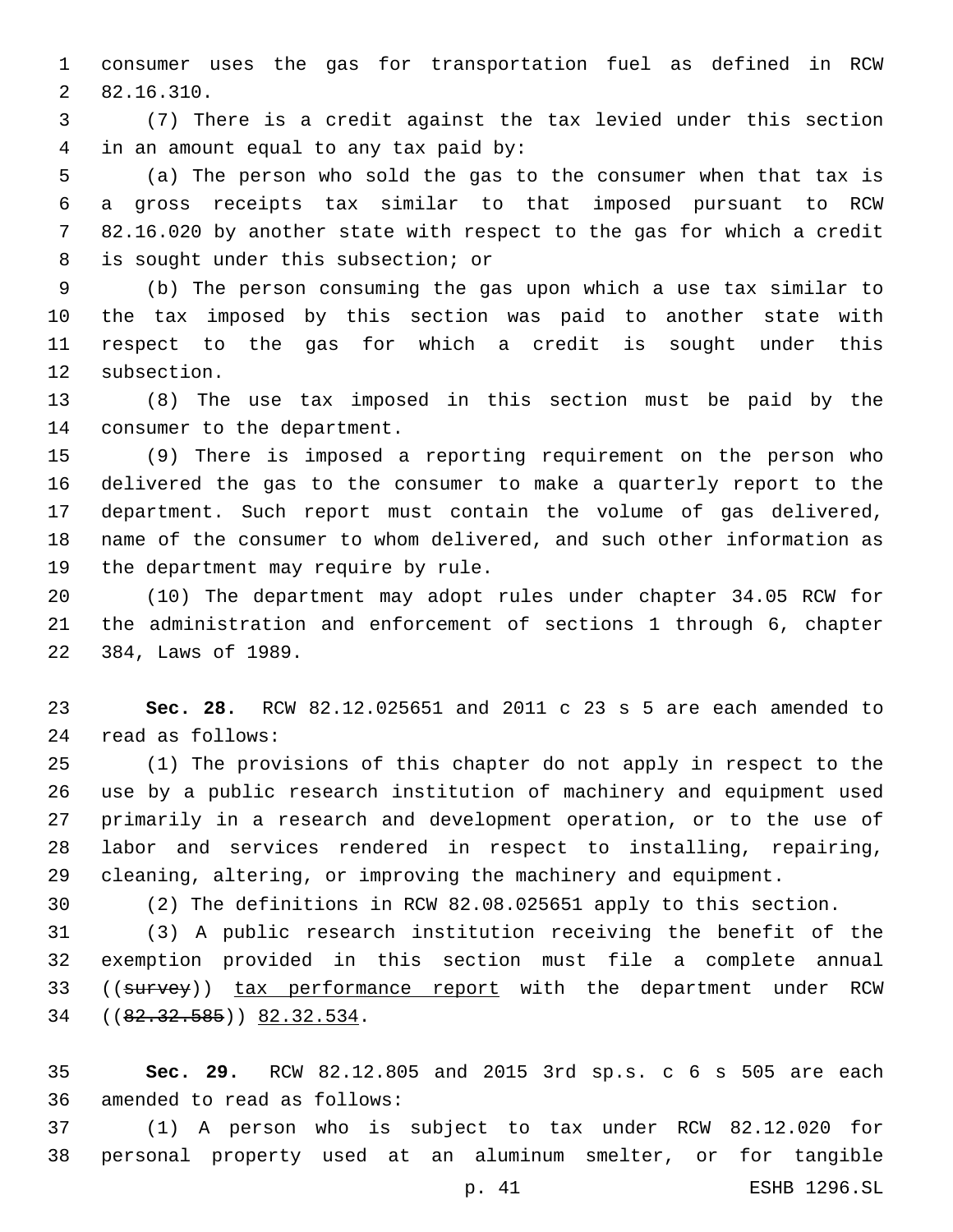consumer uses the gas for transportation fuel as defined in RCW 82.16.310.2

 (7) There is a credit against the tax levied under this section in an amount equal to any tax paid by:4

 (a) The person who sold the gas to the consumer when that tax is a gross receipts tax similar to that imposed pursuant to RCW 82.16.020 by another state with respect to the gas for which a credit 8 is sought under this subsection; or

 (b) The person consuming the gas upon which a use tax similar to the tax imposed by this section was paid to another state with respect to the gas for which a credit is sought under this 12 subsection.

 (8) The use tax imposed in this section must be paid by the 14 consumer to the department.

 (9) There is imposed a reporting requirement on the person who delivered the gas to the consumer to make a quarterly report to the department. Such report must contain the volume of gas delivered, name of the consumer to whom delivered, and such other information as 19 the department may require by rule.

 (10) The department may adopt rules under chapter 34.05 RCW for the administration and enforcement of sections 1 through 6, chapter 22 384, Laws of 1989.

 **Sec. 28.** RCW 82.12.025651 and 2011 c 23 s 5 are each amended to read as follows:24

 (1) The provisions of this chapter do not apply in respect to the use by a public research institution of machinery and equipment used primarily in a research and development operation, or to the use of labor and services rendered in respect to installing, repairing, cleaning, altering, or improving the machinery and equipment.

(2) The definitions in RCW 82.08.025651 apply to this section.

 (3) A public research institution receiving the benefit of the exemption provided in this section must file a complete annual 33 ((survey)) tax performance report with the department under RCW 34 ((82.32.585)) 82.32.534.

 **Sec. 29.** RCW 82.12.805 and 2015 3rd sp.s. c 6 s 505 are each 36 amended to read as follows:

 (1) A person who is subject to tax under RCW 82.12.020 for personal property used at an aluminum smelter, or for tangible

p. 41 ESHB 1296.SL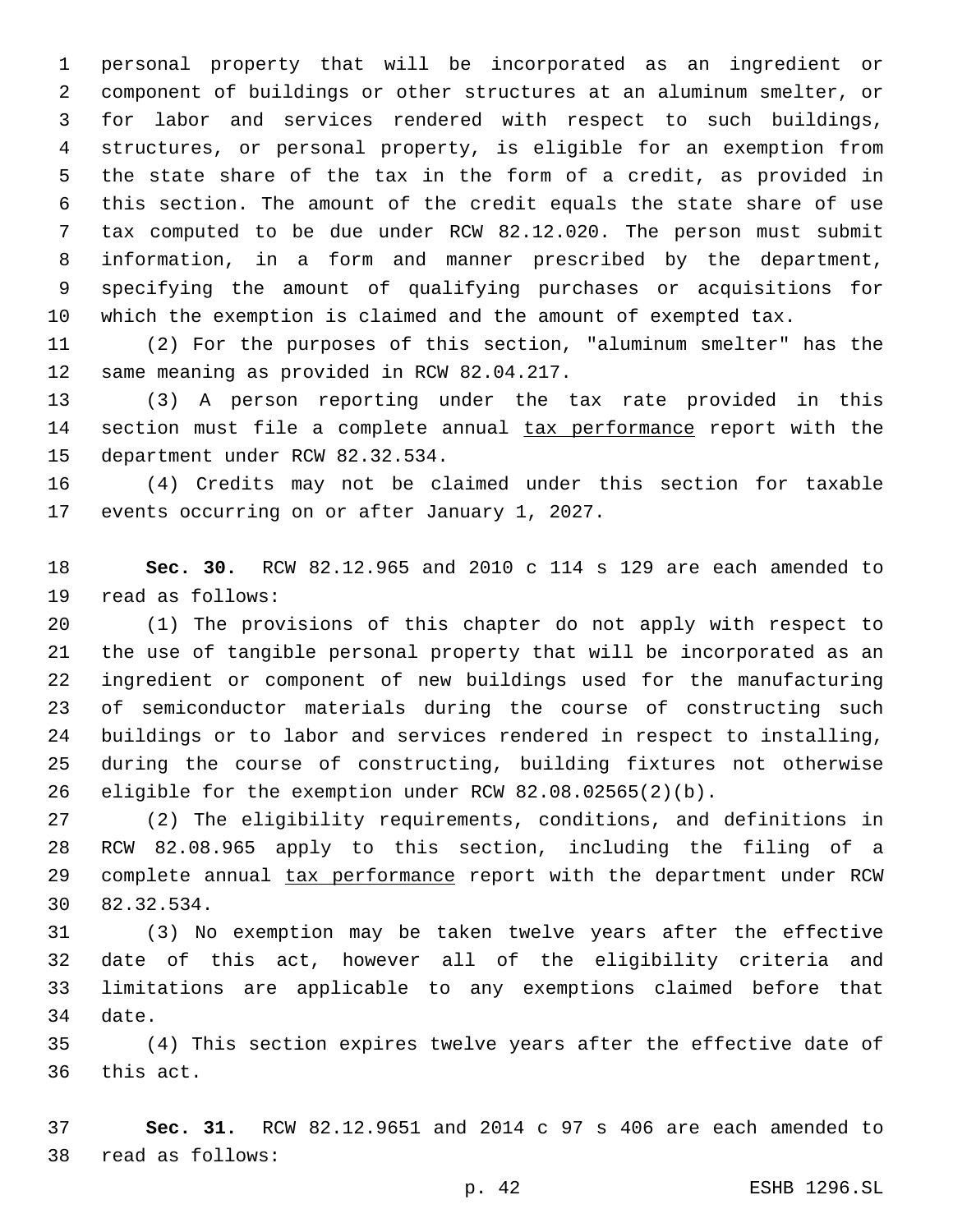personal property that will be incorporated as an ingredient or component of buildings or other structures at an aluminum smelter, or for labor and services rendered with respect to such buildings, structures, or personal property, is eligible for an exemption from the state share of the tax in the form of a credit, as provided in this section. The amount of the credit equals the state share of use tax computed to be due under RCW 82.12.020. The person must submit information, in a form and manner prescribed by the department, specifying the amount of qualifying purchases or acquisitions for which the exemption is claimed and the amount of exempted tax.

 (2) For the purposes of this section, "aluminum smelter" has the 12 same meaning as provided in RCW 82.04.217.

 (3) A person reporting under the tax rate provided in this 14 section must file a complete annual tax performance report with the 15 department under RCW 82.32.534.

 (4) Credits may not be claimed under this section for taxable 17 events occurring on or after January 1, 2027.

 **Sec. 30.** RCW 82.12.965 and 2010 c 114 s 129 are each amended to 19 read as follows:

 (1) The provisions of this chapter do not apply with respect to the use of tangible personal property that will be incorporated as an ingredient or component of new buildings used for the manufacturing of semiconductor materials during the course of constructing such buildings or to labor and services rendered in respect to installing, during the course of constructing, building fixtures not otherwise eligible for the exemption under RCW 82.08.02565(2)(b).

 (2) The eligibility requirements, conditions, and definitions in RCW 82.08.965 apply to this section, including the filing of a 29 complete annual tax performance report with the department under RCW 30 82.32.534.

 (3) No exemption may be taken twelve years after the effective date of this act, however all of the eligibility criteria and limitations are applicable to any exemptions claimed before that 34 date.

 (4) This section expires twelve years after the effective date of 36 this act.

 **Sec. 31.** RCW 82.12.9651 and 2014 c 97 s 406 are each amended to read as follows:38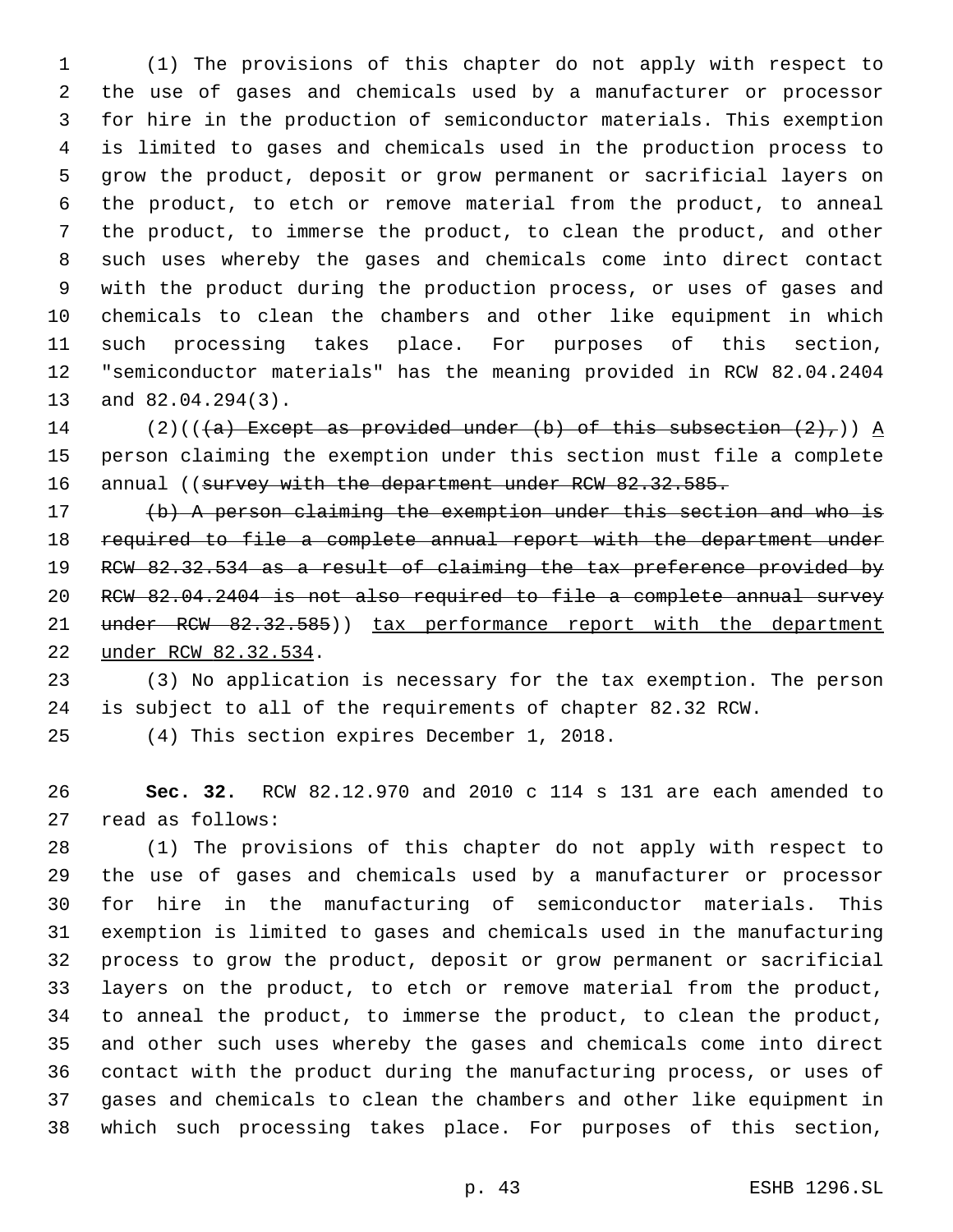(1) The provisions of this chapter do not apply with respect to the use of gases and chemicals used by a manufacturer or processor for hire in the production of semiconductor materials. This exemption is limited to gases and chemicals used in the production process to grow the product, deposit or grow permanent or sacrificial layers on the product, to etch or remove material from the product, to anneal the product, to immerse the product, to clean the product, and other such uses whereby the gases and chemicals come into direct contact with the product during the production process, or uses of gases and chemicals to clean the chambers and other like equipment in which such processing takes place. For purposes of this section, "semiconductor materials" has the meaning provided in RCW 82.04.2404 13 and 82.04.294(3).

14 (2)(( $(a)$  Except as provided under (b) of this subsection  $(2)$ ,)) A person claiming the exemption under this section must file a complete 16 annual ((survey with the department under RCW 82.32.585.

 (b) A person claiming the exemption under this section and who is required to file a complete annual report with the department under RCW 82.32.534 as a result of claiming the tax preference provided by RCW 82.04.2404 is not also required to file a complete annual survey 21 under RCW 82.32.585)) tax performance report with the department 22 under RCW 82.32.534.

 (3) No application is necessary for the tax exemption. The person is subject to all of the requirements of chapter 82.32 RCW.

(4) This section expires December 1, 2018.

 **Sec. 32.** RCW 82.12.970 and 2010 c 114 s 131 are each amended to 27 read as follows:

 (1) The provisions of this chapter do not apply with respect to the use of gases and chemicals used by a manufacturer or processor for hire in the manufacturing of semiconductor materials. This exemption is limited to gases and chemicals used in the manufacturing process to grow the product, deposit or grow permanent or sacrificial layers on the product, to etch or remove material from the product, to anneal the product, to immerse the product, to clean the product, and other such uses whereby the gases and chemicals come into direct contact with the product during the manufacturing process, or uses of gases and chemicals to clean the chambers and other like equipment in which such processing takes place. For purposes of this section,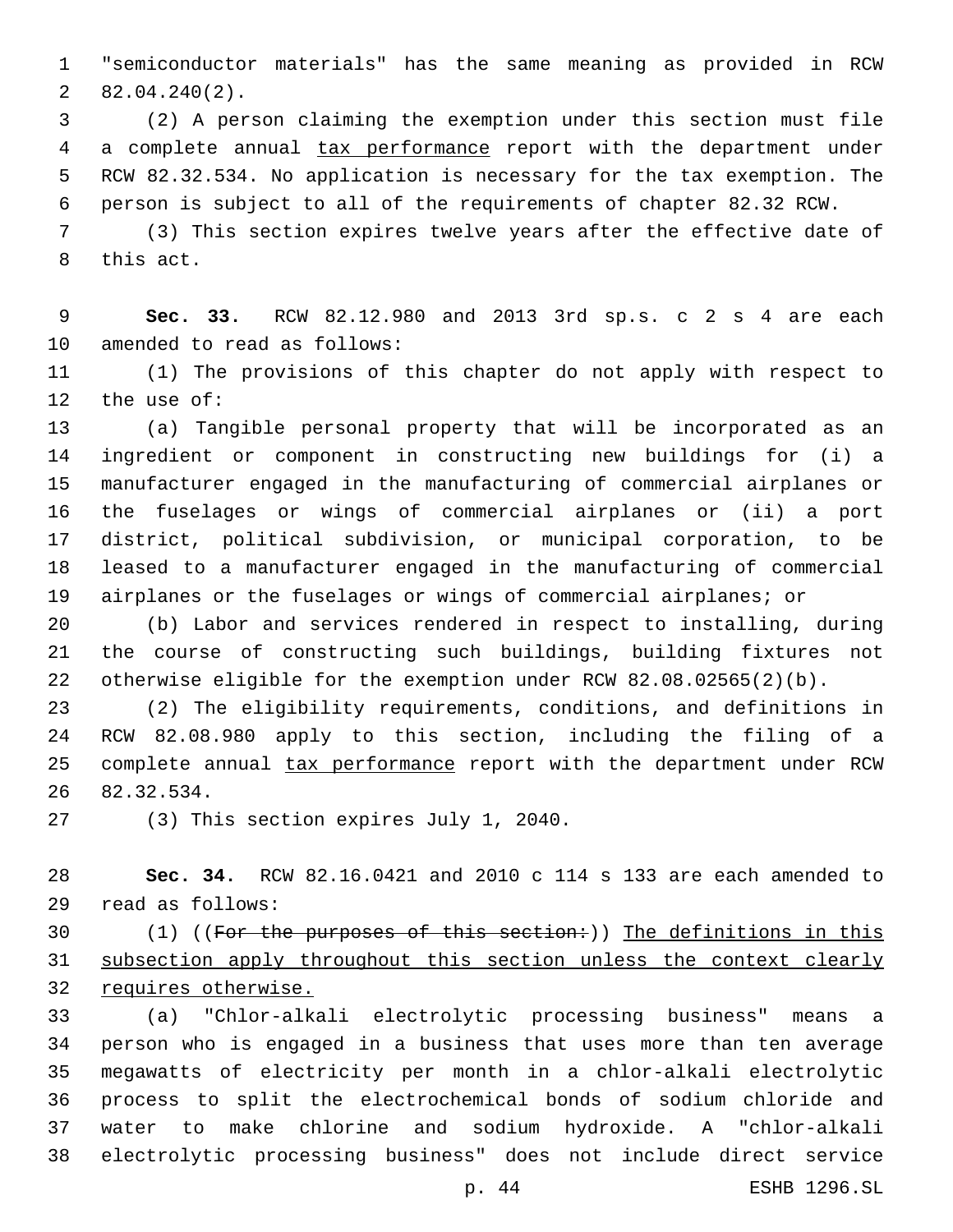"semiconductor materials" has the same meaning as provided in RCW  $282.04.240(2)$ .

 (2) A person claiming the exemption under this section must file a complete annual tax performance report with the department under RCW 82.32.534. No application is necessary for the tax exemption. The person is subject to all of the requirements of chapter 82.32 RCW.

 (3) This section expires twelve years after the effective date of 8 this act.

 **Sec. 33.** RCW 82.12.980 and 2013 3rd sp.s. c 2 s 4 are each 10 amended to read as follows:

 (1) The provisions of this chapter do not apply with respect to 12 the use of:

 (a) Tangible personal property that will be incorporated as an ingredient or component in constructing new buildings for (i) a manufacturer engaged in the manufacturing of commercial airplanes or the fuselages or wings of commercial airplanes or (ii) a port district, political subdivision, or municipal corporation, to be leased to a manufacturer engaged in the manufacturing of commercial airplanes or the fuselages or wings of commercial airplanes; or

 (b) Labor and services rendered in respect to installing, during the course of constructing such buildings, building fixtures not otherwise eligible for the exemption under RCW 82.08.02565(2)(b).

 (2) The eligibility requirements, conditions, and definitions in RCW 82.08.980 apply to this section, including the filing of a 25 complete annual tax performance report with the department under RCW 82.32.534.26

27 (3) This section expires July 1, 2040.

 **Sec. 34.** RCW 82.16.0421 and 2010 c 114 s 133 are each amended to read as follows:29

30 (1) ((For the purposes of this section:)) The definitions in this subsection apply throughout this section unless the context clearly requires otherwise.

 (a) "Chlor-alkali electrolytic processing business" means a person who is engaged in a business that uses more than ten average megawatts of electricity per month in a chlor-alkali electrolytic process to split the electrochemical bonds of sodium chloride and water to make chlorine and sodium hydroxide. A "chlor-alkali electrolytic processing business" does not include direct service

p. 44 ESHB 1296.SL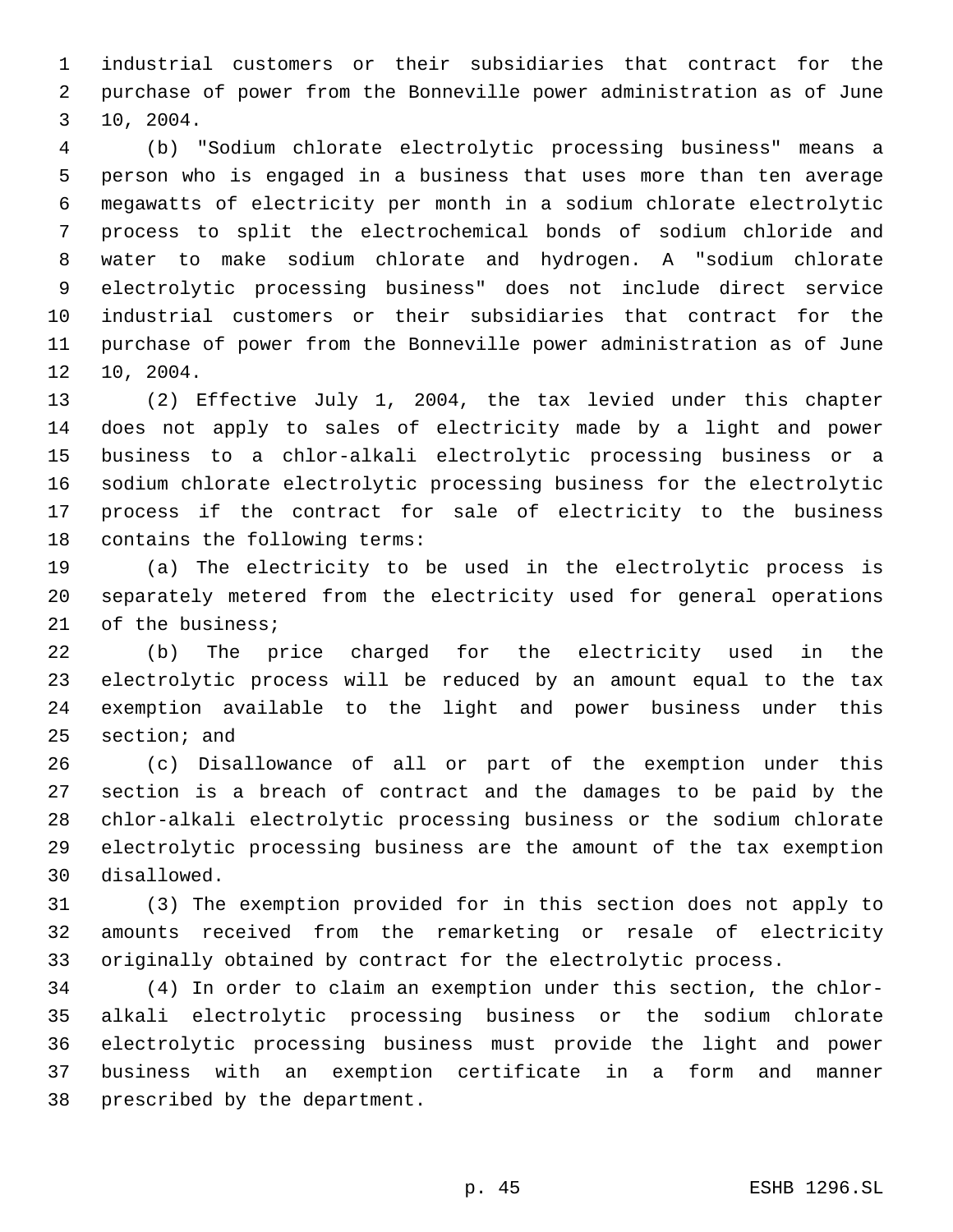industrial customers or their subsidiaries that contract for the purchase of power from the Bonneville power administration as of June 10, 2004.3

 (b) "Sodium chlorate electrolytic processing business" means a person who is engaged in a business that uses more than ten average megawatts of electricity per month in a sodium chlorate electrolytic process to split the electrochemical bonds of sodium chloride and water to make sodium chlorate and hydrogen. A "sodium chlorate electrolytic processing business" does not include direct service industrial customers or their subsidiaries that contract for the purchase of power from the Bonneville power administration as of June 12 10, 2004.

 (2) Effective July 1, 2004, the tax levied under this chapter does not apply to sales of electricity made by a light and power business to a chlor-alkali electrolytic processing business or a sodium chlorate electrolytic processing business for the electrolytic process if the contract for sale of electricity to the business 18 contains the following terms:

 (a) The electricity to be used in the electrolytic process is separately metered from the electricity used for general operations 21 of the business;

 (b) The price charged for the electricity used in the electrolytic process will be reduced by an amount equal to the tax exemption available to the light and power business under this section; and

 (c) Disallowance of all or part of the exemption under this section is a breach of contract and the damages to be paid by the chlor-alkali electrolytic processing business or the sodium chlorate electrolytic processing business are the amount of the tax exemption disallowed.30

 (3) The exemption provided for in this section does not apply to amounts received from the remarketing or resale of electricity originally obtained by contract for the electrolytic process.

 (4) In order to claim an exemption under this section, the chlor- alkali electrolytic processing business or the sodium chlorate electrolytic processing business must provide the light and power business with an exemption certificate in a form and manner 38 prescribed by the department.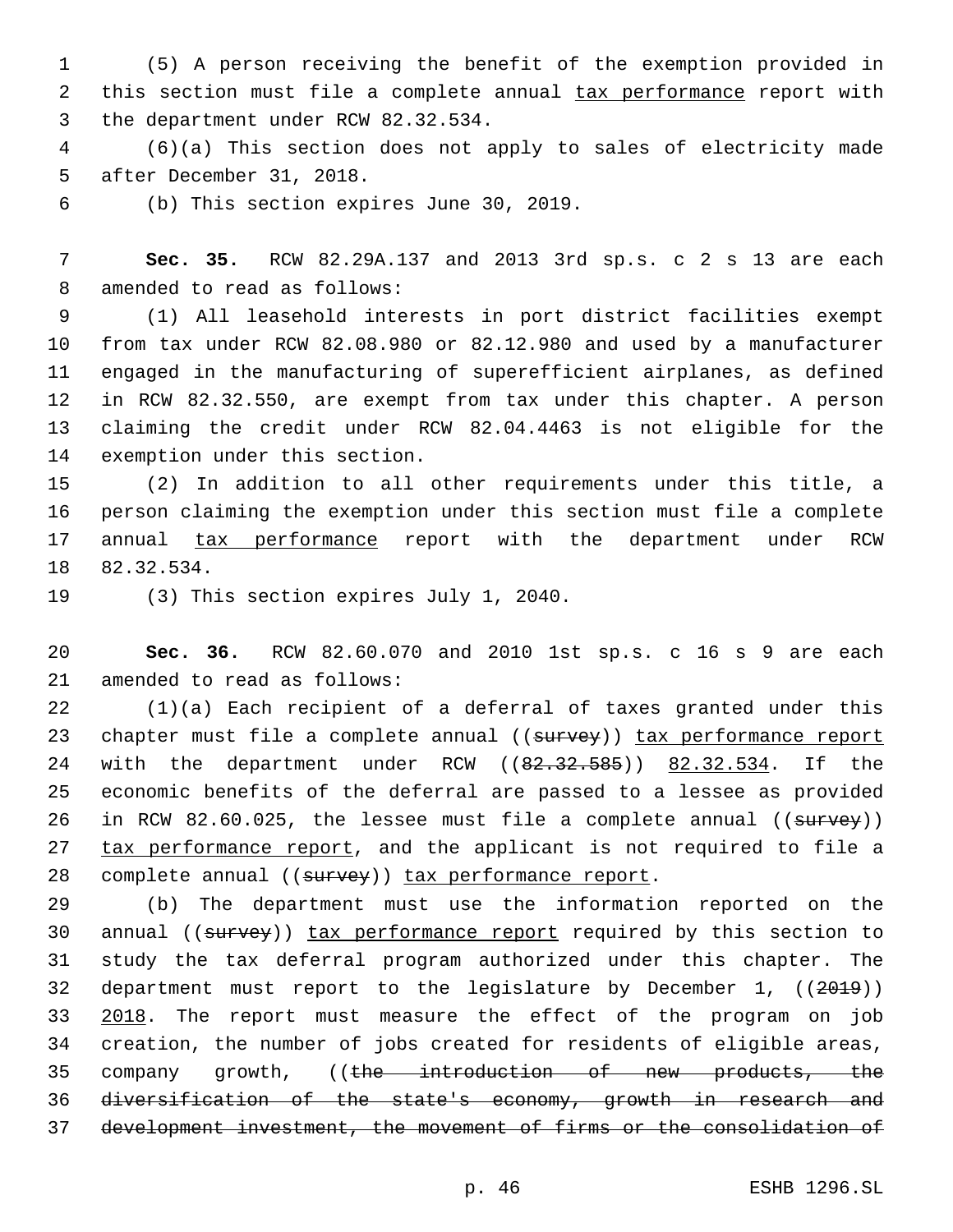1 (5) A person receiving the benefit of the exemption provided in 2 this section must file a complete annual tax performance report with 3 the department under RCW 82.32.534.

4 (6)(a) This section does not apply to sales of electricity made 5 after December 31, 2018.

6 (b) This section expires June 30, 2019.

7 **Sec. 35.** RCW 82.29A.137 and 2013 3rd sp.s. c 2 s 13 are each 8 amended to read as follows:

 (1) All leasehold interests in port district facilities exempt from tax under RCW 82.08.980 or 82.12.980 and used by a manufacturer engaged in the manufacturing of superefficient airplanes, as defined in RCW 82.32.550, are exempt from tax under this chapter. A person claiming the credit under RCW 82.04.4463 is not eligible for the 14 exemption under this section.

 (2) In addition to all other requirements under this title, a person claiming the exemption under this section must file a complete annual tax performance report with the department under RCW 18 82.32.534.

19 (3) This section expires July 1, 2040.

20 **Sec. 36.** RCW 82.60.070 and 2010 1st sp.s. c 16 s 9 are each 21 amended to read as follows:

22 (1)(a) Each recipient of a deferral of taxes granted under this 23 chapter must file a complete annual ((survey)) tax performance report 24 with the department under RCW ((82.32.585)) 82.32.534. If the 25 economic benefits of the deferral are passed to a lessee as provided 26 in RCW 82.60.025, the lessee must file a complete annual ((survey)) 27 tax performance report, and the applicant is not required to file a 28 complete annual ((survey)) tax performance report.

 (b) The department must use the information reported on the 30 annual ((survey)) tax performance report required by this section to study the tax deferral program authorized under this chapter. The department must report to the legislature by December 1, ((2019)) 33 2018. The report must measure the effect of the program on job creation, the number of jobs created for residents of eligible areas, 35 company growth, ((the introduction of new products, the diversification of the state's economy, growth in research and development investment, the movement of firms or the consolidation of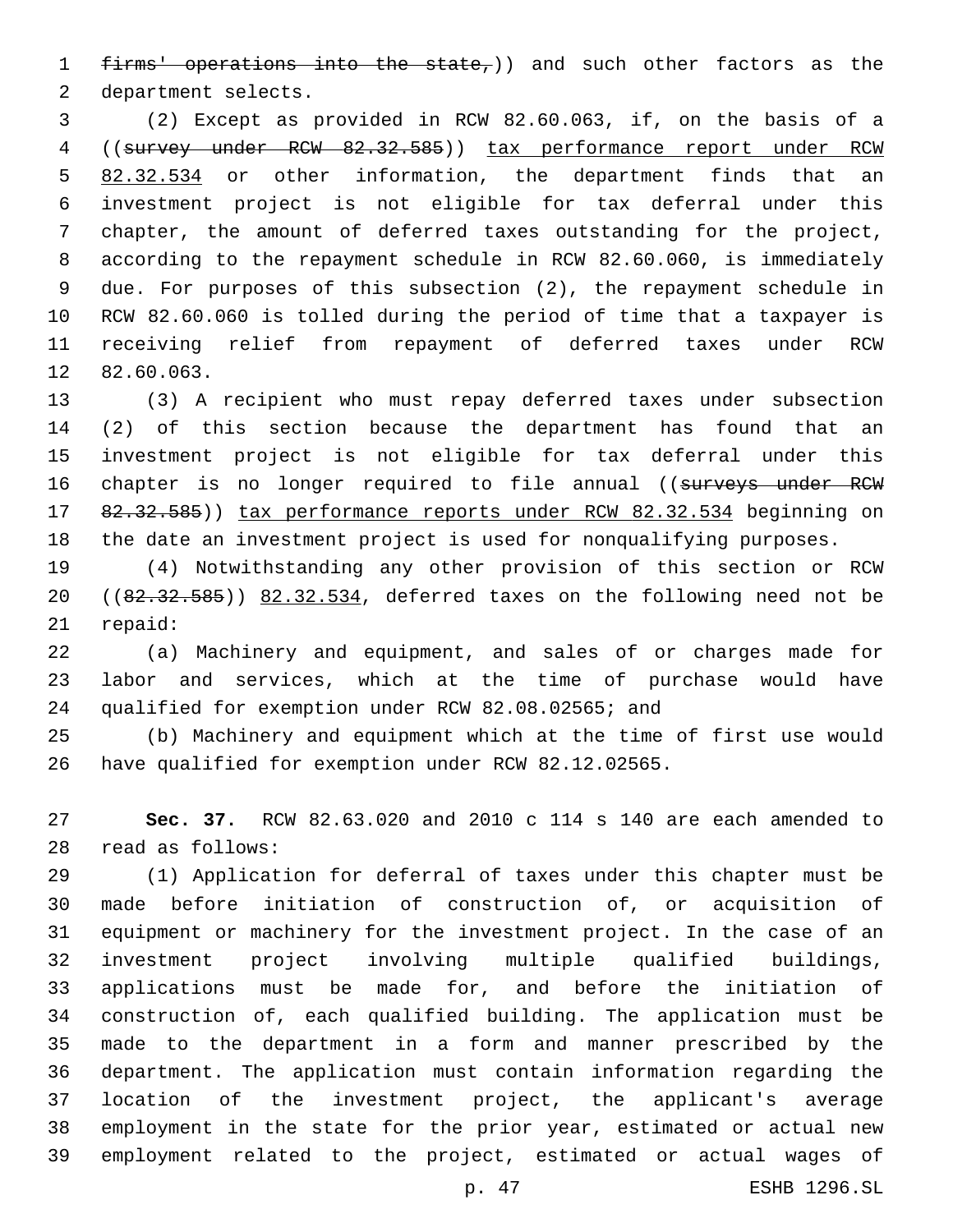1 firms' operations into the state,)) and such other factors as the 2 department selects.

 (2) Except as provided in RCW 82.60.063, if, on the basis of a ((survey under RCW 82.32.585)) tax performance report under RCW 82.32.534 or other information, the department finds that an investment project is not eligible for tax deferral under this chapter, the amount of deferred taxes outstanding for the project, according to the repayment schedule in RCW 82.60.060, is immediately due. For purposes of this subsection (2), the repayment schedule in RCW 82.60.060 is tolled during the period of time that a taxpayer is receiving relief from repayment of deferred taxes under RCW 12 82.60.063.

 (3) A recipient who must repay deferred taxes under subsection (2) of this section because the department has found that an investment project is not eligible for tax deferral under this 16 chapter is no longer required to file annual ((surveys under RCW 17 82.32.585)) tax performance reports under RCW 82.32.534 beginning on the date an investment project is used for nonqualifying purposes.

 (4) Notwithstanding any other provision of this section or RCW  $((82.32.585))$   $(82.32.534)$ , deferred taxes on the following need not be 21 repaid:

 (a) Machinery and equipment, and sales of or charges made for labor and services, which at the time of purchase would have qualified for exemption under RCW 82.08.02565; and

 (b) Machinery and equipment which at the time of first use would have qualified for exemption under RCW 82.12.02565.

 **Sec. 37.** RCW 82.63.020 and 2010 c 114 s 140 are each amended to read as follows:28

 (1) Application for deferral of taxes under this chapter must be made before initiation of construction of, or acquisition of equipment or machinery for the investment project. In the case of an investment project involving multiple qualified buildings, applications must be made for, and before the initiation of construction of, each qualified building. The application must be made to the department in a form and manner prescribed by the department. The application must contain information regarding the location of the investment project, the applicant's average employment in the state for the prior year, estimated or actual new employment related to the project, estimated or actual wages of

p. 47 ESHB 1296.SL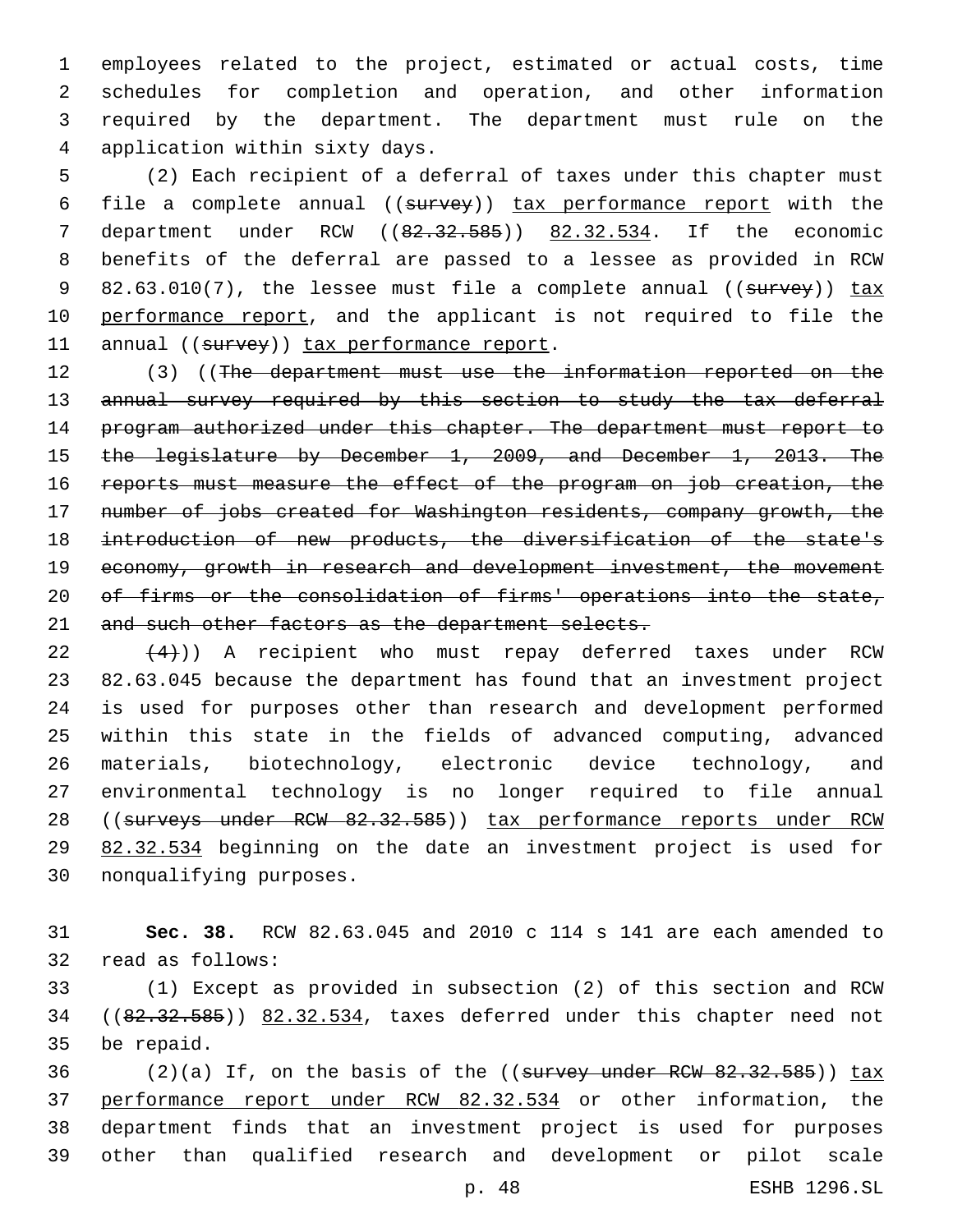employees related to the project, estimated or actual costs, time schedules for completion and operation, and other information required by the department. The department must rule on the 4 application within sixty days.

5 (2) Each recipient of a deferral of taxes under this chapter must 6 file a complete annual ((survey)) tax performance report with the 7 department under RCW ((82.32.585)) 82.32.534. If the economic 8 benefits of the deferral are passed to a lessee as provided in RCW 9 82.63.010(7), the lessee must file a complete annual ((survey)) tax 10 performance report, and the applicant is not required to file the 11 annual ((survey)) tax performance report.

12 (3) ((The department must use the information reported on the 13 annual survey required by this section to study the tax deferral 14 program authorized under this chapter. The department must report to 15 the legislature by December 1, 2009, and December 1, 2013. The 16 reports must measure the effect of the program on job creation, the 17 number of jobs created for Washington residents, company growth, the 18 introduction of new products, the diversification of the state's 19 economy, growth in research and development investment, the movement 20 of firms or the consolidation of firms' operations into the state, 21 and such other factors as the department selects.

 $(22 \t (4))$  A recipient who must repay deferred taxes under RCW 23 82.63.045 because the department has found that an investment project 24 is used for purposes other than research and development performed 25 within this state in the fields of advanced computing, advanced 26 materials, biotechnology, electronic device technology, and 27 environmental technology is no longer required to file annual 28 ((surveys under RCW 82.32.585)) tax performance reports under RCW 29 82.32.534 beginning on the date an investment project is used for 30 nonqualifying purposes.

31 **Sec. 38.** RCW 82.63.045 and 2010 c 114 s 141 are each amended to 32 read as follows:

33 (1) Except as provided in subsection (2) of this section and RCW 34 ((82.32.585)) 82.32.534, taxes deferred under this chapter need not 35 be repaid.

 $(2)(a)$  If, on the basis of the ((survey under RCW 82.32.585)) tax performance report under RCW 82.32.534 or other information, the department finds that an investment project is used for purposes other than qualified research and development or pilot scale

p. 48 ESHB 1296.SL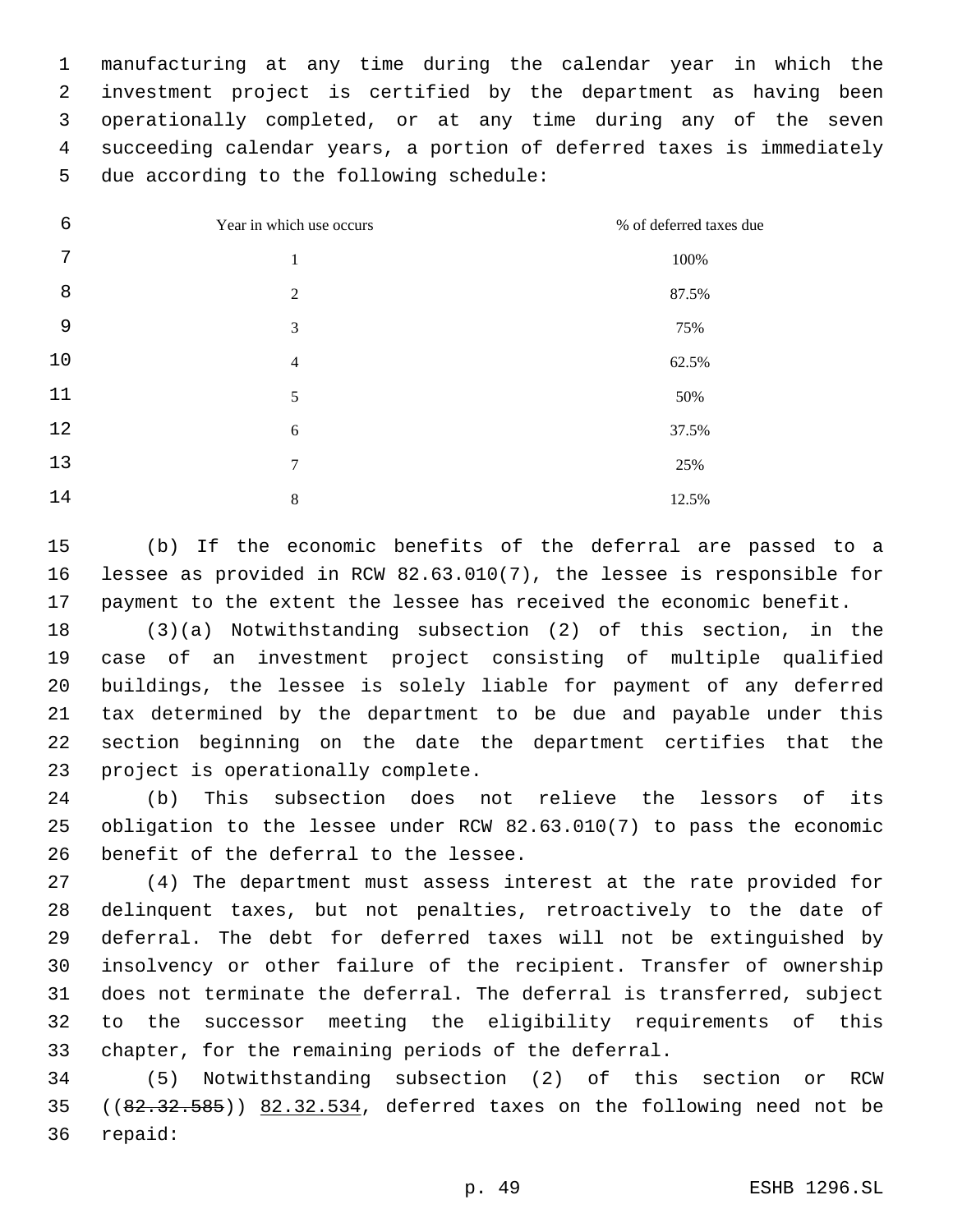manufacturing at any time during the calendar year in which the investment project is certified by the department as having been operationally completed, or at any time during any of the seven succeeding calendar years, a portion of deferred taxes is immediately 5 due according to the following schedule:

| 6  | Year in which use occurs | % of deferred taxes due |
|----|--------------------------|-------------------------|
| 7  | 1                        | 100%                    |
| 8  | 2                        | 87.5%                   |
| 9  | 3                        | 75%                     |
| 10 | $\overline{4}$           | 62.5%                   |
| 11 | 5                        | 50%                     |
| 12 | 6                        | 37.5%                   |
| 13 | 7                        | 25%                     |
| 14 | 8                        | 12.5%                   |

 (b) If the economic benefits of the deferral are passed to a lessee as provided in RCW 82.63.010(7), the lessee is responsible for payment to the extent the lessee has received the economic benefit.

 (3)(a) Notwithstanding subsection (2) of this section, in the case of an investment project consisting of multiple qualified buildings, the lessee is solely liable for payment of any deferred tax determined by the department to be due and payable under this section beginning on the date the department certifies that the 23 project is operationally complete.

 (b) This subsection does not relieve the lessors of its obligation to the lessee under RCW 82.63.010(7) to pass the economic 26 benefit of the deferral to the lessee.

 (4) The department must assess interest at the rate provided for delinquent taxes, but not penalties, retroactively to the date of deferral. The debt for deferred taxes will not be extinguished by insolvency or other failure of the recipient. Transfer of ownership does not terminate the deferral. The deferral is transferred, subject to the successor meeting the eligibility requirements of this chapter, for the remaining periods of the deferral.

 (5) Notwithstanding subsection (2) of this section or RCW  $(82.32.585)$   $(82.32.585)$  82.32.534, deferred taxes on the following need not be 36 repaid: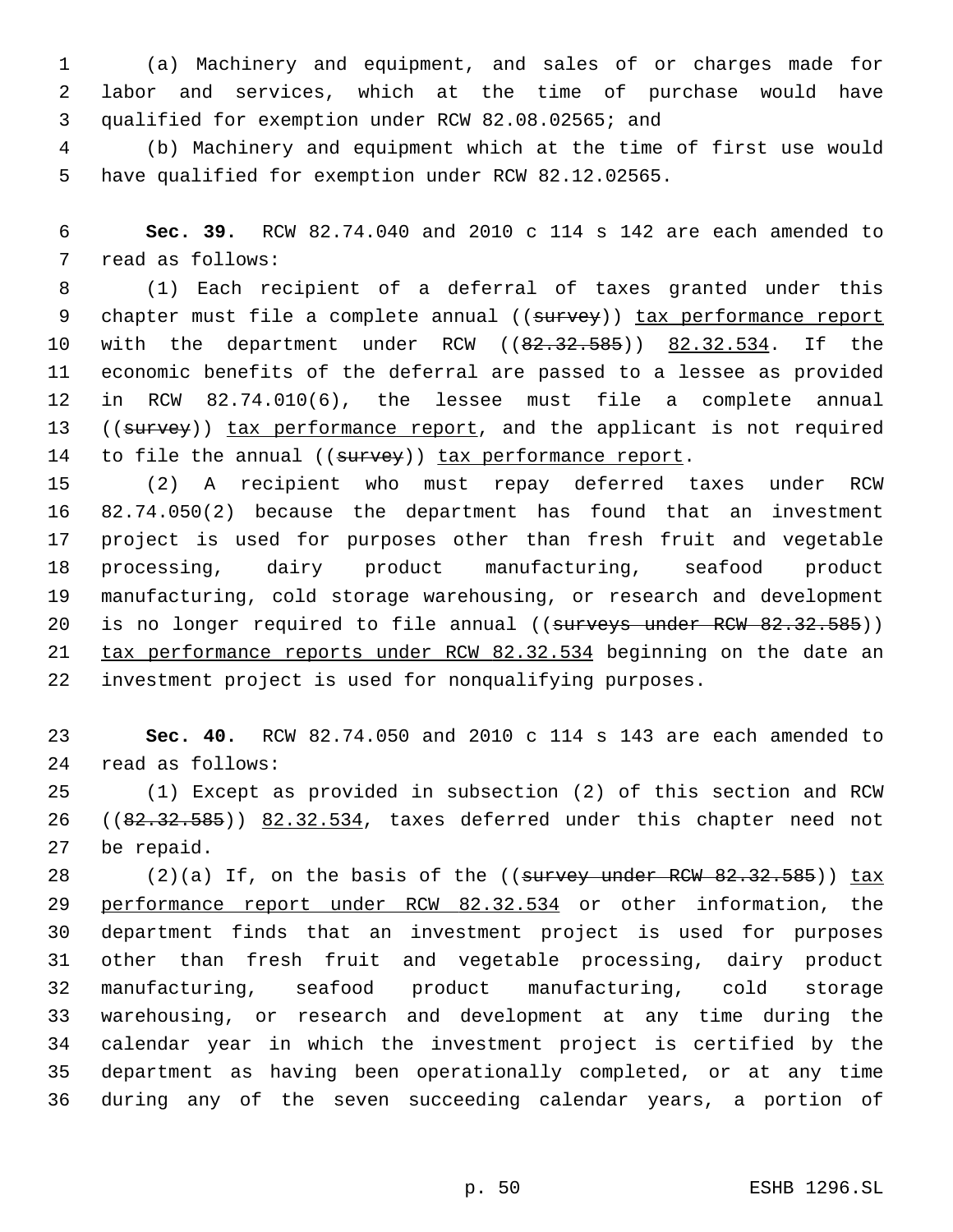(a) Machinery and equipment, and sales of or charges made for labor and services, which at the time of purchase would have 3 qualified for exemption under RCW 82.08.02565; and

 (b) Machinery and equipment which at the time of first use would have qualified for exemption under RCW 82.12.02565.

 **Sec. 39.** RCW 82.74.040 and 2010 c 114 s 142 are each amended to 7 read as follows:

 (1) Each recipient of a deferral of taxes granted under this 9 chapter must file a complete annual ((survey)) tax performance report 10 with the department under RCW ((82.32.585)) 82.32.534. If the economic benefits of the deferral are passed to a lessee as provided in RCW 82.74.010(6), the lessee must file a complete annual 13 ((survey)) tax performance report, and the applicant is not required 14 to file the annual ((survey)) tax performance report.

 (2) A recipient who must repay deferred taxes under RCW 82.74.050(2) because the department has found that an investment project is used for purposes other than fresh fruit and vegetable processing, dairy product manufacturing, seafood product manufacturing, cold storage warehousing, or research and development 20 is no longer required to file annual ((surveys under RCW 82.32.585)) 21 tax performance reports under RCW 82.32.534 beginning on the date an investment project is used for nonqualifying purposes.

 **Sec. 40.** RCW 82.74.050 and 2010 c 114 s 143 are each amended to read as follows:24

 (1) Except as provided in subsection (2) of this section and RCW 26 ((82.32.585)) 82.32.534, taxes deferred under this chapter need not 27 be repaid.

28 (2)(a) If, on the basis of the ((survey under RCW 82.32.585)) tax performance report under RCW 82.32.534 or other information, the department finds that an investment project is used for purposes other than fresh fruit and vegetable processing, dairy product manufacturing, seafood product manufacturing, cold storage warehousing, or research and development at any time during the calendar year in which the investment project is certified by the department as having been operationally completed, or at any time during any of the seven succeeding calendar years, a portion of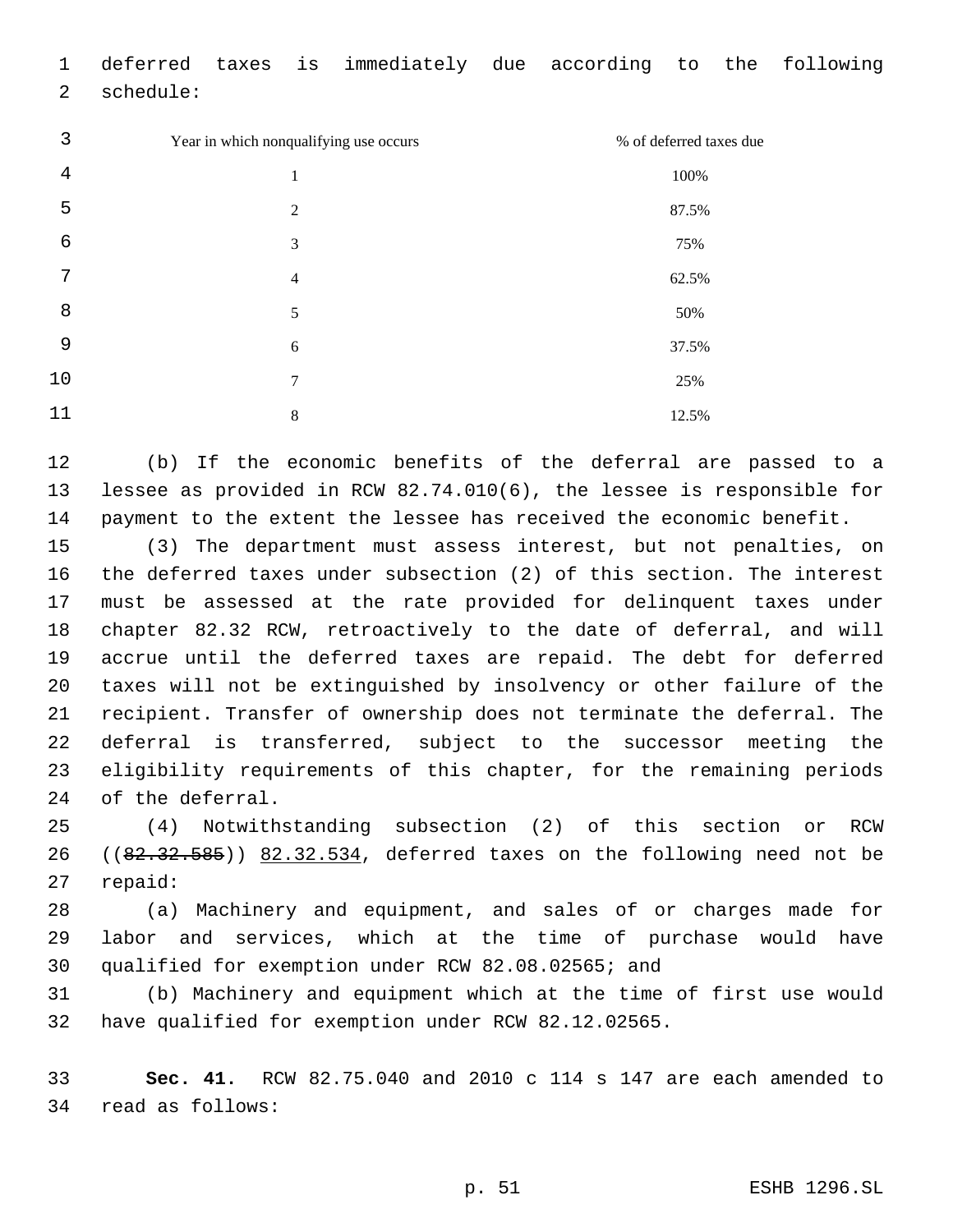| 1  |           |                | deferred taxes is immediately due according to the following |  |       |                         |  |
|----|-----------|----------------|--------------------------------------------------------------|--|-------|-------------------------|--|
| 2  | schedule: |                |                                                              |  |       |                         |  |
| 3  |           |                | Year in which nonqualifying use occurs                       |  |       | % of deferred taxes due |  |
| 4  |           | $\mathbf{1}$   |                                                              |  | 100%  |                         |  |
| 5  |           | $\overline{2}$ |                                                              |  | 87.5% |                         |  |
| 6  |           | 3              |                                                              |  | 75%   |                         |  |
| 7  |           | $\overline{4}$ |                                                              |  | 62.5% |                         |  |
| 8  |           | 5              |                                                              |  | 50%   |                         |  |
| 9  |           | 6              |                                                              |  | 37.5% |                         |  |
| 10 |           | 7              |                                                              |  | 25%   |                         |  |
| 11 |           | 8              |                                                              |  | 12.5% |                         |  |

 (b) If the economic benefits of the deferral are passed to a lessee as provided in RCW 82.74.010(6), the lessee is responsible for payment to the extent the lessee has received the economic benefit.

 (3) The department must assess interest, but not penalties, on the deferred taxes under subsection (2) of this section. The interest must be assessed at the rate provided for delinquent taxes under chapter 82.32 RCW, retroactively to the date of deferral, and will accrue until the deferred taxes are repaid. The debt for deferred taxes will not be extinguished by insolvency or other failure of the recipient. Transfer of ownership does not terminate the deferral. The deferral is transferred, subject to the successor meeting the eligibility requirements of this chapter, for the remaining periods 24 of the deferral.

 (4) Notwithstanding subsection (2) of this section or RCW 26 ( $(82.32.585)$ )  $82.32.534$ , deferred taxes on the following need not be 27 repaid:

 (a) Machinery and equipment, and sales of or charges made for labor and services, which at the time of purchase would have qualified for exemption under RCW 82.08.02565; and

 (b) Machinery and equipment which at the time of first use would have qualified for exemption under RCW 82.12.02565.

 **Sec. 41.** RCW 82.75.040 and 2010 c 114 s 147 are each amended to 34 read as follows: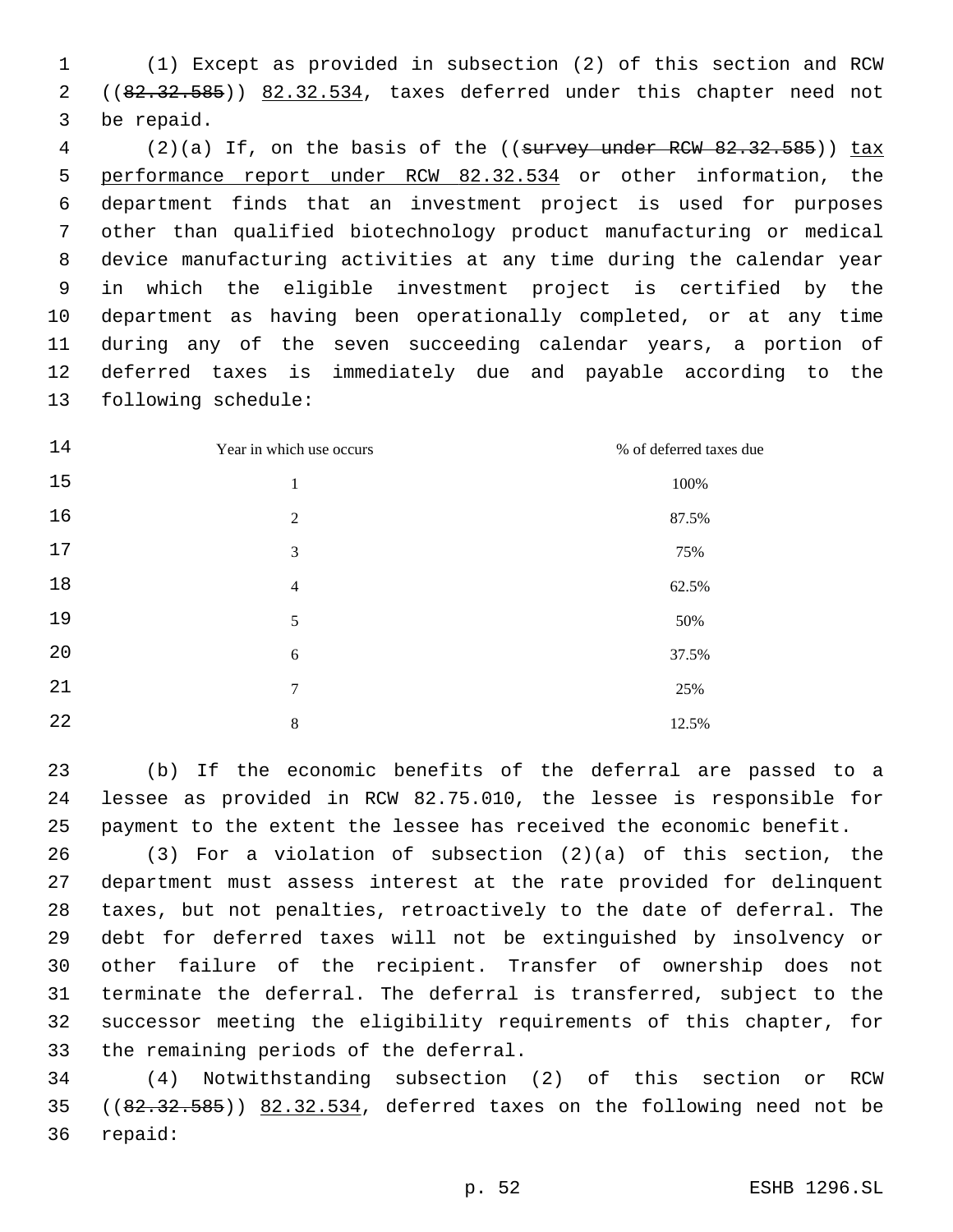(1) Except as provided in subsection (2) of this section and RCW 2 ((82.32.585)) 82.32.534, taxes deferred under this chapter need not 3 be repaid.

4 (2)(a) If, on the basis of the ((survey under RCW 82.32.585)) tax 5 performance report under RCW 82.32.534 or other information, the department finds that an investment project is used for purposes other than qualified biotechnology product manufacturing or medical device manufacturing activities at any time during the calendar year in which the eligible investment project is certified by the department as having been operationally completed, or at any time during any of the seven succeeding calendar years, a portion of deferred taxes is immediately due and payable according to the 13 following schedule:

| 14 | Year in which use occurs | % of deferred taxes due |
|----|--------------------------|-------------------------|
| 15 | 1                        | 100%                    |
| 16 | 2                        | 87.5%                   |
| 17 | 3                        | 75%                     |
| 18 | $\overline{4}$           | 62.5%                   |
| 19 | 5                        | 50%                     |
| 20 | 6                        | 37.5%                   |
| 21 | 7                        | 25%                     |
| 22 | 8                        | 12.5%                   |

 (b) If the economic benefits of the deferral are passed to a lessee as provided in RCW 82.75.010, the lessee is responsible for payment to the extent the lessee has received the economic benefit.

 (3) For a violation of subsection (2)(a) of this section, the department must assess interest at the rate provided for delinquent taxes, but not penalties, retroactively to the date of deferral. The debt for deferred taxes will not be extinguished by insolvency or other failure of the recipient. Transfer of ownership does not terminate the deferral. The deferral is transferred, subject to the successor meeting the eligibility requirements of this chapter, for 33 the remaining periods of the deferral.

 (4) Notwithstanding subsection (2) of this section or RCW  $(82.32.585)$   $(82.32.585)$  82.32.534, deferred taxes on the following need not be 36 repaid: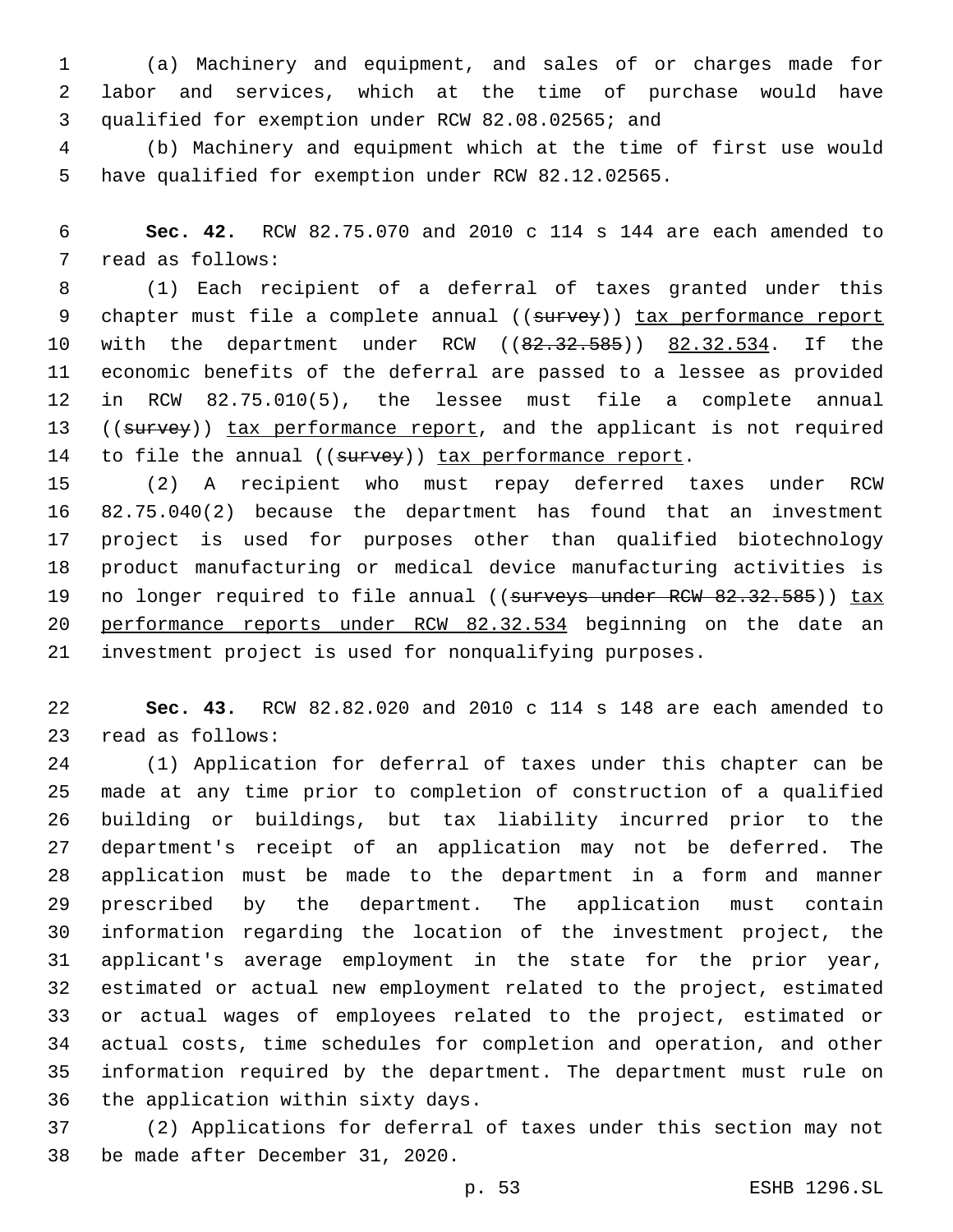(a) Machinery and equipment, and sales of or charges made for labor and services, which at the time of purchase would have 3 qualified for exemption under RCW 82.08.02565; and

 (b) Machinery and equipment which at the time of first use would have qualified for exemption under RCW 82.12.02565.

 **Sec. 42.** RCW 82.75.070 and 2010 c 114 s 144 are each amended to 7 read as follows:

 (1) Each recipient of a deferral of taxes granted under this 9 chapter must file a complete annual ((survey)) tax performance report 10 with the department under RCW ((82.32.585)) 82.32.534. If the economic benefits of the deferral are passed to a lessee as provided in RCW 82.75.010(5), the lessee must file a complete annual 13 ((survey)) tax performance report, and the applicant is not required 14 to file the annual ((survey)) tax performance report.

 (2) A recipient who must repay deferred taxes under RCW 82.75.040(2) because the department has found that an investment project is used for purposes other than qualified biotechnology product manufacturing or medical device manufacturing activities is 19 no longer required to file annual ((surveys under RCW 82.32.585)) tax 20 performance reports under RCW 82.32.534 beginning on the date an investment project is used for nonqualifying purposes.

 **Sec. 43.** RCW 82.82.020 and 2010 c 114 s 148 are each amended to 23 read as follows:

 (1) Application for deferral of taxes under this chapter can be made at any time prior to completion of construction of a qualified building or buildings, but tax liability incurred prior to the department's receipt of an application may not be deferred. The application must be made to the department in a form and manner prescribed by the department. The application must contain information regarding the location of the investment project, the applicant's average employment in the state for the prior year, estimated or actual new employment related to the project, estimated or actual wages of employees related to the project, estimated or actual costs, time schedules for completion and operation, and other information required by the department. The department must rule on 36 the application within sixty days.

 (2) Applications for deferral of taxes under this section may not 38 be made after December 31, 2020.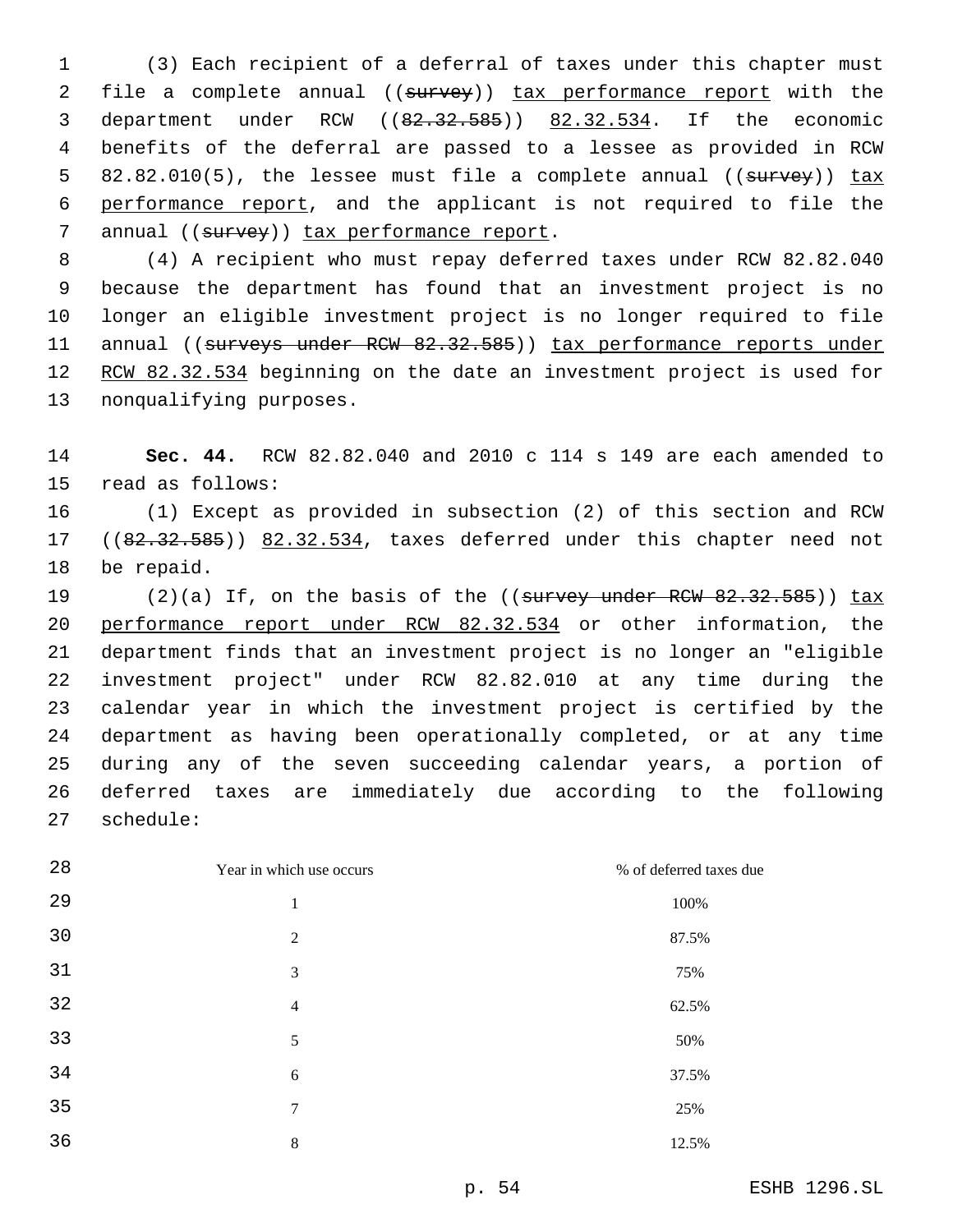(3) Each recipient of a deferral of taxes under this chapter must 2 file a complete annual ((survey)) tax performance report with the department under RCW ((82.32.585)) 82.32.534. If the economic benefits of the deferral are passed to a lessee as provided in RCW 5 82.82.010(5), the lessee must file a complete annual ((survey)) tax performance report, and the applicant is not required to file the 7 annual ((survey)) tax performance report.

 (4) A recipient who must repay deferred taxes under RCW 82.82.040 because the department has found that an investment project is no longer an eligible investment project is no longer required to file 11 annual ((surveys under RCW 82.32.585)) tax performance reports under 12 RCW 82.32.534 beginning on the date an investment project is used for 13 nonqualifying purposes.

 **Sec. 44.** RCW 82.82.040 and 2010 c 114 s 149 are each amended to 15 read as follows:

 (1) Except as provided in subsection (2) of this section and RCW 17 ((82.32.585)) 82.32.534, taxes deferred under this chapter need not 18 be repaid.

19 (2)(a) If, on the basis of the ((survey under RCW 82.32.585)) tax performance report under RCW 82.32.534 or other information, the department finds that an investment project is no longer an "eligible investment project" under RCW 82.82.010 at any time during the calendar year in which the investment project is certified by the department as having been operationally completed, or at any time during any of the seven succeeding calendar years, a portion of deferred taxes are immediately due according to the following 27 schedule:

| 28 | Year in which use occurs | % of deferred taxes due |
|----|--------------------------|-------------------------|
| 29 | 1                        | 100%                    |
| 30 | $\overline{2}$           | 87.5%                   |
| 31 | 3                        | 75%                     |
| 32 | $\overline{4}$           | 62.5%                   |
| 33 | 5                        | 50%                     |
| 34 | 6                        | 37.5%                   |
| 35 | 7                        | 25%                     |
| 36 | 8                        | 12.5%                   |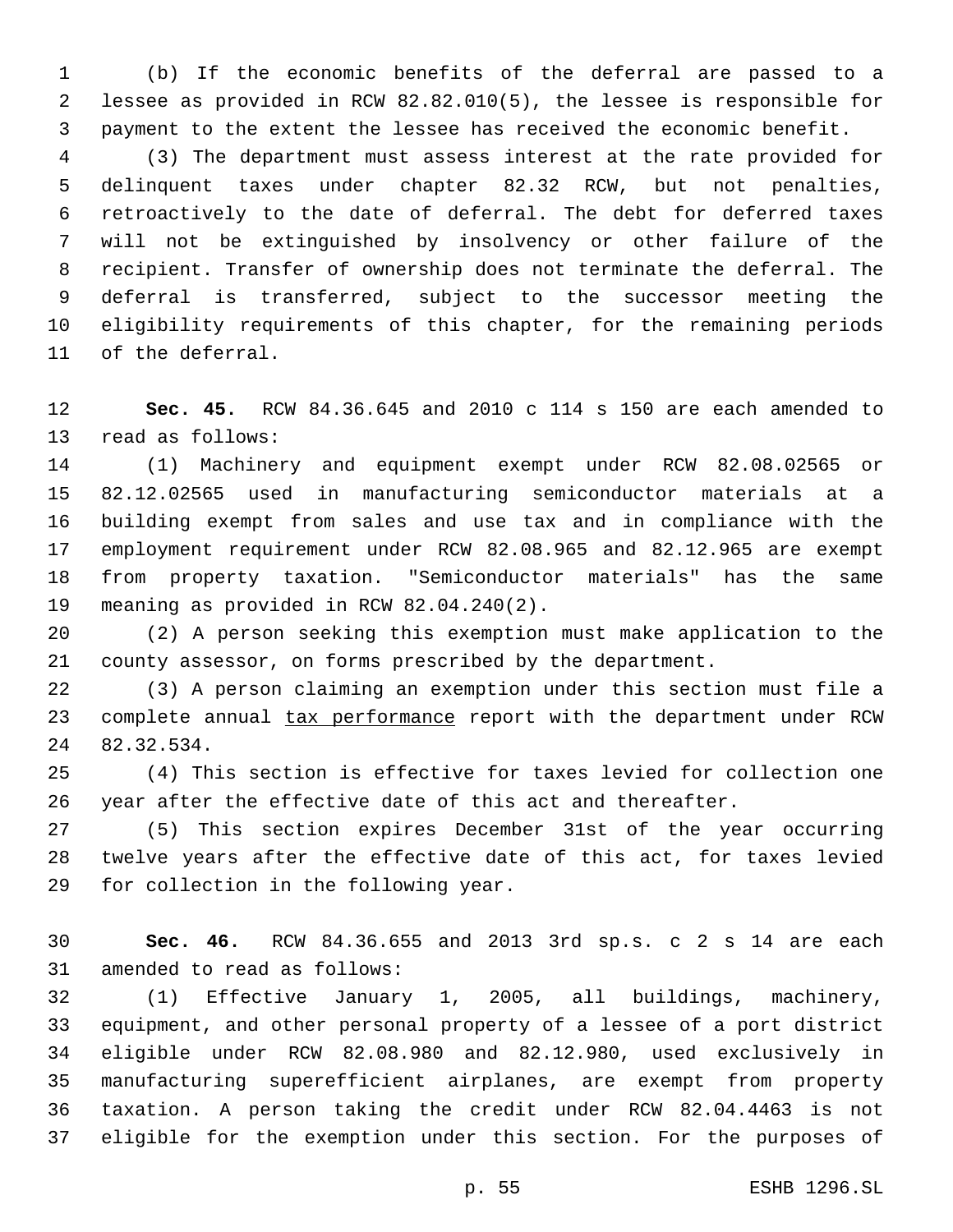(b) If the economic benefits of the deferral are passed to a lessee as provided in RCW 82.82.010(5), the lessee is responsible for payment to the extent the lessee has received the economic benefit.

 (3) The department must assess interest at the rate provided for delinquent taxes under chapter 82.32 RCW, but not penalties, retroactively to the date of deferral. The debt for deferred taxes will not be extinguished by insolvency or other failure of the recipient. Transfer of ownership does not terminate the deferral. The deferral is transferred, subject to the successor meeting the eligibility requirements of this chapter, for the remaining periods 11 of the deferral.

 **Sec. 45.** RCW 84.36.645 and 2010 c 114 s 150 are each amended to 13 read as follows:

 (1) Machinery and equipment exempt under RCW 82.08.02565 or 82.12.02565 used in manufacturing semiconductor materials at a building exempt from sales and use tax and in compliance with the employment requirement under RCW 82.08.965 and 82.12.965 are exempt from property taxation. "Semiconductor materials" has the same 19 meaning as provided in RCW 82.04.240(2).

 (2) A person seeking this exemption must make application to the county assessor, on forms prescribed by the department.

 (3) A person claiming an exemption under this section must file a 23 complete annual tax performance report with the department under RCW 24 82.32.534.

 (4) This section is effective for taxes levied for collection one year after the effective date of this act and thereafter.

 (5) This section expires December 31st of the year occurring twelve years after the effective date of this act, for taxes levied 29 for collection in the following year.

 **Sec. 46.** RCW 84.36.655 and 2013 3rd sp.s. c 2 s 14 are each 31 amended to read as follows:

 (1) Effective January 1, 2005, all buildings, machinery, equipment, and other personal property of a lessee of a port district eligible under RCW 82.08.980 and 82.12.980, used exclusively in manufacturing superefficient airplanes, are exempt from property taxation. A person taking the credit under RCW 82.04.4463 is not eligible for the exemption under this section. For the purposes of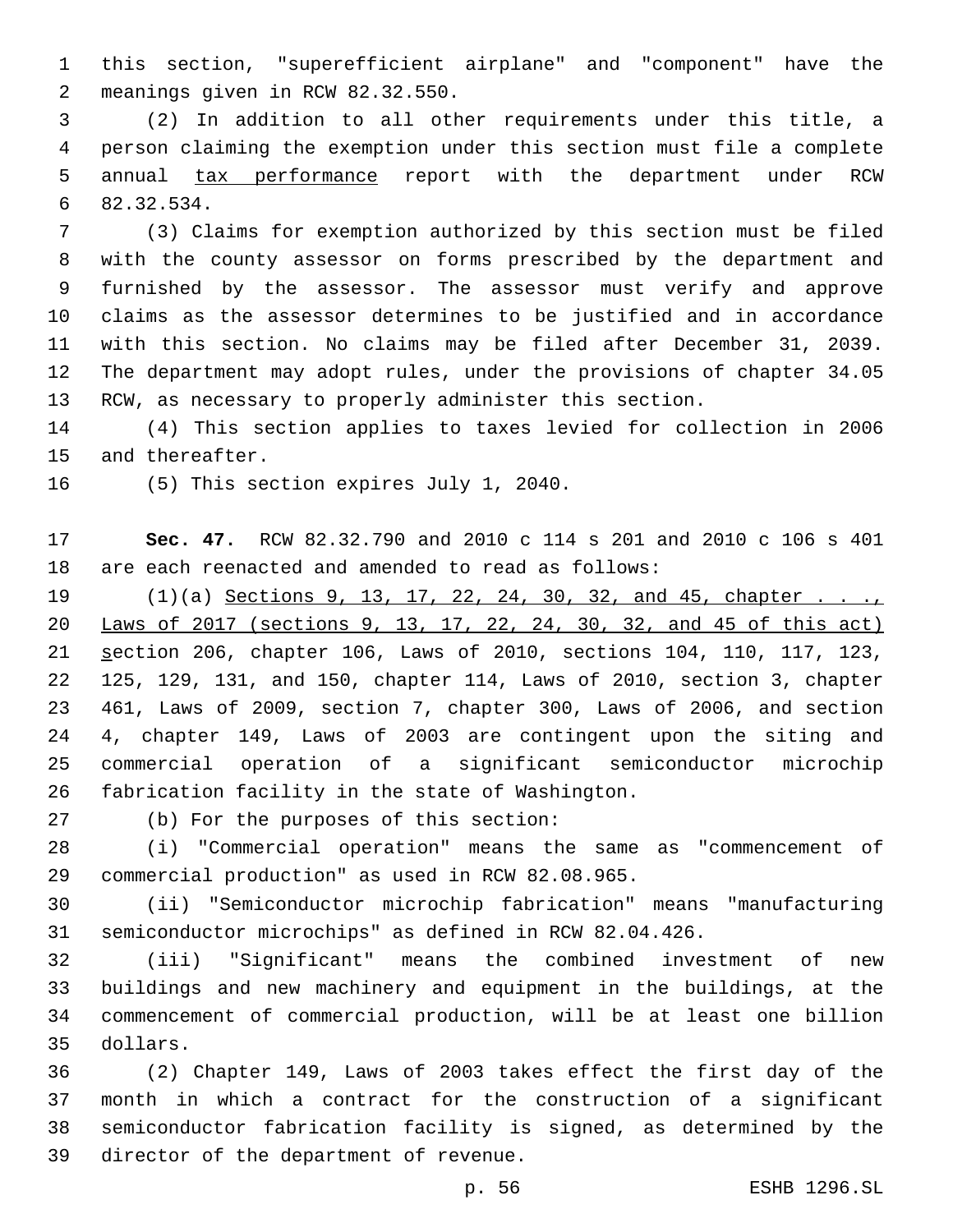this section, "superefficient airplane" and "component" have the meanings given in RCW 82.32.550.2

 (2) In addition to all other requirements under this title, a person claiming the exemption under this section must file a complete 5 annual tax performance report with the department under RCW 82.32.534.6

 (3) Claims for exemption authorized by this section must be filed with the county assessor on forms prescribed by the department and furnished by the assessor. The assessor must verify and approve claims as the assessor determines to be justified and in accordance with this section. No claims may be filed after December 31, 2039. The department may adopt rules, under the provisions of chapter 34.05 RCW, as necessary to properly administer this section.

 (4) This section applies to taxes levied for collection in 2006 15 and thereafter.

16 (5) This section expires July 1, 2040.

 **Sec. 47.** RCW 82.32.790 and 2010 c 114 s 201 and 2010 c 106 s 401 are each reenacted and amended to read as follows:

19 (1)(a) Sections 9, 13, 17, 22, 24, 30, 32, and 45, chapter . . ., Laws of 2017 (sections 9, 13, 17, 22, 24, 30, 32, and 45 of this act) section 206, chapter 106, Laws of 2010, sections 104, 110, 117, 123, 125, 129, 131, and 150, chapter 114, Laws of 2010, section 3, chapter 461, Laws of 2009, section 7, chapter 300, Laws of 2006, and section 4, chapter 149, Laws of 2003 are contingent upon the siting and commercial operation of a significant semiconductor microchip 26 fabrication facility in the state of Washington.

27 (b) For the purposes of this section:

 (i) "Commercial operation" means the same as "commencement of 29 commercial production" as used in RCW 82.08.965.

 (ii) "Semiconductor microchip fabrication" means "manufacturing semiconductor microchips" as defined in RCW 82.04.426.

 (iii) "Significant" means the combined investment of new buildings and new machinery and equipment in the buildings, at the commencement of commercial production, will be at least one billion 35 dollars.

 (2) Chapter 149, Laws of 2003 takes effect the first day of the month in which a contract for the construction of a significant semiconductor fabrication facility is signed, as determined by the 39 director of the department of revenue.